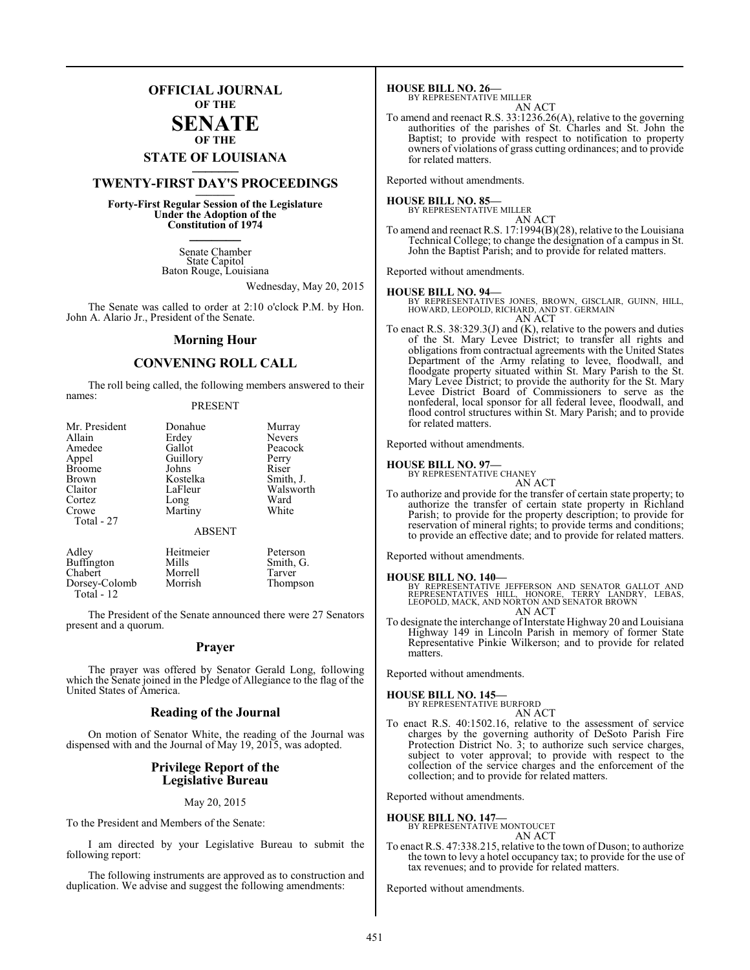## **OFFICIAL JOURNAL OF THE**

#### **SENATE OF THE**

# **STATE OF LOUISIANA \_\_\_\_\_\_\_**

## **TWENTY-FIRST DAY'S PROCEEDINGS \_\_\_\_\_\_\_**

**Forty-First Regular Session of the Legislature Under the Adoption of the Constitution of 1974 \_\_\_\_\_\_\_**

> Senate Chamber State Capitol Baton Rouge, Louisiana

> > Wednesday, May 20, 2015

The Senate was called to order at 2:10 o'clock P.M. by Hon. John A. Alario Jr., President of the Senate.

#### **Morning Hour**

## **CONVENING ROLL CALL**

The roll being called, the following members answered to their names:

#### PRESENT

| Donahue       | Murray                    |
|---------------|---------------------------|
| Erdey         | <b>Nevers</b>             |
| Gallot        | Peacock                   |
| Guillory      | Perry                     |
| Johns         | Riser                     |
| Kostelka      | Smith, J.                 |
| LaFleur       | Walsworth                 |
|               | Ward                      |
| Martiny       | White                     |
|               |                           |
| <b>ABSENT</b> |                           |
| Heitmeier     | Peterson<br>$\sim$ $\sim$ |
|               | Long<br>.                 |

Buffington Mills Smith, G.<br>
Chabert Morrell Tarver Morrell Tarver<br>
Morrish Thompson Dorsey-Colomb Total - 12

The President of the Senate announced there were 27 Senators present and a quorum.

#### **Prayer**

The prayer was offered by Senator Gerald Long, following which the Senate joined in the Pledge of Allegiance to the flag of the United States of America.

#### **Reading of the Journal**

On motion of Senator White, the reading of the Journal was dispensed with and the Journal of May 19, 2015, was adopted.

#### **Privilege Report of the Legislative Bureau**

#### May 20, 2015

To the President and Members of the Senate:

I am directed by your Legislative Bureau to submit the following report:

The following instruments are approved as to construction and duplication. We advise and suggest the following amendments:

**HOUSE BILL NO. 26—** BY REPRESENTATIVE MILLER

AN ACT

To amend and reenact R.S. 33:1236.26(A), relative to the governing authorities of the parishes of St. Charles and St. John the Baptist; to provide with respect to notification to property owners of violations of grass cutting ordinances; and to provide for related matters.

Reported without amendments.

# **HOUSE BILL NO. 85—** BY REPRESENTATIVE MILLER

AN ACT

To amend and reenact R.S. 17:1994(B)(28), relative to the Louisiana Technical College; to change the designation of a campus in St. John the Baptist Parish; and to provide for related matters.

Reported without amendments.

#### **HOUSE BILL NO. 94—**

BY REPRESENTATIVES JONES, BROWN, GISCLAIR, GUINN, HILL, HOWARD, LEOPOLD, RICHARD, AND ST. GERMAIN AN ACT

To enact R.S. 38:329.3(J) and (K), relative to the powers and duties of the St. Mary Levee District; to transfer all rights and obligations from contractual agreements with the United States Department of the Army relating to levee, floodwall, and floodgate property situated within St. Mary Parish to the St. Mary Levee District; to provide the authority for the St. Mary Levee District Board of Commissioners to serve as the nonfederal, local sponsor for all federal levee, floodwall, and flood control structures within St. Mary Parish; and to provide for related matters.

Reported without amendments.

#### **HOUSE BILL NO. 97—**

BY REPRESENTATIVE CHANEY

AN ACT To authorize and provide for the transfer of certain state property; to authorize the transfer of certain state property in Richland Parish; to provide for the property description; to provide for reservation of mineral rights; to provide terms and conditions; to provide an effective date; and to provide for related matters.

Reported without amendments.

**HOUSE BILL NO. 140—**<br>BY REPRESENTATIVE JEFFERSON AND SENATOR GALLOT AND<br>REPRESENTATIVES HILL, HONORE, TERRY LANDRY, LEBAS,<br>LEOPOLD, MACK, AND NORTON AND SENATOR BROWN AN ACT

To designate the interchange of Interstate Highway 20 and Louisiana Highway 149 in Lincoln Parish in memory of former State Representative Pinkie Wilkerson; and to provide for related matters.

Reported without amendments.

#### **HOUSE BILL NO. 145—**

BY REPRESENTATIVE BURFORD AN ACT

To enact R.S. 40:1502.16, relative to the assessment of service charges by the governing authority of DeSoto Parish Fire Protection District No. 3; to authorize such service charges, subject to voter approval; to provide with respect to the collection of the service charges and the enforcement of the collection; and to provide for related matters.

Reported without amendments.

#### **HOUSE BILL NO. 147—** BY REPRESENTATIVE MONTOUCET

- AN ACT
- To enact R.S. 47:338.215, relative to the town of Duson; to authorize the town to levy a hotel occupancy tax; to provide for the use of tax revenues; and to provide for related matters.

Reported without amendments.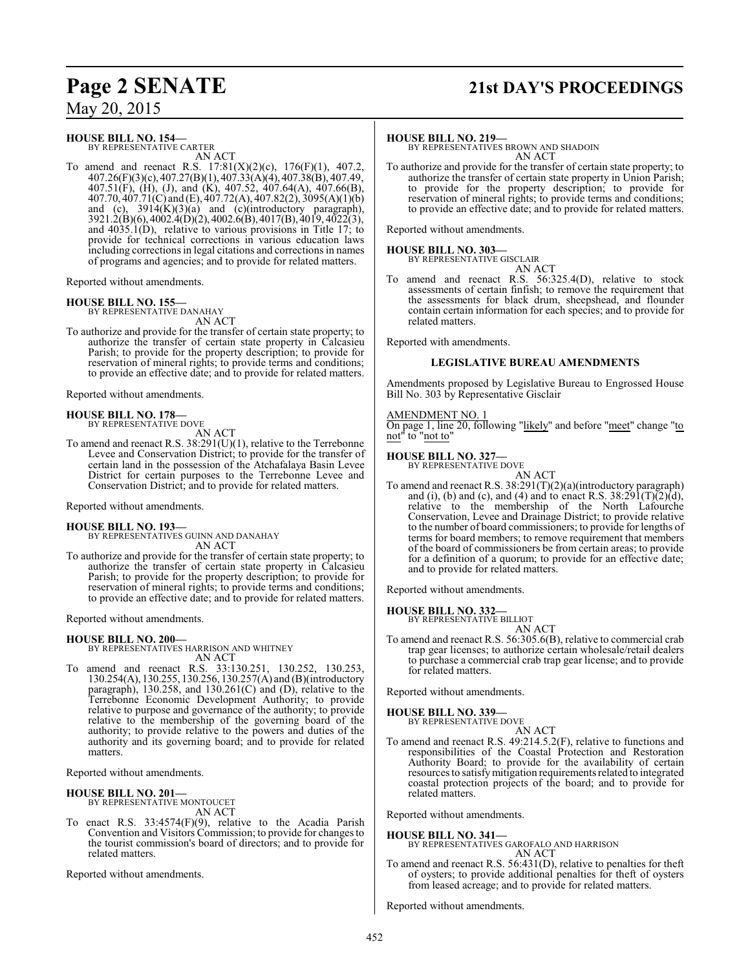### **HOUSE BILL NO. 154—**

BY REPRESENTATIVE CARTER AN ACT

To amend and reenact R.S.  $17:81(X)(2)(c)$ ,  $176(F)(1)$ , 407.2, 407.26(F)(3)(c), 407.27(B)(1), 407.33(A)(4), 407.38(B), 407.49, 407.51(F), (H), (J), and (K), 407.52, 407.64(A), 407.66(B), 407.70, 407.71(C) and (E), 407.72(A), 407.82(2), 3095(A)(1)(b) and (c), 3914(K)(3)(a) and (c)(introductory paragraph), 3921.2(B)(6), 4002.4(D)(2), 4002.6(B), 4017(B), 4019, 4022(3), and  $4035.1(D)$ , relative to various provisions in Title 17; to provide for technical corrections in various education laws including corrections in legal citations and corrections in names of programs and agencies; and to provide for related matters.

Reported without amendments.

#### **HOUSE BILL NO. 155—**

BY REPRESENTATIVE DANAHAY AN ACT

To authorize and provide for the transfer of certain state property; to authorize the transfer of certain state property in Calcasieu Parish; to provide for the property description; to provide for reservation of mineral rights; to provide terms and conditions; to provide an effective date; and to provide for related matters.

Reported without amendments.

# **HOUSE BILL NO. 178—** BY REPRESENTATIVE DOVE

AN ACT

To amend and reenact R.S. 38:291(U)(1), relative to the Terrebonne Levee and Conservation District; to provide for the transfer of certain land in the possession of the Atchafalaya Basin Levee District for certain purposes to the Terrebonne Levee and Conservation District; and to provide for related matters.

Reported without amendments.

#### **HOUSE BILL NO. 193—**

BY REPRESENTATIVES GUINN AND DANAHAY AN ACT

To authorize and provide for the transfer of certain state property; to authorize the transfer of certain state property in Calcasieu Parish; to provide for the property description; to provide for reservation of mineral rights; to provide terms and conditions; to provide an effective date; and to provide for related matters.

Reported without amendments.

**HOUSE BILL NO. 200—** BY REPRESENTATIVES HARRISON AND WHITNEY AN ACT

To amend and reenact R.S. 33:130.251, 130.252, 130.253, 130.254(A), 130.255, 130.256, 130.257(A) and (B)(introductory paragraph), 130.258, and 130.261(C) and (D), relative to the Terrebonne Economic Development Authority; to provide relative to purpose and governance of the authority; to provide relative to the membership of the governing board of the authority; to provide relative to the powers and duties of the authority and its governing board; and to provide for related matters.

Reported without amendments.

# **HOUSE BILL NO. 201—** BY REPRESENTATIVE MONTOUCET

AN ACT

To enact R.S. 33:4574(F)(9), relative to the Acadia Parish Convention and Visitors Commission; to provide for changes to the tourist commission's board of directors; and to provide for related matters.

Reported without amendments.

# **Page 2 SENATE 21st DAY'S PROCEEDINGS**

#### **HOUSE BILL NO. 219—**

BY REPRESENTATIVES BROWN AND SHADOIN AN ACT

To authorize and provide for the transfer of certain state property; to authorize the transfer of certain state property in Union Parish; to provide for the property description; to provide for reservation of mineral rights; to provide terms and conditions; to provide an effective date; and to provide for related matters.

Reported without amendments.

#### **HOUSE BILL NO. 303—**

BY REPRESENTATIVE GISCLAIR

AN ACT To amend and reenact R.S. 56:325.4(D), relative to stock assessments of certain finfish; to remove the requirement that the assessments for black drum, sheepshead, and flounder contain certain information for each species; and to provide for related matters.

Reported with amendments.

#### **LEGISLATIVE BUREAU AMENDMENTS**

Amendments proposed by Legislative Bureau to Engrossed House Bill No. 303 by Representative Gisclair

#### AMENDMENT NO. 1

On page 1, line 20, following "likely" and before "meet" change "to not" to "not to"

#### **HOUSE BILL NO. 327—**

BY REPRESENTATIVE DOVE AN ACT

To amend and reenact R.S. 38:291(T)(2)(a)(introductory paragraph) and (i), (b) and (c), and (4) and to enact R.S.  $38:291(T)(2)(d)$ , relative to the membership of the North Lafourche Conservation, Levee and Drainage District; to provide relative to the number of board commissioners; to provide for lengths of terms for board members; to remove requirement that members of the board of commissioners be from certain areas; to provide for a definition of a quorum; to provide for an effective date; and to provide for related matters.

Reported without amendments.

#### **HOUSE BILL NO. 332—**

BY REPRESENTATIVE BILLIOT

AN ACT To amend and reenact R.S. 56:305.6(B), relative to commercial crab trap gear licenses; to authorize certain wholesale/retail dealers to purchase a commercial crab trap gear license; and to provide for related matters.

Reported without amendments.

**HOUSE BILL NO. 339—** BY REPRESENTATIVE DOVE

AN ACT To amend and reenact R.S. 49:214.5.2(F), relative to functions and responsibilities of the Coastal Protection and Restoration Authority Board; to provide for the availability of certain resources to satisfymitigation requirements related to integrated coastal protection projects of the board; and to provide for related matters.

Reported without amendments.

**HOUSE BILL NO. 341—** BY REPRESENTATIVES GAROFALO AND HARRISON AN ACT

To amend and reenact R.S. 56:431(D), relative to penalties for theft of oysters; to provide additional penalties for theft of oysters from leased acreage; and to provide for related matters.

Reported without amendments.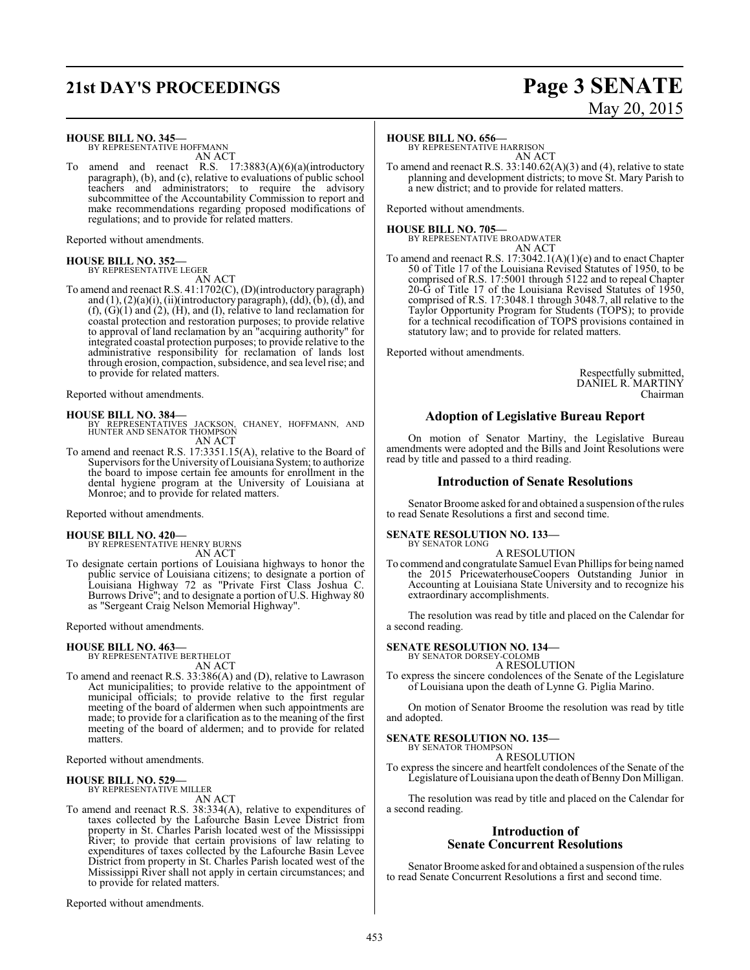# **21st DAY'S PROCEEDINGS Page 3 SENATE**

#### **HOUSE BILL NO. 345—**

BY REPRESENTATIVE HOFFMANN AN ACT

To amend and reenact R.S. 17:3883(A)(6)(a)(introductory paragraph), (b), and (c), relative to evaluations of public school teachers and administrators; to require the advisory subcommittee of the Accountability Commission to report and make recommendations regarding proposed modifications of regulations; and to provide for related matters.

Reported without amendments.

#### **HOUSE BILL NO. 352—** BY REPRESENTATIVE LEGER

AN ACT

To amend and reenact R.S. 41:1702(C), (D)(introductory paragraph) and (1), (2)(a)(i), (ii)(introductory paragraph), (dd), (b), (d), and  $(f), (G)(1)$  and  $(2), (H),$  and  $(I),$  relative to land reclamation for coastal protection and restoration purposes; to provide relative to approval of land reclamation by an "acquiring authority" for integrated coastal protection purposes; to provide relative to the administrative responsibility for reclamation of lands lost through erosion, compaction, subsidence, and sea level rise; and to provide for related matters.

Reported without amendments.

**HOUSE BILL NO. 384—** BY REPRESENTATIVES JACKSON, CHANEY, HOFFMANN, AND HUNTER AND SENATOR THOMPSON AN ACT

To amend and reenact R.S. 17:3351.15(A), relative to the Board of Supervisors for the University ofLouisiana System; to authorize the board to impose certain fee amounts for enrollment in the dental hygiene program at the University of Louisiana at Monroe; and to provide for related matters.

Reported without amendments.

# **HOUSE BILL NO. 420—** BY REPRESENTATIVE HENRY BURNS

AN ACT

To designate certain portions of Louisiana highways to honor the public service of Louisiana citizens; to designate a portion of Louisiana Highway 72 as "Private First Class Joshua C. Burrows Drive"; and to designate a portion of U.S. Highway 80 as "Sergeant Craig Nelson Memorial Highway".

Reported without amendments.

#### **HOUSE BILL NO. 463—**

BY REPRESENTATIVE BERTHELOT AN ACT

To amend and reenact R.S. 33:386(A) and (D), relative to Lawrason Act municipalities; to provide relative to the appointment of municipal officials; to provide relative to the first regular meeting of the board of aldermen when such appointments are made; to provide for a clarification as to the meaning of the first meeting of the board of aldermen; and to provide for related matters.

Reported without amendments.

# **HOUSE BILL NO. 529—** BY REPRESENTATIVE MILLER

AN ACT

To amend and reenact R.S. 38:334(A), relative to expenditures of taxes collected by the Lafourche Basin Levee District from property in St. Charles Parish located west of the Mississippi River; to provide that certain provisions of law relating to expenditures of taxes collected by the Lafourche Basin Levee District from property in St. Charles Parish located west of the Mississippi River shall not apply in certain circumstances; and to provide for related matters.

Reported without amendments.

#### **HOUSE BILL NO. 656—**

BY REPRESENTATIVE HARRISON AN ACT

To amend and reenact R.S. 33:140.62(A)(3) and (4), relative to state planning and development districts; to move St. Mary Parish to a new district; and to provide for related matters.

Reported without amendments.

#### **HOUSE BILL NO. 705—**

BY REPRESENTATIVE BROADWATER AN ACT

To amend and reenact R.S. 17:3042.1(A)(1)(e) and to enact Chapter 50 of Title 17 of the Louisiana Revised Statutes of 1950, to be comprised of R.S. 17:5001 through 5122 and to repeal Chapter 20-G of Title 17 of the Louisiana Revised Statutes of 1950, comprised of R.S. 17:3048.1 through 3048.7, all relative to the Taylor Opportunity Program for Students (TOPS); to provide for a technical recodification of TOPS provisions contained in statutory law; and to provide for related matters.

Reported without amendments.

Respectfully submitted, DANIEL R. MARTINY Chairman

May 20, 2015

#### **Adoption of Legislative Bureau Report**

On motion of Senator Martiny, the Legislative Bureau amendments were adopted and the Bills and Joint Resolutions were read by title and passed to a third reading.

#### **Introduction of Senate Resolutions**

Senator Broome asked for and obtained a suspension of the rules to read Senate Resolutions a first and second time.

# **SENATE RESOLUTION NO. 133—** BY SENATOR LONG

#### A RESOLUTION

To commend and congratulate Samuel Evan Phillips for being named the 2015 PricewaterhouseCoopers Outstanding Junior in Accounting at Louisiana State University and to recognize his extraordinary accomplishments.

The resolution was read by title and placed on the Calendar for a second reading.

#### **SENATE RESOLUTION NO. 134—**

BY SENATOR DORSEY-COLOMB A RESOLUTION

To express the sincere condolences of the Senate of the Legislature of Louisiana upon the death of Lynne G. Piglia Marino.

On motion of Senator Broome the resolution was read by title and adopted.

# **SENATE RESOLUTION NO. 135—**<br>BY SENATOR THOMPSON

A RESOLUTION

To express the sincere and heartfelt condolences of the Senate of the Legislature of Louisiana upon the death of Benny Don Milligan.

The resolution was read by title and placed on the Calendar for a second reading.

### **Introduction of Senate Concurrent Resolutions**

Senator Broome asked for and obtained a suspension ofthe rules to read Senate Concurrent Resolutions a first and second time.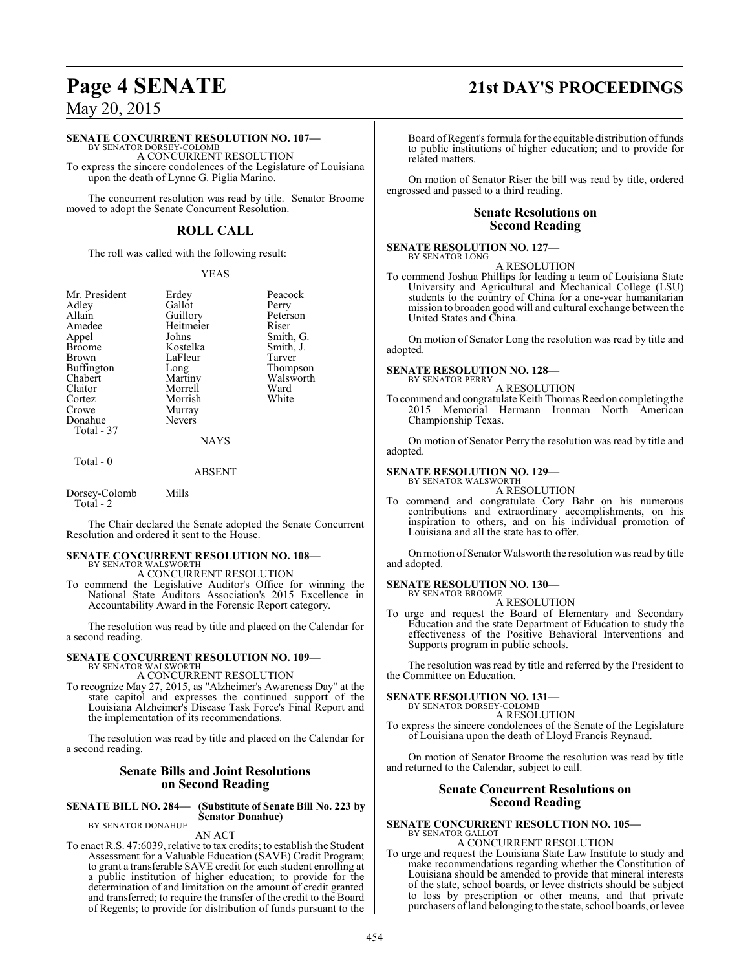# **Page 4 SENATE 21st DAY'S PROCEEDINGS**

May 20, 2015

#### **SENATE CONCURRENT RESOLUTION NO. 107—**

BY SENATOR DORSEY-COLOMB A CONCURRENT RESOLUTION To express the sincere condolences of the Legislature of Louisiana upon the death of Lynne G. Piglia Marino.

The concurrent resolution was read by title. Senator Broome moved to adopt the Senate Concurrent Resolution.

### **ROLL CALL**

The roll was called with the following result:

#### YEAS

| Mr. President | Erdey         | Peacock   |
|---------------|---------------|-----------|
| Adley         | Gallot        | Perry     |
| Allain        | Guillory      | Peterson  |
| Amedee        | Heitmeier     | Riser     |
| Appel         | Johns         | Smith, G. |
| <b>Broome</b> | Kostelka      | Smith, J. |
| Brown         | LaFleur       | Tarver    |
| Buffington    | Long          | Thompson  |
| Chabert       | Martiny       | Walsworth |
| Claitor       | Morrell       | Ward      |
| Cortez        | Morrish       | White     |
| Crowe         | Murray        |           |
| Donahue       | <b>Nevers</b> |           |
| Total - 37    |               |           |
|               | <b>NAYS</b>   |           |
|               |               |           |

Total - 0

#### ABSENT

Dorsey-Colomb Mills Total - 2

The Chair declared the Senate adopted the Senate Concurrent Resolution and ordered it sent to the House.

#### **SENATE CONCURRENT RESOLUTION NO. 108—** BY SENATOR WALSWORTH

A CONCURRENT RESOLUTION

To commend the Legislative Auditor's Office for winning the National State Auditors Association's 2015 Excellence in Accountability Award in the Forensic Report category.

The resolution was read by title and placed on the Calendar for a second reading.

# **SENATE CONCURRENT RESOLUTION NO. 109—**<br>BY SENATOR WALSWORTH A CONCURRENT RESOLUTION

To recognize May 27, 2015, as "Alzheimer's Awareness Day" at the state capitol and expresses the continued support of the Louisiana Alzheimer's Disease Task Force's Final Report and the implementation of its recommendations.

The resolution was read by title and placed on the Calendar for a second reading.

#### **Senate Bills and Joint Resolutions on Second Reading**

#### **SENATE BILL NO. 284— (Substitute of Senate Bill No. 223 by Senator Donahue)** BY SENATOR DONAHUE

AN ACT

To enact R.S. 47:6039, relative to tax credits; to establish the Student Assessment for a Valuable Education (SAVE) Credit Program; to grant a transferable SAVE credit for each student enrolling at a public institution of higher education; to provide for the determination of and limitation on the amount of credit granted and transferred; to require the transfer of the credit to the Board of Regents; to provide for distribution of funds pursuant to the

Board of Regent's formula for the equitable distribution of funds to public institutions of higher education; and to provide for related matters.

On motion of Senator Riser the bill was read by title, ordered engrossed and passed to a third reading.

#### **Senate Resolutions on Second Reading**

#### **SENATE RESOLUTION NO. 127—** BY SENATOR LONG

A RESOLUTION

To commend Joshua Phillips for leading a team of Louisiana State University and Agricultural and Mechanical College (LSU) students to the country of China for a one-year humanitarian mission to broaden good will and cultural exchange between the United States and China.

On motion of Senator Long the resolution was read by title and adopted.

#### **SENATE RESOLUTION NO. 128—**

BY SENATOR PERRY A RESOLUTION

To commend and congratulate Keith Thomas Reed on completing the 2015 Memorial Hermann Ironman North American Championship Texas.

On motion of Senator Perry the resolution was read by title and adopted.

#### **SENATE RESOLUTION NO. 129—** BY SENATOR WALSWORTH

A RESOLUTION

To commend and congratulate Cory Bahr on his numerous contributions and extraordinary accomplishments, on his inspiration to others, and on his individual promotion of Louisiana and all the state has to offer.

On motion of Senator Walsworth the resolution was read by title and adopted.

#### **SENATE RESOLUTION NO. 130—**

BY SENATOR BROOME A RESOLUTION

To urge and request the Board of Elementary and Secondary Education and the state Department of Education to study the effectiveness of the Positive Behavioral Interventions and Supports program in public schools.

The resolution was read by title and referred by the President to the Committee on Education.

#### **SENATE RESOLUTION NO. 131—**

BY SENATOR DORSEY-COLOMB A RESOLUTION

To express the sincere condolences of the Senate of the Legislature of Louisiana upon the death of Lloyd Francis Reynaud.

On motion of Senator Broome the resolution was read by title and returned to the Calendar, subject to call.

#### **Senate Concurrent Resolutions on Second Reading**

#### **SENATE CONCURRENT RESOLUTION NO. 105—** BY SENATOR GALLOT

A CONCURRENT RESOLUTION To urge and request the Louisiana State Law Institute to study and make recommendations regarding whether the Constitution of Louisiana should be amended to provide that mineral interests of the state, school boards, or levee districts should be subject to loss by prescription or other means, and that private purchasers of land belonging to the state, school boards, or levee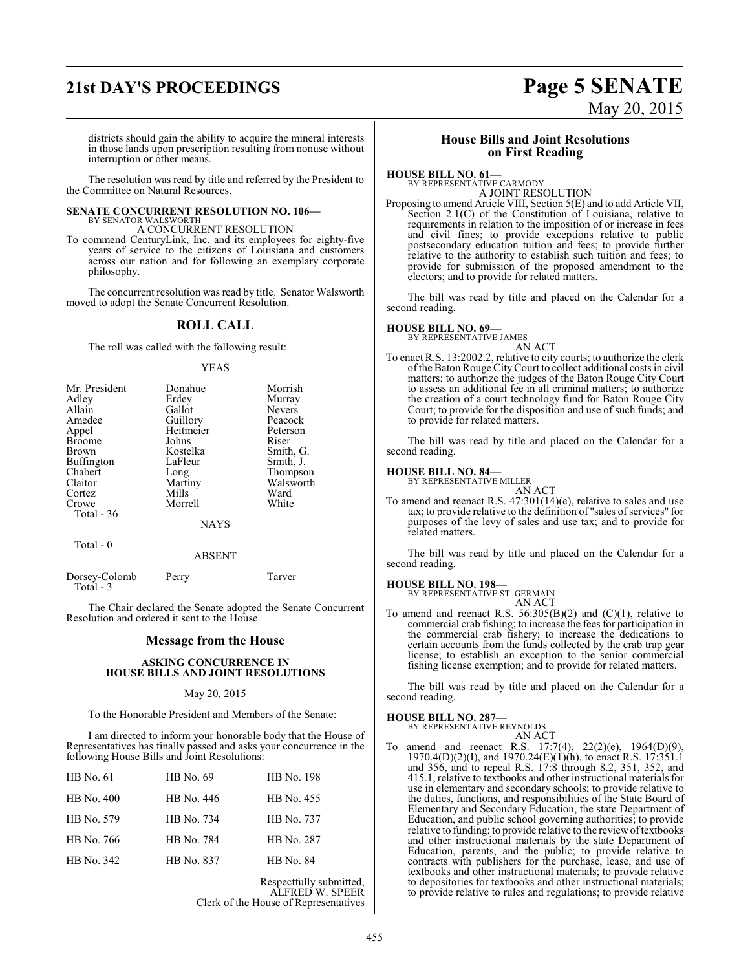# **21st DAY'S PROCEEDINGS Page 5 SENATE**

# May 20, 2015

districts should gain the ability to acquire the mineral interests in those lands upon prescription resulting from nonuse without interruption or other means.

The resolution was read by title and referred by the President to the Committee on Natural Resources.

**SENATE CONCURRENT RESOLUTION NO. 106—** BY SENATOR WALSWORTH A CONCURRENT RESOLUTION

To commend CenturyLink, Inc. and its employees for eighty-five years of service to the citizens of Louisiana and customers across our nation and for following an exemplary corporate philosophy.

The concurrent resolution was read by title. Senator Walsworth moved to adopt the Senate Concurrent Resolution.

## **ROLL CALL**

The roll was called with the following result:

#### YEAS

| Mr. President     | Donahue   | Morrish       |
|-------------------|-----------|---------------|
| Adley             | Erdey     | Murray        |
| Allain            | Gallot    | <b>Nevers</b> |
| Amedee            | Guillory  | Peacock       |
| Appel             | Heitmeier | Peterson      |
| <b>Broome</b>     | Johns     | Riser         |
| <b>Brown</b>      | Kostelka  | Smith, G.     |
| <b>Buffington</b> | LaFleur   | Smith, J.     |
| Chabert           | Long      | Thompson      |
| Claitor           | Martiny   | Walsworth     |
| Cortez            | Mills     | Ward          |
| Crowe             | Morrell   | White         |
| Total $-36$       |           |               |
|                   | NAYS      |               |

Total - 0

# ABSENT

| Dorsey-Colomb<br>Total - 3 | Perry | Tarver |
|----------------------------|-------|--------|
|                            |       |        |

The Chair declared the Senate adopted the Senate Concurrent Resolution and ordered it sent to the House.

### **Message from the House**

#### **ASKING CONCURRENCE IN HOUSE BILLS AND JOINT RESOLUTIONS**

#### May 20, 2015

To the Honorable President and Members of the Senate:

I am directed to inform your honorable body that the House of Representatives has finally passed and asks your concurrence in the following House Bills and Joint Resolutions:

| $HB$ No. 61 | HB No. 69  | HB No. 198 |
|-------------|------------|------------|
| HB No. 400  | HB No. 446 | HB No. 455 |
| HB No. 579  | HB No. 734 | HB No. 737 |
| HB No. 766  | HB No. 784 | HB No. 287 |
| HB No. 342  | HB No. 837 | HB No. 84  |

Respectfully submitted, ALFRED W. SPEER Clerk of the House of Representatives

#### **House Bills and Joint Resolutions on First Reading**

# **HOUSE BILL NO. 61—** BY REPRESENTATIVE CARMODY

A JOINT RESOLUTION

Proposing to amend Article VIII, Section 5(E) and to add Article VII, Section 2.1(C) of the Constitution of Louisiana, relative to requirements in relation to the imposition of or increase in fees and civil fines; to provide exceptions relative to public postsecondary education tuition and fees; to provide further relative to the authority to establish such tuition and fees; to provide for submission of the proposed amendment to the electors; and to provide for related matters.

The bill was read by title and placed on the Calendar for a second reading.

# **HOUSE BILL NO. 69—** BY REPRESENTATIVE JAMES

AN ACT To enact R.S. 13:2002.2, relative to city courts; to authorize the clerk of the Baton Rouge CityCourt to collect additional costs in civil matters; to authorize the judges of the Baton Rouge City Court to assess an additional fee in all criminal matters; to authorize the creation of a court technology fund for Baton Rouge City Court; to provide for the disposition and use of such funds; and to provide for related matters.

The bill was read by title and placed on the Calendar for a second reading.

### **HOUSE BILL NO. 84—**

BY REPRESENTATIVE MILLER

AN ACT To amend and reenact R.S. 47:301(14)(e), relative to sales and use tax; to provide relative to the definition of "sales of services" for purposes of the levy of sales and use tax; and to provide for related matters.

The bill was read by title and placed on the Calendar for a second reading.

## **HOUSE BILL NO. 198—**

BY REPRESENTATIVE ST. GERMAIN AN ACT

To amend and reenact R.S.  $56:305(B)(2)$  and  $(C)(1)$ , relative to commercial crab fishing; to increase the fees for participation in the commercial crab fishery; to increase the dedications to certain accounts from the funds collected by the crab trap gear license; to establish an exception to the senior commercial fishing license exemption; and to provide for related matters.

The bill was read by title and placed on the Calendar for a second reading.

#### **HOUSE BILL NO. 287—**

| - - - - - - - - - - - - - - - - |  |
|---------------------------------|--|
| BY REPRESENTATIVE REYNOLDS      |  |
| AN ACT                          |  |

To amend and reenact R.S. 17:7(4), 22(2)(e), 1964(D)(9), 1970.4(D)(2)(I), and 1970.24(E)(1)(h), to enact R.S. 17:351.1 and 356, and to repeal R.S. 17:8 through 8.2, 351, 352, and 415.1, relative to textbooks and other instructional materials for use in elementary and secondary schools; to provide relative to the duties, functions, and responsibilities of the State Board of Elementary and Secondary Education, the state Department of Education, and public school governing authorities; to provide relative to funding; to provide relative to the reviewoftextbooks and other instructional materials by the state Department of Education, parents, and the public; to provide relative to contracts with publishers for the purchase, lease, and use of textbooks and other instructional materials; to provide relative to depositories for textbooks and other instructional materials; to provide relative to rules and regulations; to provide relative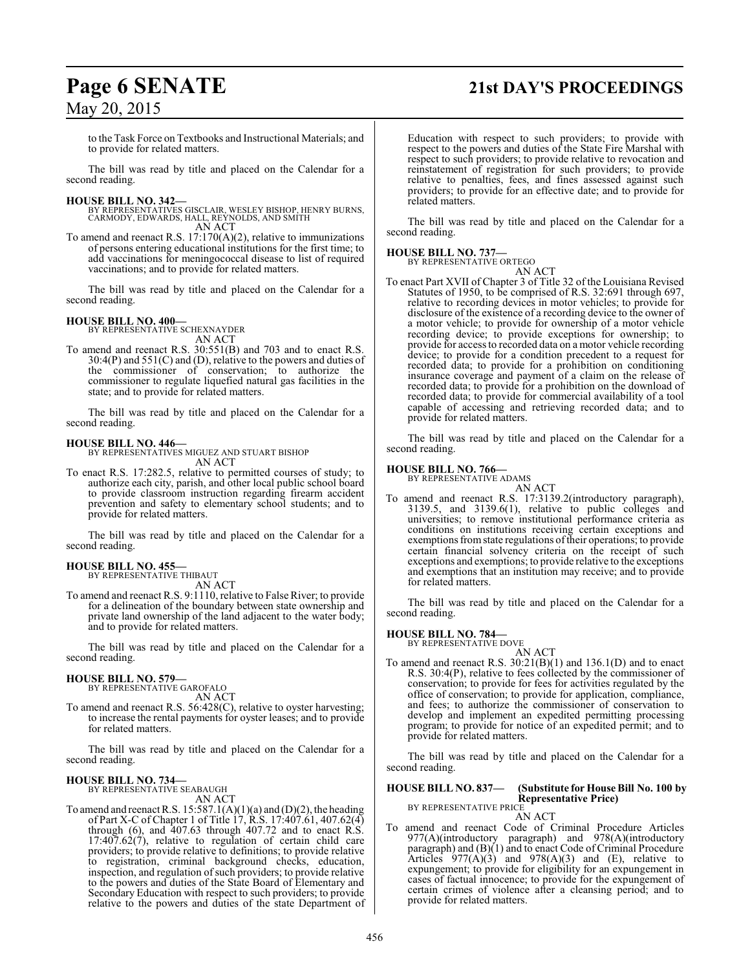# **Page 6 SENATE 21st DAY'S PROCEEDINGS**

to the Task Force on Textbooks and Instructional Materials; and to provide for related matters.

The bill was read by title and placed on the Calendar for a second reading.

#### **HOUSE BILL NO. 342—**

BY REPRESENTATIVES GISCLAIR, WESLEY BISHOP, HENRY BURNS, CARMODY, EDWARDS, HALL, REYNOLDS, AND SMITH AN ACT

To amend and reenact R.S.  $17:170(A)(2)$ , relative to immunizations of persons entering educational institutions for the first time; to add vaccinations for meningococcal disease to list of required vaccinations; and to provide for related matters.

The bill was read by title and placed on the Calendar for a second reading.

#### **HOUSE BILL NO. 400—**

BY REPRESENTATIVE SCHEXNAYDER AN ACT

To amend and reenact R.S. 30:551(B) and 703 and to enact R.S. 30:4(P) and 551(C) and (D), relative to the powers and duties of the commissioner of conservation; to authorize the commissioner to regulate liquefied natural gas facilities in the state; and to provide for related matters.

The bill was read by title and placed on the Calendar for a second reading.

## **HOUSE BILL NO. 446—**

BY REPRESENTATIVES MIGUEZ AND STUART BISHOP AN ACT

To enact R.S. 17:282.5, relative to permitted courses of study; to authorize each city, parish, and other local public school board to provide classroom instruction regarding firearm accident prevention and safety to elementary school students; and to provide for related matters.

The bill was read by title and placed on the Calendar for a second reading.

## **HOUSE BILL NO. 455—**

BY REPRESENTATIVE THIBAUT AN ACT

To amend and reenact R.S. 9:1110, relative to False River; to provide for a delineation of the boundary between state ownership and private land ownership of the land adjacent to the water body; and to provide for related matters.

The bill was read by title and placed on the Calendar for a second reading.

#### **HOUSE BILL NO. 579—**

BY REPRESENTATIVE GAROFALO AN ACT

To amend and reenact R.S. 56:428(C), relative to oyster harvesting; to increase the rental payments for oyster leases; and to provide for related matters.

The bill was read by title and placed on the Calendar for a second reading.

# **HOUSE BILL NO. 734—** BY REPRESENTATIVE SEABAUGH

AN ACT

To amend and reenact R.S.  $15:587.1(A)(1)(a)$  and  $(D)(2)$ , the heading of Part X-C of Chapter 1 of Title 17, R.S. 17:407.61, 407.62(4) through  $(6)$ , and  $407.63$  through  $407.72$  and to enact R.S.  $17:407.62(7)$ , relative to regulation of certain child care providers; to provide relative to definitions; to provide relative to registration, criminal background checks, education, inspection, and regulation of such providers; to provide relative to the powers and duties of the State Board of Elementary and Secondary Education with respect to such providers; to provide relative to the powers and duties of the state Department of Education with respect to such providers; to provide with respect to the powers and duties of the State Fire Marshal with respect to such providers; to provide relative to revocation and reinstatement of registration for such providers; to provide relative to penalties, fees, and fines assessed against such providers; to provide for an effective date; and to provide for related matters.

The bill was read by title and placed on the Calendar for a second reading.

#### **HOUSE BILL NO. 737—**

BY REPRESENTATIVE ORTEGO

AN ACT To enact Part XVII of Chapter 3 of Title 32 of the Louisiana Revised Statutes of 1950, to be comprised of R.S. 32:691 through 697, relative to recording devices in motor vehicles; to provide for disclosure of the existence of a recording device to the owner of a motor vehicle; to provide for ownership of a motor vehicle recording device; to provide exceptions for ownership; to provide for access to recorded data on a motor vehicle recording device; to provide for a condition precedent to a request for recorded data; to provide for a prohibition on conditioning insurance coverage and payment of a claim on the release of recorded data; to provide for a prohibition on the download of recorded data; to provide for commercial availability of a tool capable of accessing and retrieving recorded data; and to provide for related matters.

The bill was read by title and placed on the Calendar for a second reading.

#### **HOUSE BILL NO. 766—** BY REPRESENTATIVE ADAMS

AN ACT

To amend and reenact R.S. 17:3139.2(introductory paragraph), 3139.5, and 3139.6(1), relative to public colleges and universities; to remove institutional performance criteria as conditions on institutions receiving certain exceptions and exemptions fromstate regulations oftheir operations; to provide certain financial solvency criteria on the receipt of such exceptions and exemptions; to provide relative to the exceptions and exemptions that an institution may receive; and to provide for related matters.

The bill was read by title and placed on the Calendar for a second reading.

#### **HOUSE BILL NO. 784—**

BY REPRESENTATIVE DOVE

AN ACT To amend and reenact R.S. 30:21(B)(1) and 136.1(D) and to enact R.S. 30:4(P), relative to fees collected by the commissioner of conservation; to provide for fees for activities regulated by the office of conservation; to provide for application, compliance, and fees; to authorize the commissioner of conservation to develop and implement an expedited permitting processing program; to provide for notice of an expedited permit; and to provide for related matters.

The bill was read by title and placed on the Calendar for a second reading.

#### **HOUSE BILL NO. 837— (Substitute for House Bill No. 100 by Representative Price)** BY REPRESENTATIVE PRICE

AN ACT

To amend and reenact Code of Criminal Procedure Articles 977(A)(introductory paragraph) and 978(A)(introductory paragraph) and (B)(1) and to enact Code of Criminal Procedure Articles  $977(A)(3)$  and  $978(A)(3)$  and  $(E)$ , relative to expungement; to provide for eligibility for an expungement in cases of factual innocence; to provide for the expungement of certain crimes of violence after a cleansing period; and to provide for related matters.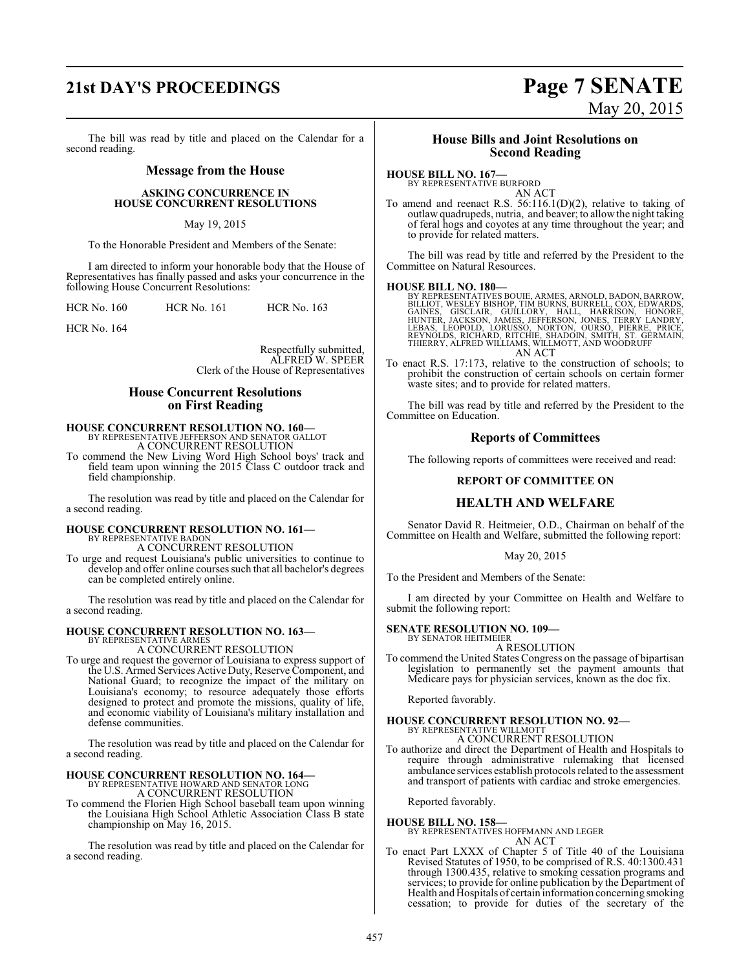# **21st DAY'S PROCEEDINGS Page 7 SENATE**

The bill was read by title and placed on the Calendar for a second reading.

#### **Message from the House**

#### **ASKING CONCURRENCE IN HOUSE CONCURRENT RESOLUTIONS**

May 19, 2015

To the Honorable President and Members of the Senate:

I am directed to inform your honorable body that the House of Representatives has finally passed and asks your concurrence in the following House Concurrent Resolutions:

HCR No. 160 HCR No. 161 HCR No. 163

HCR No. 164

Respectfully submitted, ALFRED W. SPEER Clerk of the House of Representatives

#### **House Concurrent Resolutions on First Reading**

## **HOUSE CONCURRENT RESOLUTION NO. 160—** BY REPRESENTATIVE JEFFERSON AND SENATOR GALLOT

A CONCURRENT RESOLUTION

To commend the New Living Word High School boys' track and field team upon winning the 2015 Class C outdoor track and field championship.

The resolution was read by title and placed on the Calendar for a second reading.

## **HOUSE CONCURRENT RESOLUTION NO. 161—**

BY REPRESENTATIVE BADON A CONCURRENT RESOLUTION

To urge and request Louisiana's public universities to continue to develop and offer online courses such that all bachelor's degrees can be completed entirely online.

The resolution was read by title and placed on the Calendar for a second reading.

# **HOUSE CONCURRENT RESOLUTION NO. 163—** BY REPRESENTATIVE ARMES

A CONCURRENT RESOLUTION

To urge and request the governor of Louisiana to express support of the U.S. Armed Services Active Duty, Reserve Component, and National Guard; to recognize the impact of the military on Louisiana's economy; to resource adequately those efforts designed to protect and promote the missions, quality of life, and economic viability of Louisiana's military installation and defense communities.

The resolution was read by title and placed on the Calendar for a second reading.

# **HOUSE CONCURRENT RESOLUTION NO. 164—** BY REPRESENTATIVE HOWARD AND SENATOR LONG A CONCURRENT RESOLUTION

To commend the Florien High School baseball team upon winning the Louisiana High School Athletic Association Class B state championship on May 16, 2015.

The resolution was read by title and placed on the Calendar for a second reading.

# May 20, 2015

## **House Bills and Joint Resolutions on Second Reading**

# **HOUSE BILL NO. 167—** BY REPRESENTATIVE BURFORD

AN ACT

To amend and reenact R.S. 56:116.1(D)(2), relative to taking of outlaw quadrupeds, nutria, and beaver; to allow the night taking of feral hogs and coyotes at any time throughout the year; and to provide for related matters.

The bill was read by title and referred by the President to the Committee on Natural Resources.

#### **HOUSE BILL NO. 180—**

BY REPRESENTATIVES BOUIE, ARMES, ARNOLD, BADON, BARROW, BILLIOT, WESLEY BISHOP, TIM BURNS, BURRELL, COX, EDWARDS, GISCLAIR, GUILLORY, HALL, HARRISON, HONORE, HUNTER, JACKSON, JAMES, JEFFERSON, JONES, TERRY LANDRY, LEBAS, L

To enact R.S. 17:173, relative to the construction of schools; to prohibit the construction of certain schools on certain former waste sites; and to provide for related matters.

The bill was read by title and referred by the President to the Committee on Education.

#### **Reports of Committees**

The following reports of committees were received and read:

#### **REPORT OF COMMITTEE ON**

## **HEALTH AND WELFARE**

Senator David R. Heitmeier, O.D., Chairman on behalf of the Committee on Health and Welfare, submitted the following report:

#### May 20, 2015

To the President and Members of the Senate:

I am directed by your Committee on Health and Welfare to submit the following report:

#### **SENATE RESOLUTION NO. 109—** BY SENATOR HEITMEIER

A RESOLUTION

To commend the United States Congress on the passage of bipartisan legislation to permanently set the payment amounts that Medicare pays for physician services, known as the doc fix.

Reported favorably.

## **HOUSE CONCURRENT RESOLUTION NO. 92—** BY REPRESENTATIVE WILLMOTT A CONCURRENT RESOLUTION

To authorize and direct the Department of Health and Hospitals to require through administrative rulemaking that licensed ambulance services establish protocols related to the assessment and transport of patients with cardiac and stroke emergencies.

Reported favorably.

#### **HOUSE BILL NO. 158—**

BY REPRESENTATIVES HOFFMANN AND LEGER AN ACT

To enact Part LXXX of Chapter 5 of Title 40 of the Louisiana Revised Statutes of 1950, to be comprised of R.S. 40:1300.431 through 1300.435, relative to smoking cessation programs and services; to provide for online publication by the Department of Health and Hospitals of certain information concerning smoking cessation; to provide for duties of the secretary of the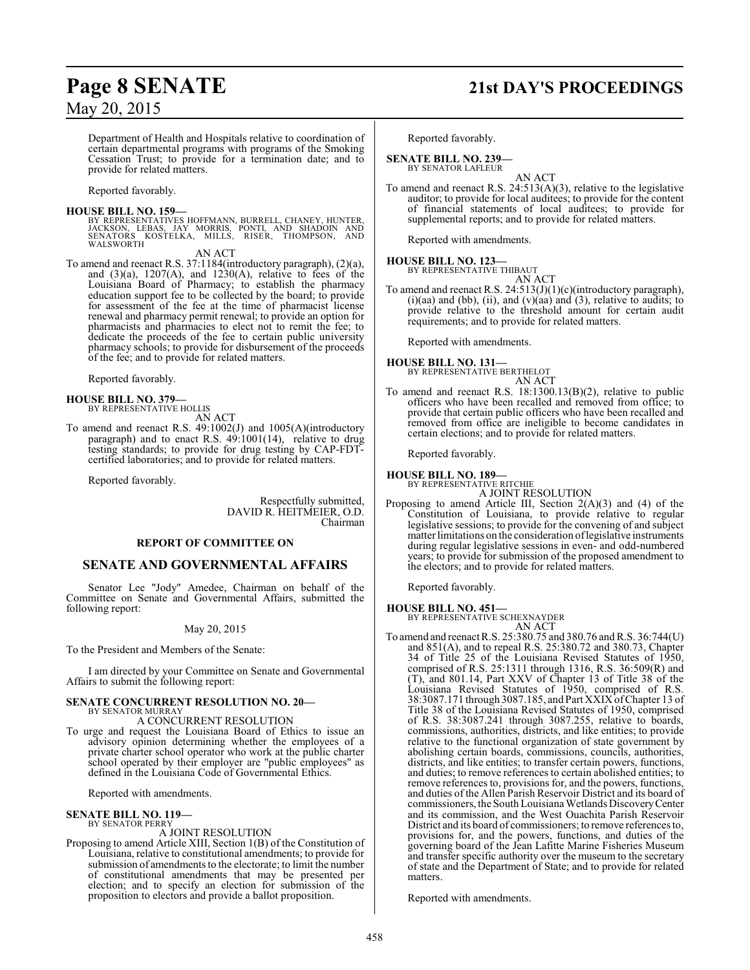Department of Health and Hospitals relative to coordination of certain departmental programs with programs of the Smoking Cessation Trust; to provide for a termination date; and to provide for related matters.

Reported favorably.

**HOUSE BILL NO. 159—** BY REPRESENTATIVES HOFFMANN, BURRELL, CHANEY, HUNTER, JACKSON, LEBAS, JAY MORRIS, PONTI, AND SHADOIN AND SENATORS KOSTELKA, MILLS, RISER, THOMPSON, AND WALSWORTH

AN ACT

To amend and reenact R.S. 37:1184(introductory paragraph), (2)(a), and  $(3)(a)$ ,  $1207(A)$ , and  $1230(A)$ , relative to fees of the Louisiana Board of Pharmacy; to establish the pharmacy education support fee to be collected by the board; to provide for assessment of the fee at the time of pharmacist license renewal and pharmacy permit renewal; to provide an option for pharmacists and pharmacies to elect not to remit the fee; to dedicate the proceeds of the fee to certain public university pharmacy schools; to provide for disbursement of the proceeds of the fee; and to provide for related matters.

Reported favorably.

#### **HOUSE BILL NO. 379—** BY REPRESENTATIVE HOLLIS

AN ACT To amend and reenact R.S. 49:1002(J) and 1005(A)(introductory paragraph) and to enact R.S. 49:1001(14), relative to drug testing standards; to provide for drug testing by CAP-FDTcertified laboratories; and to provide for related matters.

Reported favorably.

Respectfully submitted, DAVID R. HEITMEIER, O.D. Chairman

#### **REPORT OF COMMITTEE ON**

#### **SENATE AND GOVERNMENTAL AFFAIRS**

Senator Lee "Jody" Amedee, Chairman on behalf of the Committee on Senate and Governmental Affairs, submitted the following report:

#### May 20, 2015

To the President and Members of the Senate:

I am directed by your Committee on Senate and Governmental Affairs to submit the following report:

#### **SENATE CONCURRENT RESOLUTION NO. 20—** BY SENATOR MURRAY

A CONCURRENT RESOLUTION

To urge and request the Louisiana Board of Ethics to issue an advisory opinion determining whether the employees of a private charter school operator who work at the public charter school operated by their employer are "public employees" as defined in the Louisiana Code of Governmental Ethics.

Reported with amendments.

#### **SENATE BILL NO. 119—** BY SENATOR PERRY

A JOINT RESOLUTION

Proposing to amend Article XIII, Section 1(B) of the Constitution of Louisiana, relative to constitutional amendments; to provide for submission of amendments to the electorate; to limit the number of constitutional amendments that may be presented per election; and to specify an election for submission of the proposition to electors and provide a ballot proposition.

# **Page 8 SENATE 21st DAY'S PROCEEDINGS**

Reported favorably.

## **SENATE BILL NO. 239—**

BY SENATOR LAFLEUR

AN ACT To amend and reenact R.S. 24:513(A)(3), relative to the legislative auditor; to provide for local auditees; to provide for the content of financial statements of local auditees; to provide for supplemental reports; and to provide for related matters.

Reported with amendments.

**HOUSE BILL NO. 123—**

BY REPRESENTATIVE THIBAUT

AN ACT To amend and reenact R.S. 24:513(J)(1)(c)(introductory paragraph),  $(i)(aa)$  and  $(bb)$ ,  $(ii)$ , and  $(v)(aa)$  and  $(3)$ , relative to audits; to provide relative to the threshold amount for certain audit requirements; and to provide for related matters.

Reported with amendments.

**HOUSE BILL NO. 131—**

BY REPRESENTATIVE BERTHELOT AN ACT

To amend and reenact R.S. 18:1300.13(B)(2), relative to public officers who have been recalled and removed from office; to provide that certain public officers who have been recalled and removed from office are ineligible to become candidates in certain elections; and to provide for related matters.

Reported favorably.

#### **HOUSE BILL NO. 189—**

BY REPRESENTATIVE RITCHIE

A JOINT RESOLUTION Proposing to amend Article III, Section  $2(A)(3)$  and (4) of the Constitution of Louisiana, to provide relative to regular legislative sessions; to provide for the convening of and subject matter limitations on the consideration of legislative instruments during regular legislative sessions in even- and odd-numbered years; to provide for submission of the proposed amendment to the electors; and to provide for related matters.

Reported favorably.

**HOUSE BILL NO. 451—**

BY REPRESENTATIVE SCHEXNAYDER

AN ACT To amend and reenact R.S. 25:380.75 and 380.76 andR.S. 36:744(U) and 851(A), and to repeal R.S. 25:380.72 and 380.73, Chapter 34 of Title 25 of the Louisiana Revised Statutes of 1950, comprised of R.S. 25:1311 through 1316, R.S. 36:509(R) and (T), and 801.14, Part XXV of Chapter 13 of Title 38 of the Louisiana Revised Statutes of 1950, comprised of R.S. 38:3087.171 through 3087.185, and Part XXIX ofChapter 13 of Title 38 of the Louisiana Revised Statutes of 1950, comprised of R.S. 38:3087.241 through 3087.255, relative to boards, commissions, authorities, districts, and like entities; to provide relative to the functional organization of state government by abolishing certain boards, commissions, councils, authorities, districts, and like entities; to transfer certain powers, functions, and duties; to remove references to certain abolished entities; to remove references to, provisions for, and the powers, functions, and duties of the Allen Parish Reservoir District and its board of commissioners, the South Louisiana Wetlands DiscoveryCenter and its commission, and the West Ouachita Parish Reservoir District and its board of commissioners; to remove references to, provisions for, and the powers, functions, and duties of the governing board of the Jean Lafitte Marine Fisheries Museum and transfer specific authority over the museum to the secretary of state and the Department of State; and to provide for related matters.

Reported with amendments.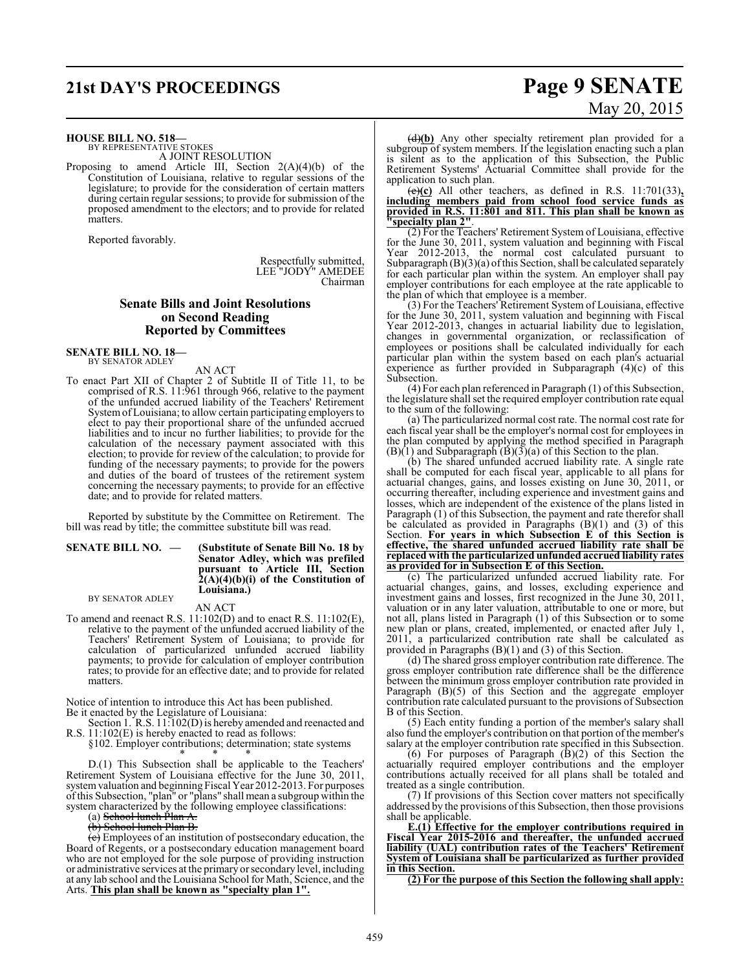# **21st DAY'S PROCEEDINGS Page 9 SENATE**

**HOUSE BILL NO. 518—**

BY REPRESENTATIVE STOKES A JOINT RESOLUTION

Proposing to amend Article III, Section 2(A)(4)(b) of the Constitution of Louisiana, relative to regular sessions of the legislature; to provide for the consideration of certain matters during certain regular sessions; to provide for submission of the proposed amendment to the electors; and to provide for related matters.

Reported favorably.

Respectfully submitted, LEE "JODY" AMEDEE Chairman

#### **Senate Bills and Joint Resolutions on Second Reading Reported by Committees**

**SENATE BILL NO. 18—** BY SENATOR ADLEY

#### AN ACT

To enact Part XII of Chapter 2 of Subtitle II of Title 11, to be comprised of R.S. 11:961 through 966, relative to the payment of the unfunded accrued liability of the Teachers' Retirement Systemof Louisiana; to allow certain participating employers to elect to pay their proportional share of the unfunded accrued liabilities and to incur no further liabilities; to provide for the calculation of the necessary payment associated with this election; to provide for review of the calculation; to provide for funding of the necessary payments; to provide for the powers and duties of the board of trustees of the retirement system concerning the necessary payments; to provide for an effective date; and to provide for related matters.

Reported by substitute by the Committee on Retirement. The bill was read by title; the committee substitute bill was read.

#### **SENATE BILL NO. — (Substitute of Senate Bill No. 18 by Senator Adley, which was prefiled pursuant to Article III, Section 2(A)(4)(b)(i) of the Constitution of Louisiana.)**

BY SENATOR ADLEY

AN ACT To amend and reenact R.S. 11:102(D) and to enact R.S. 11:102(E), relative to the payment of the unfunded accrued liability of the Teachers' Retirement System of Louisiana; to provide for calculation of particularized unfunded accrued liability payments; to provide for calculation of employer contribution rates; to provide for an effective date; and to provide for related matters.

Notice of intention to introduce this Act has been published. Be it enacted by the Legislature of Louisiana:

- Section 1. R.S. 11:102(D) is hereby amended and reenacted and R.S. 11:102(E) is hereby enacted to read as follows:
	- §102. Employer contributions; determination; state systems

\* \* \* D.(1) This Subsection shall be applicable to the Teachers' Retirement System of Louisiana effective for the June 30, 2011, system valuation and beginning Fiscal Year 2012-2013. For purposes ofthis Subsection, "plan" or "plans" shall mean a subgroup within the system characterized by the following employee classifications:

(a) <del>School lunch Plan A.</del>

(b) School lunch Plan B.

 $\overrightarrow{e}$  Employees of an institution of postsecondary education, the Board of Regents, or a postsecondary education management board who are not employed for the sole purpose of providing instruction or administrative services at the primary or secondarylevel, including at any lab school and the Louisiana School for Math, Science, and the Arts. **This plan shall be known as "specialty plan 1".**

# May 20, 2015

(d)**(b)** Any other specialty retirement plan provided for a subgroup of system members. If the legislation enacting such a plan is silent as to the application of this Subsection, the Public Retirement Systems' Actuarial Committee shall provide for the application to such plan.

(e)**(c)** All other teachers, as defined in R.S. 11:701(33)**, including members paid from school food service funds as provided in R.S. 11:801 and 811. This plan shall be known as "specialty plan 2"**.

(2) For the Teachers' Retirement System of Louisiana, effective for the June 30, 2011, system valuation and beginning with Fiscal Year 2012-2013, the normal cost calculated pursuant to Subparagraph  $(B)(3)(a)$  of this Section, shall be calculated separately for each particular plan within the system. An employer shall pay employer contributions for each employee at the rate applicable to the plan of which that employee is a member.

(3) For the Teachers' Retirement System of Louisiana, effective for the June 30, 2011, system valuation and beginning with Fiscal Year 2012-2013, changes in actuarial liability due to legislation, changes in governmental organization, or reclassification of employees or positions shall be calculated individually for each particular plan within the system based on each plan's actuarial experience as further provided in Subparagraph (4)(c) of this Subsection.

(4) For each plan referenced in Paragraph (1) of this Subsection, the legislature shall set the required employer contribution rate equal to the sum of the following:

(a) The particularized normal cost rate. The normal cost rate for each fiscal year shall be the employer's normal cost for employees in the plan computed by applying the method specified in Paragraph  $(B)(1)$  and Subparagraph  $(B)(3)(a)$  of this Section to the plan.

(b) The shared unfunded accrued liability rate. A single rate shall be computed for each fiscal year, applicable to all plans for actuarial changes, gains, and losses existing on June 30, 2011, or occurring thereafter, including experience and investment gains and losses, which are independent of the existence of the plans listed in Paragraph (1) of this Subsection, the payment and rate therefor shall be calculated as provided in Paragraphs (B)(1) and (3) of this Section. **For years in which Subsection E of this Section is effective, the shared unfunded accrued liability rate shall be replaced with the particularized unfunded accrued liability rates as provided for in Subsection E of this Section.**

(c) The particularized unfunded accrued liability rate. For actuarial changes, gains, and losses, excluding experience and investment gains and losses, first recognized in the June 30, 2011, valuation or in any later valuation, attributable to one or more, but not all, plans listed in Paragraph (1) of this Subsection or to some new plan or plans, created, implemented, or enacted after July 1, 2011, a particularized contribution rate shall be calculated as provided in Paragraphs (B)(1) and (3) of this Section.

(d) The shared gross employer contribution rate difference. The gross employer contribution rate difference shall be the difference between the minimum gross employer contribution rate provided in Paragraph (B)(5) of this Section and the aggregate employer contribution rate calculated pursuant to the provisions of Subsection B of this Section.

(5) Each entity funding a portion of the member's salary shall also fund the employer's contribution on that portion of the member's salary at the employer contribution rate specified in this Subsection.

(6) For purposes of Paragraph (B)(2) of this Section the actuarially required employer contributions and the employer contributions actually received for all plans shall be totaled and treated as a single contribution.

(7) If provisions of this Section cover matters not specifically addressed by the provisions ofthis Subsection, then those provisions shall be applicable.

**E.(1) Effective for the employer contributions required in Fiscal Year 2015-2016 and thereafter, the unfunded accrued liability (UAL) contribution rates of the Teachers' Retirement System of Louisiana shall be particularized as further provided in this Section.**

**(2) For the purpose of this Section the following shall apply:**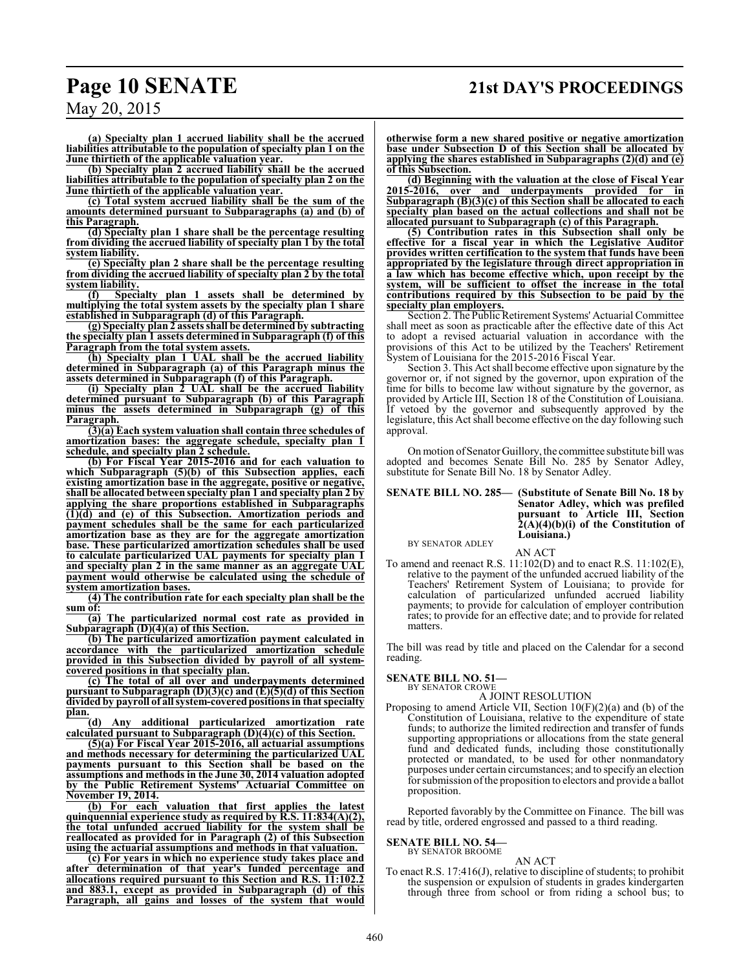# **Page 10 SENATE 21st DAY'S PROCEEDINGS**

May 20, 2015

**(a) Specialty plan 1 accrued liability shall be the accrued liabilities attributable to the population of specialty plan 1 on the June thirtieth of the applicable valuation year.**

**(b) Specialty plan 2 accrued liability shall be the accrued liabilities attributable to the population of specialty plan 2 on the June thirtieth of the applicable valuation year.**

**(c) Total system accrued liability shall be the sum of the amounts determined pursuant to Subparagraphs (a) and (b) of this Paragraph.**

**(d) Specialty plan 1 share shall be the percentage resulting from dividing the accrued liability of specialty plan 1 by the total system liability.**

**(e) Specialty plan 2 share shall be the percentage resulting from dividing the accrued liability of specialty plan 2 by the total system liability.**<br>(f) Speci

**(f) Specialty plan 1 assets shall be determined by multiplying the total system assets by the specialty plan 1 share established in Subparagraph (d) of this Paragraph.**

**(g) Specialty plan 2 assets shall be determined by subtracting the specialty plan 1 assets determined in Subparagraph (f) of this Paragraph from the total system assets.**

**(h) Specialty plan 1 UAL shall be the accrued liability determined in Subparagraph (a) of this Paragraph minus the assets determined in Subparagraph (f) of this Paragraph.**

**(i) Specialty plan 2 UAL shall be the accrued liability determined pursuant to Subparagraph (b) of this Paragraph minus the assets determined in Subparagraph (g) of this Paragraph.**

**(3)(a) Each system valuation shall contain three schedules of amortization bases: the aggregate schedule, specialty plan 1 schedule, and specialty plan 2 schedule.**

**(b) For Fiscal Year 2015-2016 and for each valuation to which Subparagraph (5)(b) of this Subsection applies, each existing amortization base in the aggregate, positive or negative, shall be allocated between specialty plan 1 and specialty plan 2 by applying the share proportions established in Subparagraphs (1)(d) and (e) of this Subsection. Amortization periods and payment schedules shall be the same for each particularized amortization base as they are for the aggregate amortization base. These particularized amortization schedules shall be used to calculate particularized UAL payments for specialty plan 1 and specialty plan 2 in the same manner as an aggregate UAL payment would otherwise be calculated using the schedule of system amortization bases.**

**(4) The contribution rate for each specialty plan shall be the sum of:**

**(a) The particularized normal cost rate as provided in Subparagraph (D)(4)(a) of this Section.**

**(b) The particularized amortization payment calculated in accordance with the particularized amortization schedule provided in this Subsection divided by payroll of all systemcovered positions in that specialty plan.**

**(c) The total of all over and underpayments determined pursuant to Subparagraph (D)(3)(c) and (E)(5)(d) of this Section divided by payroll of all system-coveredpositions in that specialty plan.**

**(d) Any additional particularized amortization rate calculated pursuant to Subparagraph (D)(4)(c) of this Section.**

**(5)(a) For Fiscal Year 2015-2016, all actuarial assumptions and methods necessary for determining the particularized UAL payments pursuant to this Section shall be based on the assumptions and methods in the June 30, 2014 valuation adopted by the Public Retirement Systems' Actuarial Committee on November 19, 2014.**

**(b) For each valuation that first applies the latest quinquennial experience study as required by R.S. 11:834(A)(2), the total unfunded accrued liability for the system shall be reallocated as provided for in Paragraph (2) of this Subsection using the actuarial assumptions and methods in that valuation.**

**(c) For years in which no experience study takes place and after determination of that year's funded percentage and allocations required pursuant to this Section and R.S. 11:102.2 and 883.1, except as provided in Subparagraph (d) of this Paragraph, all gains and losses of the system that would**

**otherwise form a new shared positive or negative amortization base under Subsection D of this Section shall be allocated by applying the shares established in Subparagraphs (2)(d) and (e) of this Subsection.**

**(d) Beginning with the valuation at the close of Fiscal Year 2015-2016, over and underpayments provided for in Subparagraph (B)(3)(c) of this Section shall be allocated to each specialty plan based on the actual collections and shall not be allocated pursuant to Subparagraph (c) of this Paragraph.**

**(5) Contribution rates in this Subsection shall only be effective for a fiscal year in which the Legislative Auditor provides written certification to the system that funds have been appropriated by the legislature through direct appropriation in a law which has become effective which, upon receipt by the system, will be sufficient to offset the increase in the total contributions required by this Subsection to be paid by the specialty plan employers.**

Section 2. The Public Retirement Systems' Actuarial Committee shall meet as soon as practicable after the effective date of this Act to adopt a revised actuarial valuation in accordance with the provisions of this Act to be utilized by the Teachers' Retirement System of Louisiana for the 2015-2016 Fiscal Year.

Section 3. This Act shall become effective upon signature by the governor or, if not signed by the governor, upon expiration of the time for bills to become law without signature by the governor, as provided by Article III, Section 18 of the Constitution of Louisiana. If vetoed by the governor and subsequently approved by the legislature, this Act shall become effective on the day following such approval.

On motion ofSenator Guillory, the committee substitute bill was adopted and becomes Senate Bill No. 285 by Senator Adley, substitute for Senate Bill No. 18 by Senator Adley.

#### **SENATE BILL NO. 285— (Substitute of Senate Bill No. 18 by Senator Adley, which was prefiled pursuant to Article III, Section 2(A)(4)(b)(i) of the Constitution of Louisiana.)**

BY SENATOR ADLEY

AN ACT To amend and reenact R.S. 11:102(D) and to enact R.S. 11:102(E), relative to the payment of the unfunded accrued liability of the Teachers' Retirement System of Louisiana; to provide for calculation of particularized unfunded accrued liability payments; to provide for calculation of employer contribution rates; to provide for an effective date; and to provide for related matters.

The bill was read by title and placed on the Calendar for a second reading.

#### **SENATE BILL NO. 51—**

BY SENATOR CROWE A JOINT RESOLUTION

Proposing to amend Article VII, Section 10(F)(2)(a) and (b) of the Constitution of Louisiana, relative to the expenditure of state funds; to authorize the limited redirection and transfer of funds supporting appropriations or allocations from the state general fund and dedicated funds, including those constitutionally protected or mandated, to be used for other nonmandatory purposes under certain circumstances; and to specify an election for submission ofthe proposition to electors and provide a ballot proposition.

Reported favorably by the Committee on Finance. The bill was read by title, ordered engrossed and passed to a third reading.

## **SENATE BILL NO. 54—**

BY SENATOR BROOME AN ACT

To enact R.S.  $17:416(J)$ , relative to discipline of students; to prohibit the suspension or expulsion of students in grades kindergarten through three from school or from riding a school bus; to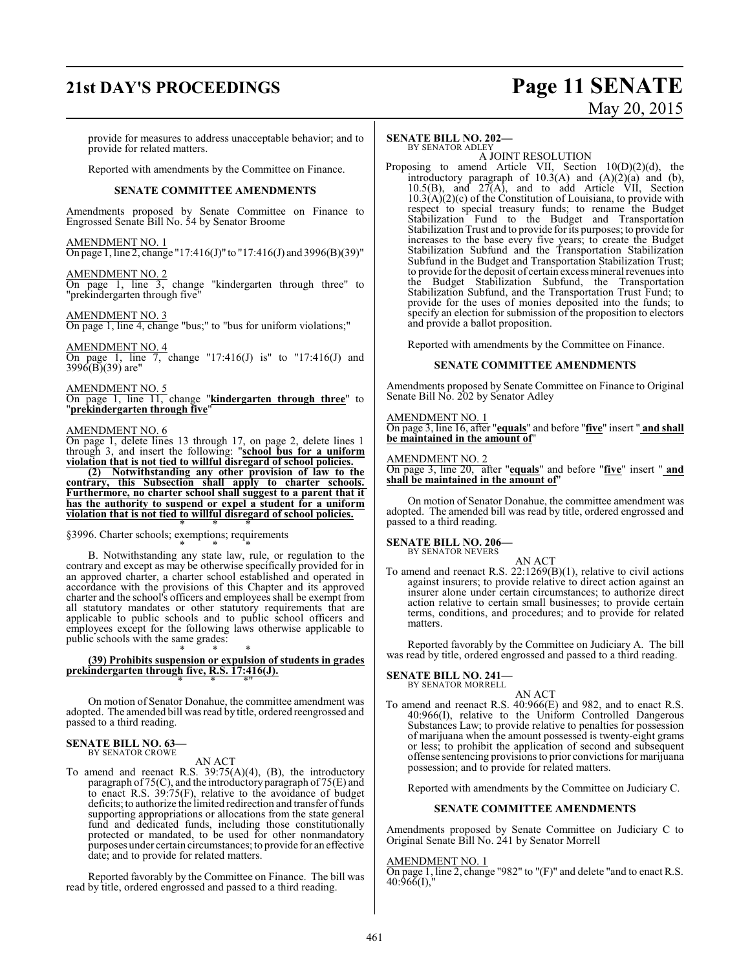# **21st DAY'S PROCEEDINGS Page 11 SENATE**

# May 20, 2015

provide for measures to address unacceptable behavior; and to provide for related matters.

Reported with amendments by the Committee on Finance.

#### **SENATE COMMITTEE AMENDMENTS**

Amendments proposed by Senate Committee on Finance to Engrossed Senate Bill No. 54 by Senator Broome

#### AMENDMENT NO. 1

On page 1, line 2, change "17:416(J)" to "17:416(J) and 3996(B)(39)"

## AMENDMENT NO. 2

On page 1, line 3, change "kindergarten through three" to "prekindergarten through five"

#### AMENDMENT NO. 3

On page 1, line 4, change "bus;" to "bus for uniform violations;"

#### AMENDMENT NO. 4

On page 1, line 7, change "17:416(J) is" to "17:416(J) and 3996(B)(39) are"

#### AMENDMENT NO. 5

On page 1, line 11, change "**kindergarten through three**" to "**prekindergarten through five**"

#### AMENDMENT NO. 6

On page 1, delete lines 13 through 17, on page 2, delete lines 1 through 3, and insert the following: "**school bus for a uniform violation that is not tied to willful disregard of school policies.**

**(2) Notwithstanding any other provision of law to the contrary, this Subsection shall apply to charter schools. Furthermore, no charter school shall suggest to a parent that it has the authority to suspend or expel a student for a uniform violation that is not tied to willful disregard of school policies.**

\* \* \* §3996. Charter schools; exemptions; requirements

\* \* \* B. Notwithstanding any state law, rule, or regulation to the contrary and except as may be otherwise specifically provided for in an approved charter, a charter school established and operated in accordance with the provisions of this Chapter and its approved charter and the school's officers and employees shall be exempt from all statutory mandates or other statutory requirements that are applicable to public schools and to public school officers and employees except for the following laws otherwise applicable to public schools with the same grades:

#### \* \* \* **(39) Prohibits suspension or expulsion of students in grades prekindergarten through five, R.S. 17:416(J).** \* \* \*"

On motion of Senator Donahue, the committee amendment was adopted. The amended bill was read by title, ordered reengrossed and passed to a third reading.

#### **SENATE BILL NO. 63—** BY SENATOR CROWE

#### AN ACT

To amend and reenact R.S. 39:75(A)(4), (B), the introductory paragraph of 75(C), and the introductory paragraph of 75(E) and to enact R.S. 39:75(F), relative to the avoidance of budget deficits; to authorize the limited redirection and transfer of funds supporting appropriations or allocations from the state general fund and dedicated funds, including those constitutionally protected or mandated, to be used for other nonmandatory purposes under certain circumstances; to provide for an effective date; and to provide for related matters.

Reported favorably by the Committee on Finance. The bill was read by title, ordered engrossed and passed to a third reading.

**SENATE BILL NO. 202—**<br>BY SENATOR ADLEY<br>A JOINT RESOLUTION

Proposing to amend Article VII, Section 10(D)(2)(d), the introductory paragraph of  $10.3(A)$  and  $(A)(2)(a)$  and  $(b)$ ,  $10.5(B)$ , and  $27(A)$ , and to add Article VII, Section  $10.3(A)(2)(c)$  of the Constitution of Louisiana, to provide with respect to special treasury funds; to rename the Budget Stabilization Fund to the Budget and Transportation Stabilization Trust and to provide for its purposes; to provide for increases to the base every five years; to create the Budget Stabilization Subfund and the Transportation Stabilization Subfund in the Budget and Transportation Stabilization Trust; to provide for the deposit of certain excess mineral revenues into the Budget Stabilization Subfund, the Transportation Stabilization Subfund, and the Transportation Trust Fund; to provide for the uses of monies deposited into the funds; to specify an election for submission of the proposition to electors and provide a ballot proposition.

Reported with amendments by the Committee on Finance.

#### **SENATE COMMITTEE AMENDMENTS**

Amendments proposed by Senate Committee on Finance to Original Senate Bill No. 202 by Senator Adley

#### AMENDMENT NO. 1

On page 3, line 16, after "**equals**" and before "**five**" insert " **and shall be maintained in the amount of**"

#### AMENDMENT NO. 2

On page 3, line 20, after "**equals**" and before "**five**" insert " **and shall be maintained in the amount of**"

On motion of Senator Donahue, the committee amendment was adopted. The amended bill was read by title, ordered engrossed and passed to a third reading.

#### **SENATE BILL NO. 206—** BY SENATOR NEVERS

AN ACT

To amend and reenact R.S. 22:1269(B)(1), relative to civil actions against insurers; to provide relative to direct action against an insurer alone under certain circumstances; to authorize direct action relative to certain small businesses; to provide certain terms, conditions, and procedures; and to provide for related matters.

Reported favorably by the Committee on Judiciary A. The bill was read by title, ordered engrossed and passed to a third reading.

#### **SENATE BILL NO. 241—** BY SENATOR MORRELL

- AN ACT
- To amend and reenact R.S. 40:966(E) and 982, and to enact R.S. 40:966(I), relative to the Uniform Controlled Dangerous Substances Law; to provide relative to penalties for possession of marijuana when the amount possessed is twenty-eight grams or less; to prohibit the application of second and subsequent offense sentencing provisions to prior convictions for marijuana possession; and to provide for related matters.

Reported with amendments by the Committee on Judiciary C.

## **SENATE COMMITTEE AMENDMENTS**

Amendments proposed by Senate Committee on Judiciary C to Original Senate Bill No. 241 by Senator Morrell

#### AMENDMENT NO. 1

On page 1, line 2, change "982" to "(F)" and delete "and to enact R.S.  $40:966(I)$ ,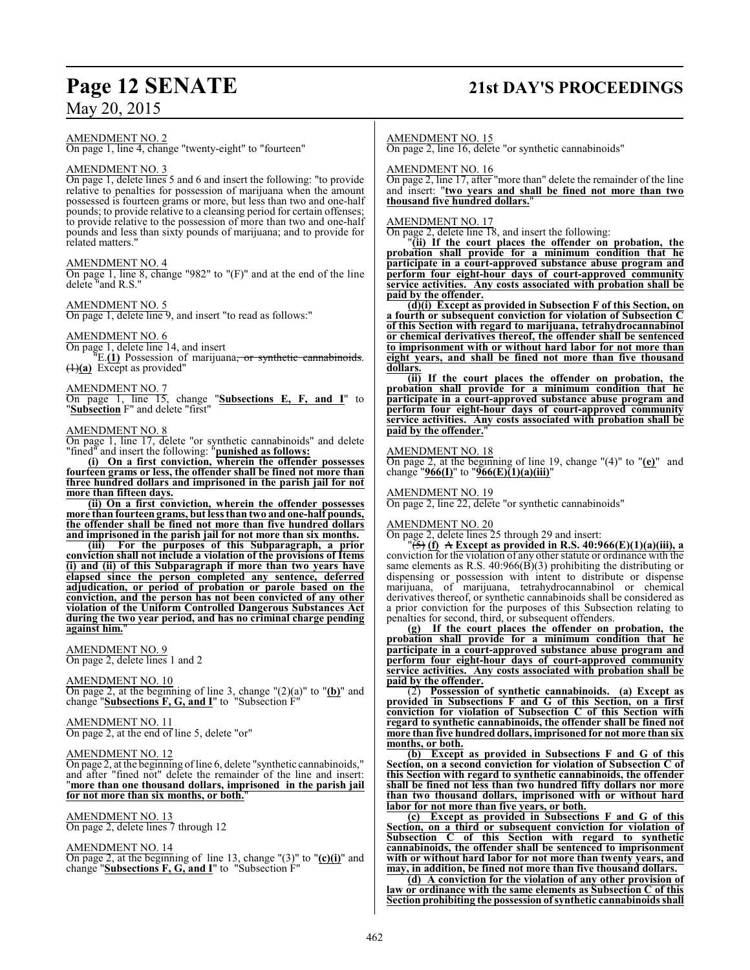# **Page 12 SENATE 21st DAY'S PROCEEDINGS**

## May 20, 2015

#### AMENDMENT NO. 2

On page 1, line 4, change "twenty-eight" to "fourteen"

#### AMENDMENT NO. 3

On page 1, delete lines 5 and 6 and insert the following: "to provide relative to penalties for possession of marijuana when the amount possessed is fourteen grams or more, but less than two and one-half pounds; to provide relative to a cleansing period for certain offenses; to provide relative to the possession of more than two and one-half pounds and less than sixty pounds of marijuana; and to provide for related matters."

#### AMENDMENT NO. 4

On page 1, line 8, change "982" to "(F)" and at the end of the line delete "and R.S."

#### AMENDMENT NO. 5

On page 1, delete line 9, and insert "to read as follows:"

#### AMENDMENT NO. 6

On page 1, delete line 14, and insert "E.(1) Possession of marijuana<del>, or synthetic cannabinoids</del>. (1)**(a)** Except as provided"

#### AMENDMENT NO. 7

On page 1, line 15, change "**Subsections E, F, and I**" to "**Subsection** F" and delete "first"

#### AMENDMENT NO. 8

On page 1, line 17, delete "or synthetic cannabinoids" and delete "fined" and insert the following: "**punished as follows:**

**(i) On a first conviction, wherein the offender possesses fourteen grams or less, the offender shall be fined not more than three hundred dollars and imprisoned in the parish jail for not more than fifteen days.**

**(ii) On a first conviction, wherein the offender possesses more than fourteen grams, but less than two and one-half pounds, the offender shall be fined not more than five hundred dollars and imprisoned in the parish jail for not more than six months.**

**(iii) For the purposes of this Subparagraph, a prior conviction shall not include a violation of the provisions of Items (i) and (ii) of this Subparagraph if more than two years have elapsed since the person completed any sentence, deferred adjudication, or period of probation or parole based on the conviction, and the person has not been convicted of any other violation of the Uniform Controlled Dangerous Substances Act during the two year period, and has no criminal charge pending against him.**"

#### AMENDMENT NO. 9

On page 2, delete lines 1 and 2

#### AMENDMENT NO. 10

On page 2, at the beginning of line 3, change "(2)(a)" to "**(b)**" and change "**Subsections F, G, and I**" to "Subsection F"

### AMENDMENT NO. 11

On page 2, at the end of line 5, delete "or"

#### AMENDMENT NO. 12

On page 2, at the beginning ofline 6, delete "synthetic cannabinoids," and after "fined not" delete the remainder of the line and insert: "**more than one thousand dollars, imprisoned in the parish jail** for not more than six months, or both.

#### AMENDMENT NO. 13

On page 2, delete lines 7 through 12

#### AMENDMENT NO. 14

On page 2, at the beginning of line 13, change "(3)" to "**(c)(i)**" and change "**Subsections F, G, and I**" to "Subsection F"

#### AMENDMENT NO. 15

On page 2, line 16, delete "or synthetic cannabinoids"

AMENDMENT NO. 16

On page 2, line 17, after "more than" delete the remainder of the line and insert: "**two years and shall be fined not more than two thousand five hundred dollars.**"

#### AMENDMENT NO. 17

On page 2, delete line 18, and insert the following:

"**(ii) If the court places the offender on probation, the probation shall provide for a minimum condition that he participate in a court-approved substance abuse program and perform four eight-hour days of court-approved community service activities. Any costs associated with probation shall be paid by the offender.**

**(d)(i) Except as provided in Subsection F of this Section, on a fourth or subsequent conviction for violation of Subsection C of this Section with regard to marijuana, tetrahydrocannabinol or chemical derivatives thereof, the offender shall be sentenced to imprisonment with or without hard labor for not more than eight years, and shall be fined not more than five thousand dollars.**

**(ii) If the court places the offender on probation, the probation shall provide for a minimum condition that he participate in a court-approved substance abuse program and perform four eight-hour days of court-approved community service activities. Any costs associated with probation shall be paid by the offender.**"

#### AMENDMENT NO. 18

On page 2, at the beginning of line 19, change "(4)" to "**(e)**" and change "**966(I)**" to "**966(E)(1)(a)(iii)**"

#### AMENDMENT NO. 19

On page 2, line 22, delete "or synthetic cannabinoids"

#### AMENDMENT NO. 20

On page 2, delete lines 25 through 29 and insert:

"(5) **(f)** A **Except as provided in R.S. 40:966(E)(1)(a)(iii), a** conviction for the violation of any other statute or ordinance with the same elements as R.S. 40:966(B)(3) prohibiting the distributing or dispensing or possession with intent to distribute or dispense marijuana, of marijuana, tetrahydrocannabinol or chemical derivatives thereof, or synthetic cannabinoids shall be considered as a prior conviction for the purposes of this Subsection relating to penalties for second, third, or subsequent offenders.

**(g) If the court places the offender on probation, the probation shall provide for a minimum condition that he participate in a court-approved substance abuse program and perform four eight-hour days of court-approved community service activities. Any costs associated with probation shall be paid by the offender.**

(2) **Possession of synthetic cannabinoids. (a) Except as provided in Subsections F and G of this Section, on a first conviction for violation of Subsection C of this Section with regard to synthetic cannabinoids, the offender shall be fined not more than five hundred dollars, imprisoned for not more than six months, or both.**

**(b) Except as provided in Subsections F and G of this Section, on a second conviction for violation of Subsection C of this Section with regard to synthetic cannabinoids, the offender shall be fined not less than two hundred fifty dollars nor more than two thousand dollars, imprisoned with or without hard labor for not more than five years, or both.**

**(c) Except as provided in Subsections F and G of this Section, on a third or subsequent conviction for violation of Subsection C of this Section with regard to synthetic cannabinoids, the offender shall be sentenced to imprisonment with or without hard labor for not more than twenty years, and may, in addition, be fined not more than five thousand dollars.**

**(d) A conviction for the violation of any other provision of law or ordinance with the same elements as Subsection C of this Section prohibiting the possession of synthetic cannabinoids shall**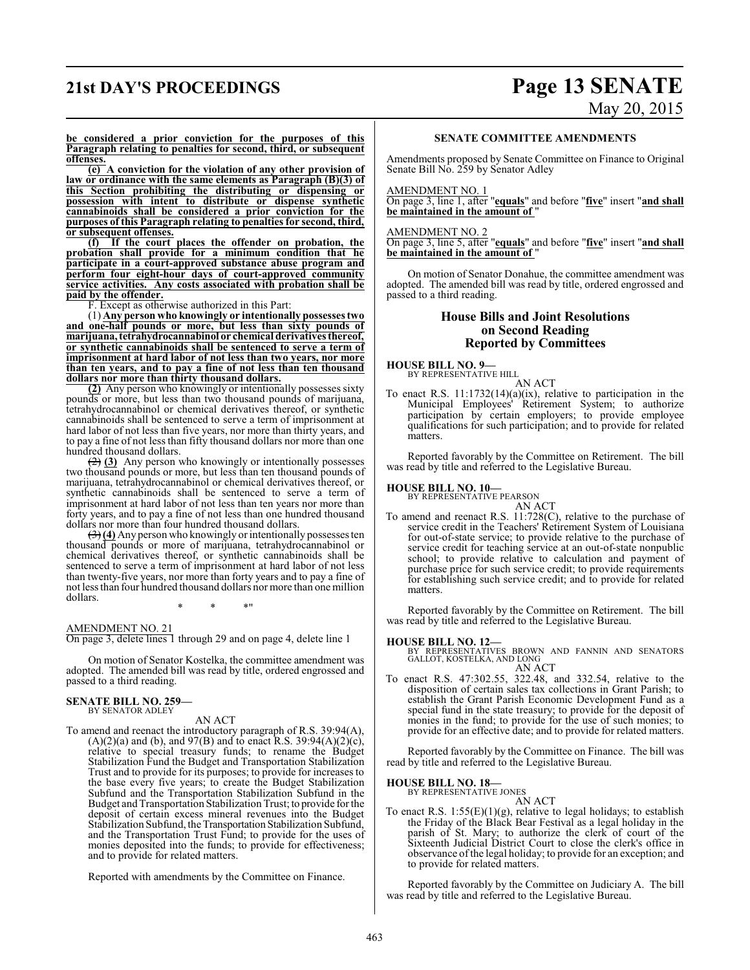# **21st DAY'S PROCEEDINGS Page 13 SENATE** May 20, 2015

**be considered a prior conviction for the purposes of this Paragraph relating to penalties for second, third, or subsequent offenses.**

**(e) A conviction for the violation of any other provision of law or ordinance with the same elements as Paragraph (B)(3) of this Section prohibiting the distributing or dispensing or possession with intent to distribute or dispense synthetic cannabinoids shall be considered a prior conviction for the purposes of this Paragraph relating to penalties for second, third, or subsequent offenses.**

**(f) If the court places the offender on probation, the probation shall provide for a minimum condition that he participate in a court-approved substance abuse program and perform four eight-hour days of court-approved community service activities. Any costs associated with probation shall be paid by the offender.**

F. Except as otherwise authorized in this Part:

(1) **Any person who knowingly or intentionally possesses two and one-half pounds or more, but less than sixty pounds of marijuana, tetrahydrocannabinol or chemical derivatives thereof, or synthetic cannabinoids shall be sentenced to serve a term of imprisonment at hard labor of not less than two years, nor more than ten years, and to pay a fine of not less than ten thousand dollars nor more than thirty thousand dollars.**

**(2)** Any person who knowingly or intentionally possesses sixty pounds or more, but less than two thousand pounds of marijuana, tetrahydrocannabinol or chemical derivatives thereof, or synthetic cannabinoids shall be sentenced to serve a term of imprisonment at hard labor of not less than five years, nor more than thirty years, and to pay a fine of not less than fifty thousand dollars nor more than one hundred thousand dollars.

(2) **(3)** Any person who knowingly or intentionally possesses two thousand pounds or more, but less than ten thousand pounds of marijuana, tetrahydrocannabinol or chemical derivatives thereof, or synthetic cannabinoids shall be sentenced to serve a term of imprisonment at hard labor of not less than ten years nor more than forty years, and to pay a fine of not less than one hundred thousand dollars nor more than four hundred thousand dollars.

(3) **(4)** Any person who knowingly or intentionally possesses ten thousand pounds or more of marijuana, tetrahydrocannabinol or chemical derivatives thereof, or synthetic cannabinoids shall be sentenced to serve a term of imprisonment at hard labor of not less than twenty-five years, nor more than forty years and to pay a fine of not less than four hundred thousand dollars nor more than one million dollars.

\* \* \*"

AMENDMENT NO. 21

On page 3, delete lines 1 through 29 and on page 4, delete line 1

On motion of Senator Kostelka, the committee amendment was adopted. The amended bill was read by title, ordered engrossed and passed to a third reading.

#### **SENATE BILL NO. 259—** BY SENATOR ADLEY

AN ACT

To amend and reenact the introductory paragraph of R.S. 39:94(A),  $(A)(2)(a)$  and  $(b)$ , and  $97(B)$  and to enact R.S. 39:94 $(A)(2)(c)$ , relative to special treasury funds; to rename the Budget Stabilization Fund the Budget and Transportation Stabilization Trust and to provide for its purposes; to provide for increases to the base every five years; to create the Budget Stabilization Subfund and the Transportation Stabilization Subfund in the Budget and Transportation Stabilization Trust; to provide for the deposit of certain excess mineral revenues into the Budget Stabilization Subfund, the Transportation Stabilization Subfund, and the Transportation Trust Fund; to provide for the uses of monies deposited into the funds; to provide for effectiveness; and to provide for related matters.

Reported with amendments by the Committee on Finance.

#### **SENATE COMMITTEE AMENDMENTS**

Amendments proposed by Senate Committee on Finance to Original Senate Bill No. 259 by Senator Adley

#### AMENDMENT NO. 1

On page 3, line 1, after "**equals**" and before "**five**" insert "**and shall be maintained in the amount of** "

#### AMENDMENT NO. 2

On page 3, line 5, after "**equals**" and before "**five**" insert "**and shall be maintained in the amount of** "

On motion of Senator Donahue, the committee amendment was adopted. The amended bill was read by title, ordered engrossed and passed to a third reading.

#### **House Bills and Joint Resolutions on Second Reading Reported by Committees**

#### **HOUSE BILL NO. 9—**

BY REPRESENTATIVE HILL AN ACT

To enact R.S. 11:1732(14)(a)(ix), relative to participation in the Municipal Employees' Retirement System; to authorize participation by certain employers; to provide employee qualifications for such participation; and to provide for related matters.

Reported favorably by the Committee on Retirement. The bill was read by title and referred to the Legislative Bureau.

#### **HOUSE BILL NO. 10—**

BY REPRESENTATIVE PEARSON

AN ACT To amend and reenact R.S. 11:728(C), relative to the purchase of service credit in the Teachers' Retirement System of Louisiana for out-of-state service; to provide relative to the purchase of service credit for teaching service at an out-of-state nonpublic school; to provide relative to calculation and payment of purchase price for such service credit; to provide requirements for establishing such service credit; and to provide for related matters.

Reported favorably by the Committee on Retirement. The bill was read by title and referred to the Legislative Bureau.

#### **HOUSE BILL NO. 12—**

BY REPRESENTATIVES BROWN AND FANNIN AND SENATORS GALLOT, KOSTELKA, AND LONG

AN ACT To enact R.S. 47:302.55, 322.48, and 332.54, relative to the disposition of certain sales tax collections in Grant Parish; to establish the Grant Parish Economic Development Fund as a special fund in the state treasury; to provide for the deposit of monies in the fund; to provide for the use of such monies; to

provide for an effective date; and to provide for related matters. Reported favorably by the Committee on Finance. The bill was read by title and referred to the Legislative Bureau.

# **HOUSE BILL NO. 18—** BY REPRESENTATIVE JONES

AN ACT

To enact R.S. 1:55(E)(1)(g), relative to legal holidays; to establish the Friday of the Black Bear Festival as a legal holiday in the parish of St. Mary; to authorize the clerk of court of the Sixteenth Judicial District Court to close the clerk's office in observance ofthe legal holiday; to provide for an exception; and to provide for related matters.

Reported favorably by the Committee on Judiciary A. The bill was read by title and referred to the Legislative Bureau.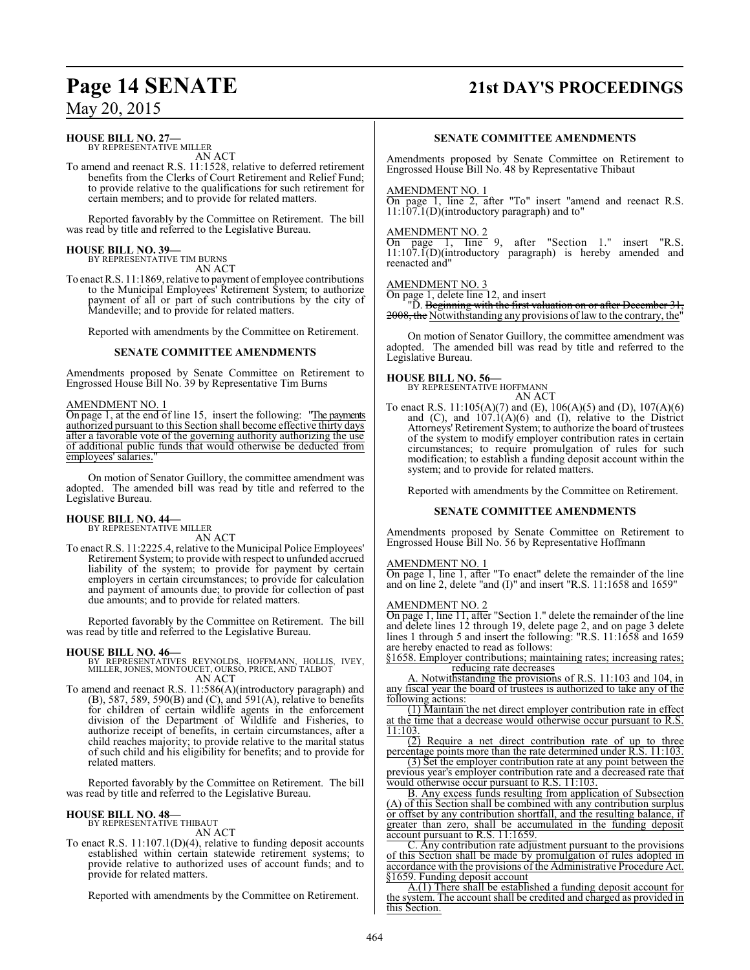#### **HOUSE BILL NO. 27—**

BY REPRESENTATIVE MILLER AN ACT

To amend and reenact R.S. 11:1528, relative to deferred retirement benefits from the Clerks of Court Retirement and Relief Fund; to provide relative to the qualifications for such retirement for certain members; and to provide for related matters.

Reported favorably by the Committee on Retirement. The bill was read by title and referred to the Legislative Bureau.

# **HOUSE BILL NO. 39—** BY REPRESENTATIVE TIM BURNS

AN ACT

To enact R.S. 11:1869, relative to payment of employee contributions to the Municipal Employees' Retirement System; to authorize payment of all or part of such contributions by the city of Mandeville; and to provide for related matters.

Reported with amendments by the Committee on Retirement.

#### **SENATE COMMITTEE AMENDMENTS**

Amendments proposed by Senate Committee on Retirement to Engrossed House Bill No. 39 by Representative Tim Burns

#### AMENDMENT NO. 1

On page 1, at the end of line 15, insert the following: "The payments authorized pursuant to this Section shall become effective thirty days after a favorable vote of the governing authority authorizing the use of additional public funds that would otherwise be deducted from employees' salaries.

On motion of Senator Guillory, the committee amendment was adopted. The amended bill was read by title and referred to the Legislative Bureau.

# **HOUSE BILL NO. 44—** BY REPRESENTATIVE MILLER

AN ACT

To enact R.S. 11:2225.4, relative to the Municipal Police Employees' Retirement System; to provide with respect to unfunded accrued liability of the system; to provide for payment by certain employers in certain circumstances; to provide for calculation and payment of amounts due; to provide for collection of past due amounts; and to provide for related matters.

Reported favorably by the Committee on Retirement. The bill was read by title and referred to the Legislative Bureau.

**HOUSE BILL NO. 46—** BY REPRESENTATIVES REYNOLDS, HOFFMANN, HOLLIS, IVEY, MILLER, JONES, MONTOUCET, OURSO, PRICE, AND TALBOT AN ACT

To amend and reenact R.S. 11:586(A)(introductory paragraph) and (B), 587, 589, 590(B) and (C), and 591(A), relative to benefits for children of certain wildlife agents in the enforcement division of the Department of Wildlife and Fisheries, to authorize receipt of benefits, in certain circumstances, after a child reaches majority; to provide relative to the marital status of such child and his eligibility for benefits; and to provide for related matters.

Reported favorably by the Committee on Retirement. The bill was read by title and referred to the Legislative Bureau.

#### **HOUSE BILL NO. 48—**

BY REPRESENTATIVE THIBAUT AN ACT

To enact R.S. 11:107.1(D)(4), relative to funding deposit accounts established within certain statewide retirement systems; to provide relative to authorized uses of account funds; and to provide for related matters.

Reported with amendments by the Committee on Retirement.

# **Page 14 SENATE 21st DAY'S PROCEEDINGS**

#### **SENATE COMMITTEE AMENDMENTS**

Amendments proposed by Senate Committee on Retirement to Engrossed House Bill No. 48 by Representative Thibaut

#### AMENDMENT NO. 1

On page 1, line 2, after "To" insert "amend and reenact R.S. 11:107.1(D)(introductory paragraph) and to"

#### AMENDMENT NO. 2

On page 1, line 9, after "Section 1." insert "R.S. 11:107.1(D)(introductory paragraph) is hereby amended and reenacted and"

#### AMENDMENT NO. 3

On page 1, delete line 12, and insert

"D. Beginning with the first valuation on or after December 31, 2008, the Notwithstanding any provisions of law to the contrary, the

On motion of Senator Guillory, the committee amendment was adopted. The amended bill was read by title and referred to the Legislative Bureau.

#### **HOUSE BILL NO. 56—**

BY REPRESENTATIVE HOFFMANN AN ACT

To enact R.S. 11:105(A)(7) and (E), 106(A)(5) and (D), 107(A)(6) and  $(C)$ , and  $107.1(A)(6)$  and  $(I)$ , relative to the District Attorneys' Retirement System; to authorize the board of trustees of the system to modify employer contribution rates in certain circumstances; to require promulgation of rules for such modification; to establish a funding deposit account within the system; and to provide for related matters.

Reported with amendments by the Committee on Retirement.

#### **SENATE COMMITTEE AMENDMENTS**

Amendments proposed by Senate Committee on Retirement to Engrossed House Bill No. 56 by Representative Hoffmann

#### AMENDMENT NO. 1

On page 1, line 1, after "To enact" delete the remainder of the line and on line 2, delete "and (I)" and insert "R.S. 11:1658 and 1659"

#### AMENDMENT NO. 2

On page 1, line 11, after "Section 1." delete the remainder of the line and delete lines 12 through 19, delete page 2, and on page 3 delete lines 1 through 5 and insert the following: "R.S. 11:1658 and 1659 are hereby enacted to read as follows:

§1658. Employer contributions; maintaining rates; increasing rates; reducing rate decreases

A. Notwithstanding the provisions of R.S. 11:103 and 104, in any fiscal year the board of trustees is authorized to take any of the following actions:

(1) Maintain the net direct employer contribution rate in effect at the time that a decrease would otherwise occur pursuant to R.S. 11:103.

(2) Require a net direct contribution rate of up to three percentage points more than the rate determined under R.S. 11:103.

(3) Set the employer contribution rate at any point between the previous year's employer contribution rate and a decreased rate that would otherwise occur pursuant to R.S. 11:103.

B. Any excess funds resulting from application of Subsection (A) of this Section shall be combined with any contribution surplus or offset by any contribution shortfall, and the resulting balance, if greater than zero, shall be accumulated in the funding deposit account pursuant to R.S. 11:1659.

. Any contribution rate adjustment pursuant to the provisions of this Section shall be made by promulgation of rules adopted in accordance with the provisions of the Administrative Procedure Act. §1659. Funding deposit account

A.(1) There shall be established a funding deposit account for the system. The account shall be credited and charged as provided in this Section.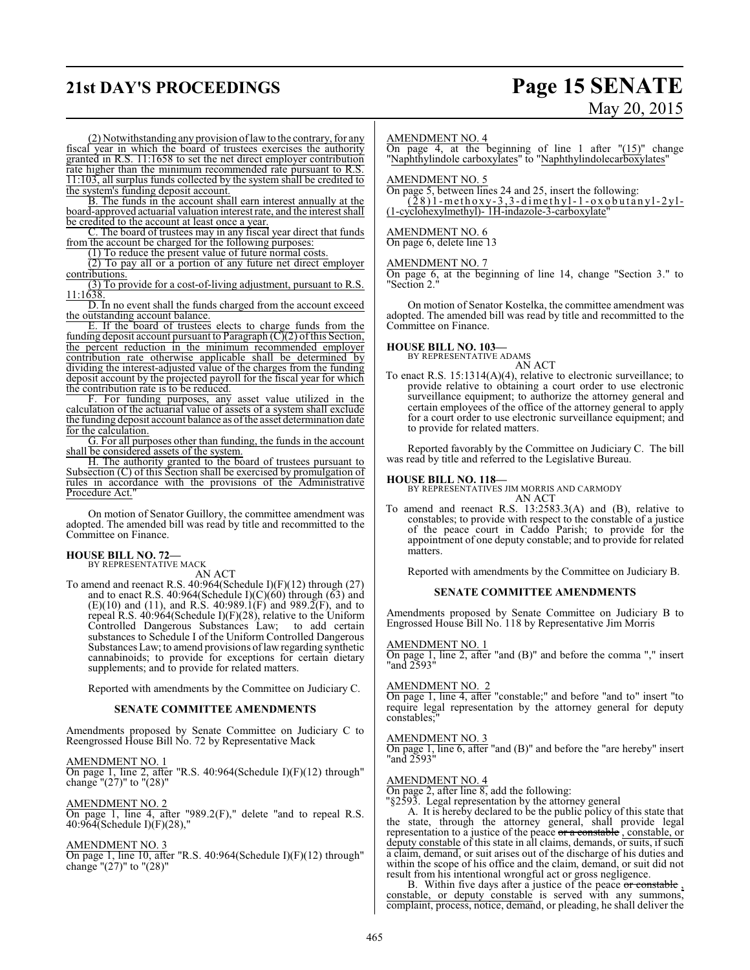# **21st DAY'S PROCEEDINGS Page 15 SENATE**

# May 20, 2015

(2) Notwithstanding any provision oflawto the contrary, for any fiscal year in which the board of trustees exercises the authority granted in R.S. 11:1658 to set the net direct employer contribution rate higher than the minimum recommended rate pursuant to R.S. 11:103, all surplus funds collected by the system shall be credited to the system's funding deposit account.

B. The funds in the account shall earn interest annually at the board-approved actuarial valuation interest rate, and the interest shall be credited to the account at least once a year.

The board of trustees may in any fiscal year direct that funds from the account be charged for the following purposes:

(1) To reduce the present value of future normal costs.

(2) To pay all or a portion of any future net direct employer contributions.

(3) To provide for a cost-of-living adjustment, pursuant to R.S. 11:1638.

D. In no event shall the funds charged from the account exceed the outstanding account balance.

E. If the board of trustees elects to charge funds from the funding deposit account pursuant to Paragraph  $(C)(2)$  of this Section, the percent reduction in the minimum recommended employer contribution rate otherwise applicable shall be determined by dividing the interest-adjusted value of the charges from the funding deposit account by the projected payroll for the fiscal year for which the contribution rate is to be reduced.

F. For funding purposes, any asset value utilized in the calculation of the actuarial value of assets of a system shall exclude the funding deposit account balance as ofthe asset determination date for the calculation.

G. For all purposes other than funding, the funds in the account shall be considered assets of the system.

H. The authority granted to the board of trustees pursuant to Subsection (C) of this Section shall be exercised by promulgation of rules in accordance with the provisions of the Administrative Procedure Act."

On motion of Senator Guillory, the committee amendment was adopted. The amended bill was read by title and recommitted to the Committee on Finance.

#### **HOUSE BILL NO. 72—** BY REPRESENTATIVE MACK

AN ACT

To amend and reenact R.S. 40:964(Schedule I)(F)(12) through (27) and to enact R.S. 40:964(Schedule I)(C)(60) through (63) and  $(E)(10)$  and  $(11)$ , and R.S. 40:989.1(F) and 989.2(F), and to repeal R.S. 40:964(Schedule I)(F)(28), relative to the Uniform Controlled Dangerous Substances Law; to add certain substances to Schedule I of the Uniform Controlled Dangerous Substances Law; to amend provisions of law regarding synthetic cannabinoids; to provide for exceptions for certain dietary supplements; and to provide for related matters.

Reported with amendments by the Committee on Judiciary C.

#### **SENATE COMMITTEE AMENDMENTS**

Amendments proposed by Senate Committee on Judiciary C to Reengrossed House Bill No. 72 by Representative Mack

#### AMENDMENT NO. 1

On page 1, line 2, after "R.S. 40:964(Schedule I)(F)(12) through" change "(27)" to "(28)"

AMENDMENT NO. 2 On page 1, line 4, after "989.2(F)," delete "and to repeal R.S. 40:964(Schedule I)(F)(28),"

#### AMENDMENT NO. 3

On page 1, line 10, after "R.S. 40:964(Schedule I)(F)(12) through" change " $(27)$ " to " $(28)$ "

#### AMENDMENT NO. 4

On page 4, at the beginning of line 1 after  $(15)$ " change "Naphthylindole carboxylates" to "Naphthylindolecarboxylates"

#### AMENDMENT NO. 5

On page 5, between lines 24 and 25, insert the following: ( 2 8 ) 1 -me t h o x y- 3 , 3 - d ime t h y l- 1 - o x o b u t a n y l- 2 yl- (1-cyclohexylmethyl)- 1H-indazole-3-carboxylate"

#### AMENDMENT NO. 6

On page 6, delete line 13

#### AMENDMENT NO. 7

On page 6, at the beginning of line 14, change "Section 3." to Section 2."

On motion of Senator Kostelka, the committee amendment was adopted. The amended bill was read by title and recommitted to the Committee on Finance.

## **HOUSE BILL NO. 103—** BY REPRESENTATIVE ADAMS

AN ACT

To enact R.S. 15:1314(A)(4), relative to electronic surveillance; to provide relative to obtaining a court order to use electronic surveillance equipment; to authorize the attorney general and certain employees of the office of the attorney general to apply for a court order to use electronic surveillance equipment; and to provide for related matters.

Reported favorably by the Committee on Judiciary C. The bill was read by title and referred to the Legislative Bureau.

**HOUSE BILL NO. 118—** BY REPRESENTATIVES JIM MORRIS AND CARMODY AN ACT

To amend and reenact R.S. 13:2583.3(A) and (B), relative to constables; to provide with respect to the constable of a justice of the peace court in Caddo Parish; to provide for the appointment of one deputy constable; and to provide for related matters.

Reported with amendments by the Committee on Judiciary B.

#### **SENATE COMMITTEE AMENDMENTS**

Amendments proposed by Senate Committee on Judiciary B to Engrossed House Bill No. 118 by Representative Jim Morris

#### AMENDMENT NO. 1

On page 1, line 2, after "and (B)" and before the comma "," insert "and 2593"

#### AMENDMENT NO. 2

On page 1, line 4, after "constable;" and before "and to" insert "to require legal representation by the attorney general for deputy constables;

#### AMENDMENT NO. 3

On page 1, line 6, after "and (B)" and before the "are hereby" insert "and 2593"

#### AMENDMENT NO. 4

On page 2, after line 8, add the following:

"§2593. Legal representation by the attorney general

A. It is hereby declared to be the public policy of this state that the state, through the attorney general, shall provide legal representation to a justice of the peace or a constable, constable, or deputy constable of this state in all claims, demands, or suits, if such a claim, demand, or suit arises out of the discharge of his duties and within the scope of his office and the claim, demand, or suit did not result from his intentional wrongful act or gross negligence.

B. Within five days after a justice of the peace or constable, constable, or deputy constable is served with any summons, complaint, process, notice, demand, or pleading, he shall deliver the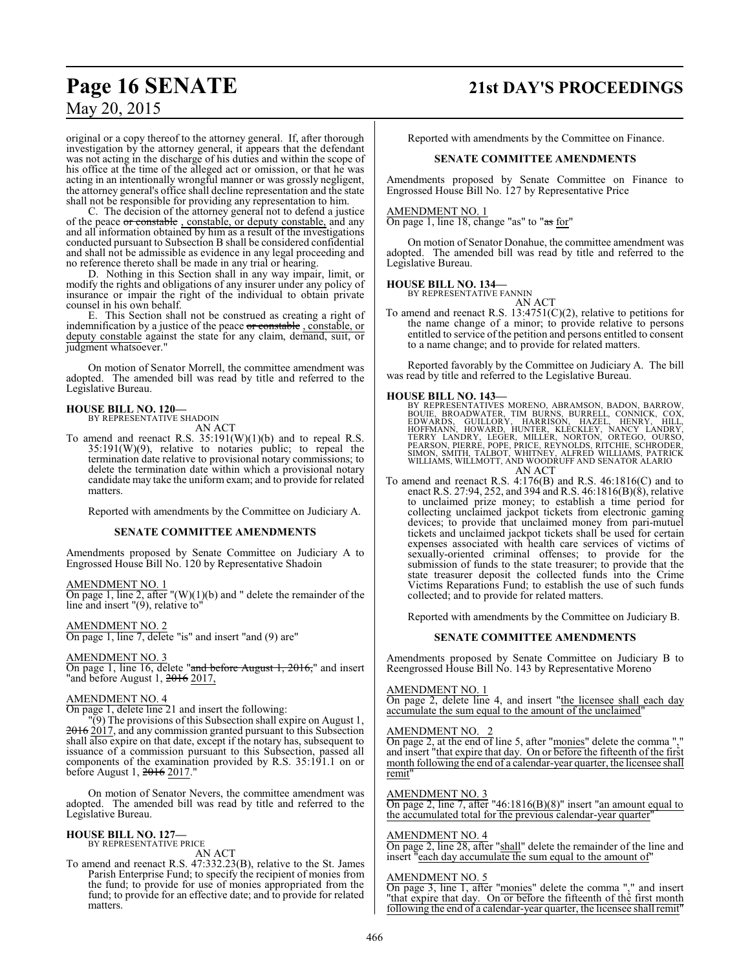# **Page 16 SENATE 21st DAY'S PROCEEDINGS**

## May 20, 2015

original or a copy thereof to the attorney general. If, after thorough investigation by the attorney general, it appears that the defendant was not acting in the discharge of his duties and within the scope of his office at the time of the alleged act or omission, or that he was acting in an intentionally wrongful manner or was grossly negligent, the attorney general's office shall decline representation and the state shall not be responsible for providing any representation to him.

C. The decision of the attorney general not to defend a justice of the peace or constable, constable, or deputy constable, and any and all information obtained by him as a result of the investigations conducted pursuant to Subsection B shall be considered confidential and shall not be admissible as evidence in any legal proceeding and no reference thereto shall be made in any trial or hearing.

D. Nothing in this Section shall in any way impair, limit, or modify the rights and obligations of any insurer under any policy of insurance or impair the right of the individual to obtain private counsel in his own behalf.

This Section shall not be construed as creating a right of indemnification by a justice of the peace  $\sigma$  constable, constable, or deputy constable against the state for any claim, demand, suit, or judgment whatsoever."

On motion of Senator Morrell, the committee amendment was adopted. The amended bill was read by title and referred to the Legislative Bureau.

# **HOUSE BILL NO. 120—** BY REPRESENTATIVE SHADOIN

AN ACT

To amend and reenact R.S.  $35:191(W)(1)(b)$  and to repeal R.S. 35:191(W)(9), relative to notaries public; to repeal the termination date relative to provisional notary commissions; to delete the termination date within which a provisional notary candidate may take the uniform exam; and to provide for related matters.

Reported with amendments by the Committee on Judiciary A.

#### **SENATE COMMITTEE AMENDMENTS**

Amendments proposed by Senate Committee on Judiciary A to Engrossed House Bill No. 120 by Representative Shadoin

#### AMENDMENT NO. 1

On page 1, line 2, after  $\sqrt{(W)(1)}$  and " delete the remainder of the line and insert "(9), relative to"

#### AMENDMENT NO. 2

On page 1, line 7, delete "is" and insert "and (9) are"

#### AMENDMENT NO. 3

On page 1, line 16, delete "and before August 1, 2016," and insert "and before August 1, 2016 2017,

#### AMENDMENT NO. 4

On page 1, delete line 21 and insert the following:

"(9) The provisions of this Subsection shall expire on August 1, 2016 2017, and any commission granted pursuant to this Subsection shall also expire on that date, except if the notary has, subsequent to issuance of a commission pursuant to this Subsection, passed all components of the examination provided by R.S. 35:191.1 on or before August 1, 2016 2017."

On motion of Senator Nevers, the committee amendment was adopted. The amended bill was read by title and referred to the Legislative Bureau.

# **HOUSE BILL NO. 127—** BY REPRESENTATIVE PRICE

AN ACT

To amend and reenact R.S. 47:332.23(B), relative to the St. James Parish Enterprise Fund; to specify the recipient of monies from the fund; to provide for use of monies appropriated from the fund; to provide for an effective date; and to provide for related matters.

Reported with amendments by the Committee on Finance.

#### **SENATE COMMITTEE AMENDMENTS**

Amendments proposed by Senate Committee on Finance to Engrossed House Bill No. 127 by Representative Price

#### AMENDMENT NO. 1

 $\overline{\text{On page 1, line 18, change}}$  "as" to " $\overline{\text{as}}$  for"

On motion of Senator Donahue, the committee amendment was adopted. The amended bill was read by title and referred to the Legislative Bureau.

#### **HOUSE BILL NO. 134—**

BY REPRESENTATIVE FANNIN AN ACT

To amend and reenact R.S. 13:4751(C)(2), relative to petitions for the name change of a minor; to provide relative to persons entitled to service ofthe petition and persons entitled to consent to a name change; and to provide for related matters.

Reported favorably by the Committee on Judiciary A. The bill was read by title and referred to the Legislative Bureau.

- **HOUSE BILL NO. 143—**<br>BY REPRESENTATIVES MORENO, ABRAMSON, BADON, BARROW, BOUIE, BROADWATER, TIM BURNS, BURRELL, CONNICK, COX,<br>EDWARDS, GUILLORY, HARRISON, HAZEL, HENRY, HILL,<br>HOFFMANN, HOWARD, HUNTER, KLÉCKLEY, NANCY LAND
- To amend and reenact R.S. 4:176(B) and R.S. 46:1816(C) and to enact R.S. 27:94, 252, and 394 and R.S. 46:1816(B)(8), relative to unclaimed prize money; to establish a time period for collecting unclaimed jackpot tickets from electronic gaming devices; to provide that unclaimed money from pari-mutuel tickets and unclaimed jackpot tickets shall be used for certain expenses associated with health care services of victims of sexually-oriented criminal offenses; to provide for the submission of funds to the state treasurer; to provide that the state treasurer deposit the collected funds into the Crime Victims Reparations Fund; to establish the use of such funds collected; and to provide for related matters.

Reported with amendments by the Committee on Judiciary B.

#### **SENATE COMMITTEE AMENDMENTS**

Amendments proposed by Senate Committee on Judiciary B to Reengrossed House Bill No. 143 by Representative Moreno

#### AMENDMENT NO. 1

On page 2, delete line 4, and insert "the licensee shall each day accumulate the sum equal to the amount of the unclaimed"

## AMENDMENT NO. 2

On page 2, at the end of line 5, after "monies" delete the comma "," and insert "that expire that day. On or before the fifteenth of the first month following the end of a calendar-year quarter, the licensee shall remit"

#### AMENDMENT NO. 3

On page 2, line 7, after "46:1816(B)(8)" insert "an amount equal to the accumulated total for the previous calendar-year quarter

#### AMENDMENT NO. 4

On page 2, line 28, after "shall" delete the remainder of the line and insert "each day accumulate the sum equal to the amount of"

#### AMENDMENT NO. 5

On page 3, line 1, after "monies" delete the comma "," and insert "that expire that day. On or before the fifteenth of the first month following the end of a calendar-year quarter, the licensee shall remit"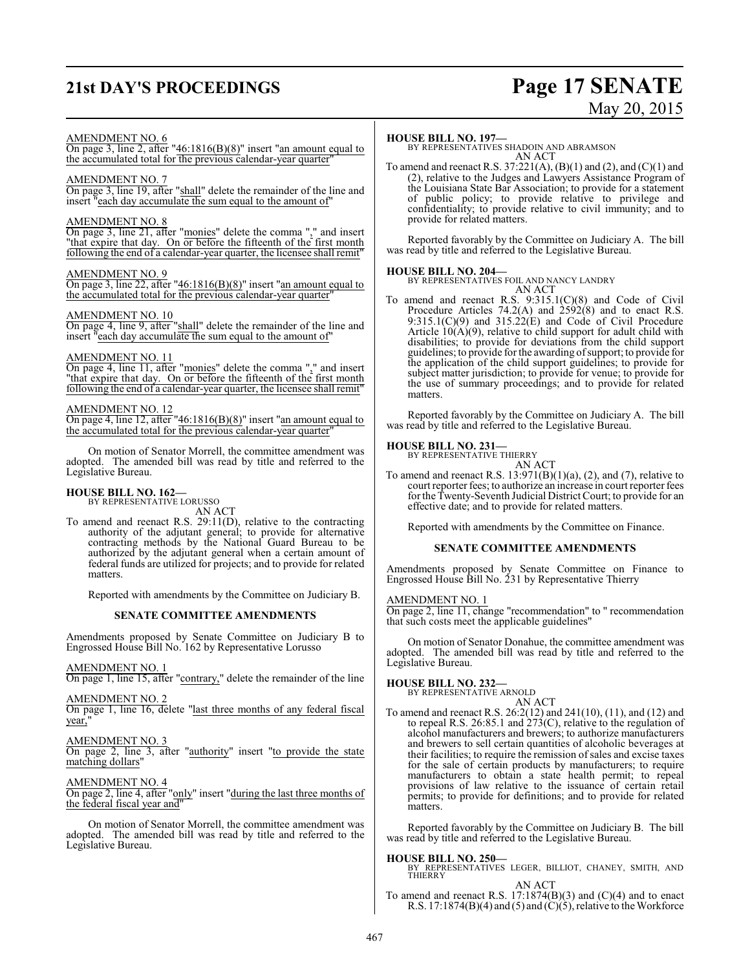# **21st DAY'S PROCEEDINGS Page 17 SENATE**

# May 20, 2015

#### AMENDMENT NO. 6

On page 3, line 2, after "46:1816(B)(8)" insert "an amount equal to the accumulated total for the previous calendar-year quarter"

#### AMENDMENT NO. 7

On page 3, line 19, after "shall" delete the remainder of the line and insert "each day accumulate the sum equal to the amount of"

#### AMENDMENT NO. 8

On page 3, line 21, after "monies" delete the comma "," and insert "that expire that day. On or before the fifteenth of the first month following the end of a calendar-year quarter, the licensee shall remit"

#### AMENDMENT NO. 9

On page 3, line 22, after "46:1816(B)(8)" insert "an amount equal to the accumulated total for the previous calendar-year quarter"

#### AMENDMENT NO. 10

On page 4, line 9, after "shall" delete the remainder of the line and insert "each day accumulate the sum equal to the amount of"

#### AMENDMENT NO. 11

On page 4, line 11, after "monies" delete the comma "," and insert "that expire that day. On or before the fifteenth of the first month following the end of a calendar-year quarter, the licensee shall remit"

#### AMENDMENT NO. 12

On page 4, line 12, after "46:1816(B)(8)" insert "an amount equal to the accumulated total for the previous calendar-year quarter"

On motion of Senator Morrell, the committee amendment was adopted. The amended bill was read by title and referred to the Legislative Bureau.

# **HOUSE BILL NO. 162—** BY REPRESENTATIVE LORUSSO

AN ACT

To amend and reenact R.S. 29:11(D), relative to the contracting authority of the adjutant general; to provide for alternative contracting methods by the National Guard Bureau to be authorized by the adjutant general when a certain amount of federal funds are utilized for projects; and to provide for related matters.

Reported with amendments by the Committee on Judiciary B.

#### **SENATE COMMITTEE AMENDMENTS**

Amendments proposed by Senate Committee on Judiciary B to Engrossed House Bill No. 162 by Representative Lorusso

#### AMENDMENT NO. 1

On page 1, line 15, after "contrary," delete the remainder of the line

#### AMENDMENT NO. 2

On page 1, line 16, delete "last three months of any federal fiscal year,

#### AMENDMENT NO. 3

On page 2, line 3, after "authority" insert "to provide the state matching dollars"

#### AMENDMENT NO. 4

On page 2, line 4, after "only" insert "during the last three months of the federal fiscal year and"

On motion of Senator Morrell, the committee amendment was adopted. The amended bill was read by title and referred to the Legislative Bureau.

#### **HOUSE BILL NO. 197—**

BY REPRESENTATIVES SHADOIN AND ABRAMSON AN ACT

To amend and reenact R.S. 37:221(A), (B)(1) and (2), and (C)(1) and (2), relative to the Judges and Lawyers Assistance Program of the Louisiana State Bar Association; to provide for a statement of public policy; to provide relative to privilege and confidentiality; to provide relative to civil immunity; and to provide for related matters.

Reported favorably by the Committee on Judiciary A. The bill was read by title and referred to the Legislative Bureau.

**HOUSE BILL NO. 204—** BY REPRESENTATIVES FOIL AND NANCY LANDRY AN ACT

To amend and reenact R.S. 9:315.1(C)(8) and Code of Civil Procedure Articles  $74.2(A)$  and  $2592(8)$  and to enact R.S.  $9:315.1(C)(9)$  and  $315.22(E)$  and Code of Civil Procedure Article 10(A)(9), relative to child support for adult child with disabilities; to provide for deviations from the child support guidelines; to provide for the awarding ofsupport; to provide for the application of the child support guidelines; to provide for subject matter jurisdiction; to provide for venue; to provide for the use of summary proceedings; and to provide for related matters.

Reported favorably by the Committee on Judiciary A. The bill was read by title and referred to the Legislative Bureau.

# **HOUSE BILL NO. 231—** BY REPRESENTATIVE THIERRY

AN ACT

To amend and reenact R.S.  $13:971(B)(1)(a)$ ,  $(2)$ , and  $(7)$ , relative to court reporter fees; to authorize an increase in court reporter fees for the Twenty-Seventh Judicial District Court; to provide for an effective date; and to provide for related matters.

Reported with amendments by the Committee on Finance.

#### **SENATE COMMITTEE AMENDMENTS**

Amendments proposed by Senate Committee on Finance to Engrossed House Bill No. 231 by Representative Thierry

#### AMENDMENT NO. 1

On page 2, line 11, change "recommendation" to " recommendation that such costs meet the applicable guidelines"

On motion of Senator Donahue, the committee amendment was adopted. The amended bill was read by title and referred to the Legislative Bureau.

# **HOUSE BILL NO. 232—** BY REPRESENTATIVE ARNOLD

AN ACT

To amend and reenact R.S. 26:2(12) and 241(10), (11), and (12) and to repeal R.S. 26:85.1 and 273(C), relative to the regulation of alcohol manufacturers and brewers; to authorize manufacturers and brewers to sell certain quantities of alcoholic beverages at their facilities; to require the remission of sales and excise taxes for the sale of certain products by manufacturers; to require manufacturers to obtain a state health permit; to repeal provisions of law relative to the issuance of certain retail permits; to provide for definitions; and to provide for related matters.

Reported favorably by the Committee on Judiciary B. The bill was read by title and referred to the Legislative Bureau.

**HOUSE BILL NO. 250—** BY REPRESENTATIVES LEGER, BILLIOT, CHANEY, SMITH, AND THIERRY

AN ACT To amend and reenact R.S.  $17:1874(B)(3)$  and  $(C)(4)$  and to enact R.S. 17:1874(B)(4) and (5) and ( $\ddot{C}$ )( $\ddot{5}$ ), relative to the Workforce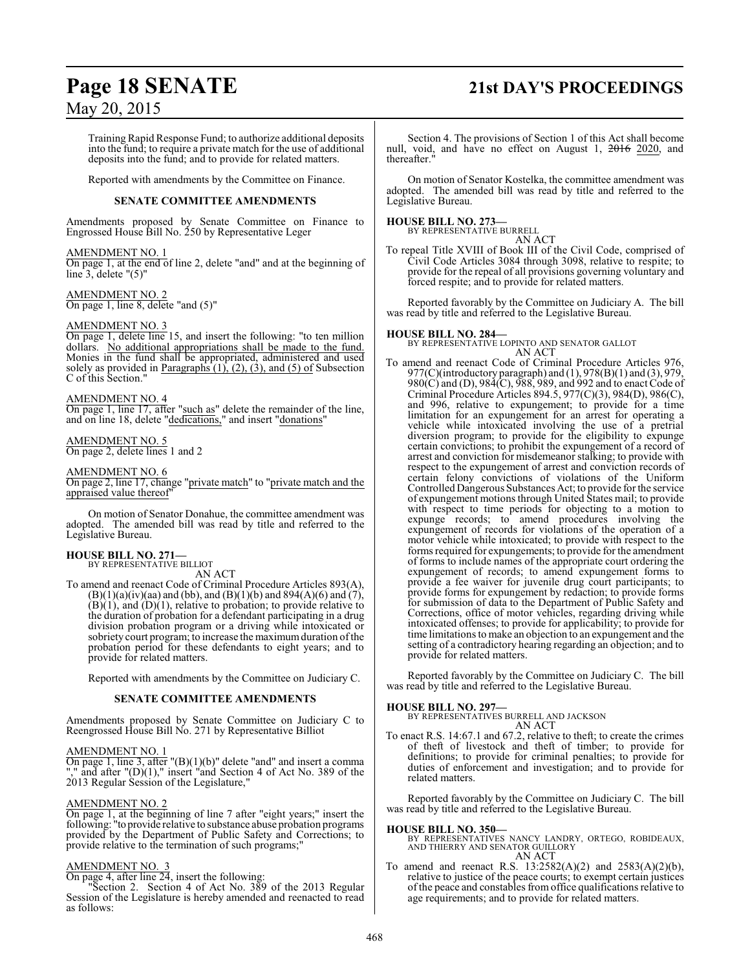# **Page 18 SENATE 21st DAY'S PROCEEDINGS**

## May 20, 2015

TrainingRapid Response Fund; to authorize additional deposits into the fund; to require a private match for the use of additional deposits into the fund; and to provide for related matters.

Reported with amendments by the Committee on Finance.

#### **SENATE COMMITTEE AMENDMENTS**

Amendments proposed by Senate Committee on Finance to Engrossed House Bill No. 250 by Representative Leger

#### AMENDMENT NO. 1

On page 1, at the end of line 2, delete "and" and at the beginning of line  $3$ , delete " $(5)$ "

AMENDMENT NO. 2 On page 1, line 8, delete "and (5)"

#### AMENDMENT NO. 3

On page 1, delete line 15, and insert the following: "to ten million dollars. No additional appropriations shall be made to the fund. Monies in the fund shall be appropriated, administered and used solely as provided in Paragraphs  $(1)$ ,  $(2)$ ,  $(3)$ , and  $(5)$  of Subsection C of this Section."

#### AMENDMENT NO. 4

On page 1, line 17, after "such as" delete the remainder of the line, and on line 18, delete "dedications," and insert "donations"

#### AMENDMENT NO. 5

On page 2, delete lines 1 and 2

#### AMENDMENT NO. 6

On page 2, line 17, change "private match" to "private match and the appraised value thereof"

On motion of Senator Donahue, the committee amendment was adopted. The amended bill was read by title and referred to the Legislative Bureau.

#### **HOUSE BILL NO. 271—** BY REPRESENTATIVE BILLIOT

AN ACT

To amend and reenact Code of Criminal Procedure Articles 893(A),  $(B)(1)(a)(iv)(aa)$  and (bb), and  $(B)(1)(b)$  and  $894(A)(6)$  and  $(7)$ ,  $(B)(1)$ , and  $(D)(1)$ , relative to probation; to provide relative to the duration of probation for a defendant participating in a drug division probation program or a driving while intoxicated or sobriety court program; to increase the maximum duration of the probation period for these defendants to eight years; and to provide for related matters.

Reported with amendments by the Committee on Judiciary C.

### **SENATE COMMITTEE AMENDMENTS**

Amendments proposed by Senate Committee on Judiciary C to Reengrossed House Bill No. 271 by Representative Billiot

#### AMENDMENT NO. 1

On page 1, line 3, after  $\lq (B)(1)(b)$ " delete "and" and insert a comma "," and after "(D)(1)," insert "and Section 4 of Act No. 389 of the 2013 Regular Session of the Legislature,"

#### AMENDMENT NO. 2

On page 1, at the beginning of line 7 after "eight years;" insert the following: "to provide relative to substance abuse probation programs provided by the Department of Public Safety and Corrections; to provide relative to the termination of such programs;

#### AMENDMENT NO.

On page 4, after line 24, insert the following:

"Section 2. Section 4 of Act No. 389 of the 2013 Regular Session of the Legislature is hereby amended and reenacted to read as follows:

Section 4. The provisions of Section 1 of this Act shall become null, void, and have no effect on August 1, 2016 2020, and thereafter."

On motion of Senator Kostelka, the committee amendment was adopted. The amended bill was read by title and referred to the Legislative Bureau.

**HOUSE BILL NO. 273—** BY REPRESENTATIVE BURRELL AN ACT

To repeal Title XVIII of Book III of the Civil Code, comprised of Civil Code Articles 3084 through 3098, relative to respite; to provide for the repeal of all provisions governing voluntary and forced respite; and to provide for related matters.

Reported favorably by the Committee on Judiciary A. The bill was read by title and referred to the Legislative Bureau.

**HOUSE BILL NO. 284—** BY REPRESENTATIVE LOPINTO AND SENATOR GALLOT AN ACT

To amend and reenact Code of Criminal Procedure Articles 976, 977(C)(introductory paragraph) and (1), 978(B)(1) and (3), 979, 980(C) and (D), 984(C), 988, 989, and 992 and to enact Code of Criminal Procedure Articles 894.5, 977(C)(3), 984(D), 986(C), and 996, relative to expungement; to provide for a time limitation for an expungement for an arrest for operating a vehicle while intoxicated involving the use of a pretrial diversion program; to provide for the eligibility to expunge certain convictions; to prohibit the expungement of a record of arrest and conviction for misdemeanor stalking; to provide with respect to the expungement of arrest and conviction records of certain felony convictions of violations of the Uniform Controlled Dangerous Substances Act; to provide for the service of expungement motions through United States mail; to provide with respect to time periods for objecting to a motion to expunge records; to amend procedures involving the expungement of records for violations of the operation of a motor vehicle while intoxicated; to provide with respect to the forms required for expungements; to provide for the amendment of forms to include names of the appropriate court ordering the expungement of records; to amend expungement forms to provide a fee waiver for juvenile drug court participants; to provide forms for expungement by redaction; to provide forms for submission of data to the Department of Public Safety and Corrections, office of motor vehicles, regarding driving while intoxicated offenses; to provide for applicability; to provide for time limitations to make an objection to an expungement and the setting of a contradictory hearing regarding an objection; and to provide for related matters.

Reported favorably by the Committee on Judiciary C. The bill was read by title and referred to the Legislative Bureau.

#### **HOUSE BILL NO. 297—**

BY REPRESENTATIVES BURRELL AND JACKSON AN ACT

To enact R.S. 14:67.1 and 67.2, relative to theft; to create the crimes of theft of livestock and theft of timber; to provide for definitions; to provide for criminal penalties; to provide for duties of enforcement and investigation; and to provide for related matters.

Reported favorably by the Committee on Judiciary C. The bill was read by title and referred to the Legislative Bureau.

**HOUSE BILL NO. 350—** BY REPRESENTATIVES NANCY LANDRY, ORTEGO, ROBIDEAUX, AND THIERRY AND SENATOR GUILLORY AN ACT

To amend and reenact R.S. 13:2582(A)(2) and 2583(A)(2)(b), relative to justice of the peace courts; to exempt certain justices of the peace and constables from office qualifications relative to age requirements; and to provide for related matters.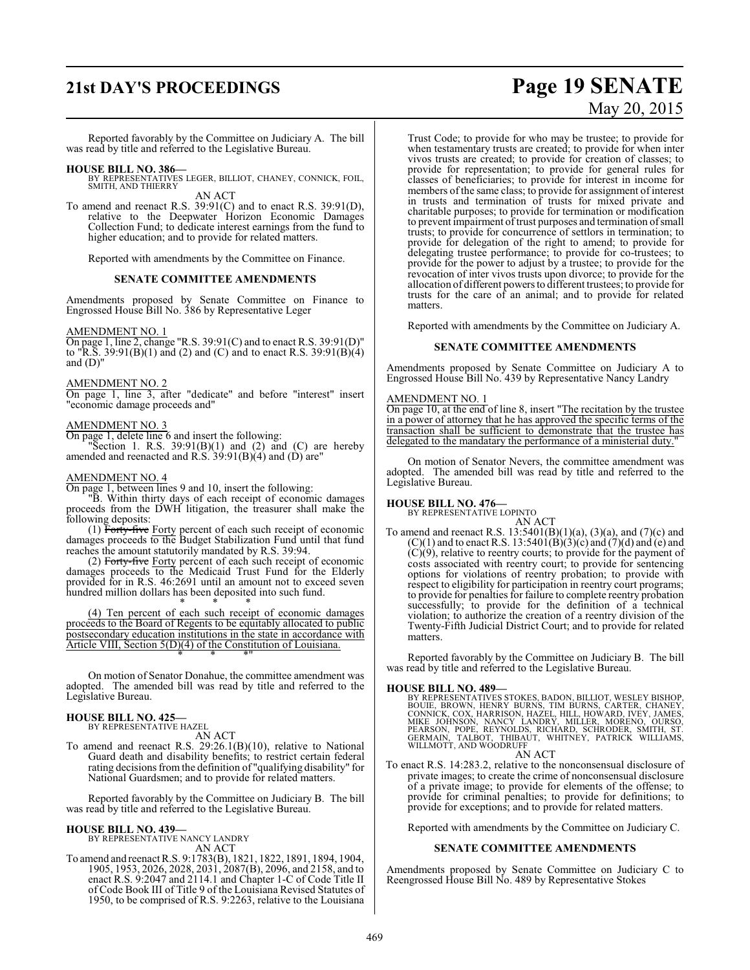# **21st DAY'S PROCEEDINGS Page 19 SENATE**

Reported favorably by the Committee on Judiciary A. The bill was read by title and referred to the Legislative Bureau.

#### **HOUSE BILL NO. 386—**

BY REPRESENTATIVES LEGER, BILLIOT, CHANEY, CONNICK, FOIL, SMITH, AND THIERRY AN ACT

To amend and reenact R.S. 39:91(C) and to enact R.S. 39:91(D), relative to the Deepwater Horizon Economic Damages Collection Fund; to dedicate interest earnings from the fund to higher education; and to provide for related matters.

Reported with amendments by the Committee on Finance.

#### **SENATE COMMITTEE AMENDMENTS**

Amendments proposed by Senate Committee on Finance to Engrossed House Bill No. 386 by Representative Leger

#### AMENDMENT NO. 1

On page 1, line 2, change "R.S. 39:91(C) and to enact R.S. 39:91(D)" to "R.S.  $39:91(B)(1)$  and (2) and (C) and to enact R.S.  $39:91(B)(4)$ and (D)"

#### AMENDMENT NO. 2

On page 1, line 3, after "dedicate" and before "interest" insert "economic damage proceeds and"

#### AMENDMENT NO. 3

On page 1, delete line 6 and insert the following:

"Section 1. R.S.  $39:91(B)(1)$  and (2) and (C) are hereby amended and reenacted and R.S.  $39:91(B)(4)$  and (D) are"

#### AMENDMENT NO. 4

On page 1, between lines 9 and 10, insert the following:

"B. Within thirty days of each receipt of economic damages proceeds from the DWH litigation, the treasurer shall make the following deposits:

(1) Forty-five Forty percent of each such receipt of economic damages proceeds to the Budget Stabilization Fund until that fund reaches the amount statutorily mandated by R.S. 39:94.

 $(2)$  Forty-five Forty percent of each such receipt of economic damages proceeds to the Medicaid Trust Fund for the Elderly provided for in R.S. 46:2691 until an amount not to exceed seven hundred million dollars has been deposited into such fund.

\* \* \* (4) Ten percent of each such receipt of economic damages proceeds to the Board of Regents to be equitably allocated to public postsecondary education institutions in the state in accordance with Article VIII, Section 5(D)(4) of the Constitution of Louisiana. \* \* \*"

On motion of Senator Donahue, the committee amendment was adopted. The amended bill was read by title and referred to the Legislative Bureau.

# **HOUSE BILL NO. 425—** BY REPRESENTATIVE HAZEL

AN ACT

To amend and reenact R.S. 29:26.1(B)(10), relative to National Guard death and disability benefits; to restrict certain federal rating decisions fromthe definition of "qualifying disability" for National Guardsmen; and to provide for related matters.

Reported favorably by the Committee on Judiciary B. The bill was read by title and referred to the Legislative Bureau.

**HOUSE BILL NO. 439—** BY REPRESENTATIVE NANCY LANDRY AN ACT

To amend and reenact R.S. 9:1783(B), 1821, 1822, 1891, 1894, 1904, 1905, 1953, 2026, 2028, 2031, 2087(B), 2096, and 2158, and to enact R.S. 9:2047 and 2114.1 and Chapter 1-C of Code Title II of Code Book III of Title 9 of the Louisiana Revised Statutes of 1950, to be comprised of R.S. 9:2263, relative to the Louisiana

# May 20, 2015

Trust Code; to provide for who may be trustee; to provide for when testamentary trusts are created; to provide for when inter vivos trusts are created; to provide for creation of classes; to provide for representation; to provide for general rules for classes of beneficiaries; to provide for interest in income for members of the same class; to provide for assignment of interest in trusts and termination of trusts for mixed private and charitable purposes; to provide for termination or modification to prevent impairment of trust purposes and termination of small trusts; to provide for concurrence of settlors in termination; to provide for delegation of the right to amend; to provide for delegating trustee performance; to provide for co-trustees; to provide for the power to adjust by a trustee; to provide for the revocation of inter vivos trusts upon divorce; to provide for the allocation of different powers to different trustees; to provide for trusts for the care of an animal; and to provide for related matters.

Reported with amendments by the Committee on Judiciary A.

#### **SENATE COMMITTEE AMENDMENTS**

Amendments proposed by Senate Committee on Judiciary A to Engrossed House Bill No. 439 by Representative Nancy Landry

#### AMENDMENT NO. 1

On page 10, at the end of line 8, insert "The recitation by the trustee in a power of attorney that he has approved the specific terms of the transaction shall be sufficient to demonstrate that the trustee has delegated to the mandatary the performance of a ministerial duty.

On motion of Senator Nevers, the committee amendment was adopted. The amended bill was read by title and referred to the Legislative Bureau.

**HOUSE BILL NO. 476—** BY REPRESENTATIVE LOPINTO AN ACT

To amend and reenact R.S.  $13:5401(B)(1)(a)$ ,  $(3)(a)$ , and  $(7)(c)$  and  $(C)(1)$  and to enact R.S. 13:5401(B)(3)(c) and (7)(d) and (e) and (C)(9), relative to reentry courts; to provide for the payment of costs associated with reentry court; to provide for sentencing options for violations of reentry probation; to provide with respect to eligibility for participation in reentry court programs; to provide for penalties for failure to complete reentry probation successfully; to provide for the definition of a technical violation; to authorize the creation of a reentry division of the Twenty-Fifth Judicial District Court; and to provide for related matters.

Reported favorably by the Committee on Judiciary B. The bill was read by title and referred to the Legislative Bureau.

#### **HOUSE BILL NO. 489—**

BY REPRESENTATIVES STOKES, BADON, BILLIOT, WESLEY BISHOP,<br>BOUIE, BROWN, HENRY BURNS, TIM BURNS, CARTER, CHANEY,<br>CONNICK, COX, HARRISON, HAZEL, HILL, HOWARD, IVEY, JAMES,<br>MIKE JOHNSON, NANCY LANDRY, MILLER, MORENO, OURSO,<br>P

AN ACT

To enact R.S. 14:283.2, relative to the nonconsensual disclosure of private images; to create the crime of nonconsensual disclosure of a private image; to provide for elements of the offense; to provide for criminal penalties; to provide for definitions; to provide for exceptions; and to provide for related matters.

Reported with amendments by the Committee on Judiciary C.

#### **SENATE COMMITTEE AMENDMENTS**

Amendments proposed by Senate Committee on Judiciary C to Reengrossed House Bill No. 489 by Representative Stokes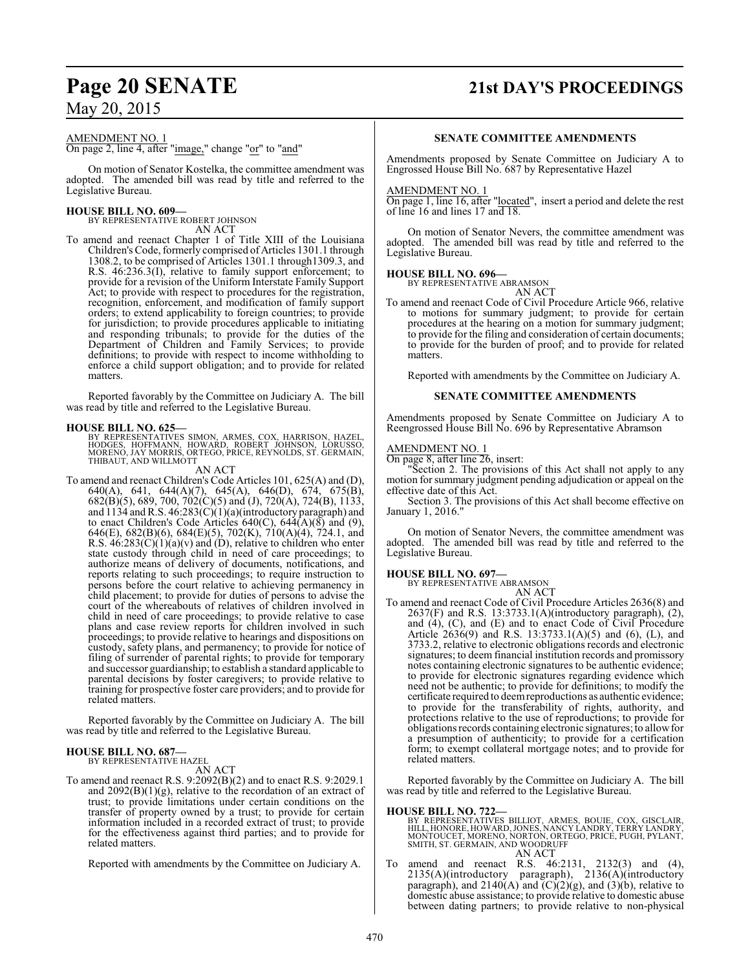# **Page 20 SENATE 21st DAY'S PROCEEDINGS**

May 20, 2015

#### AMENDMENT NO. 1

On page 2, line 4, after "image," change "or" to "and"

On motion of Senator Kostelka, the committee amendment was adopted. The amended bill was read by title and referred to the Legislative Bureau.

# **HOUSE BILL NO. 609—** BY REPRESENTATIVE ROBERT JOHNSON

AN ACT

To amend and reenact Chapter 1 of Title XIII of the Louisiana Children's Code, formerly comprised of Articles 1301.1 through 1308.2, to be comprised of Articles 1301.1 through1309.3, and R.S. 46:236.3(I), relative to family support enforcement; to provide for a revision of the Uniform Interstate Family Support Act; to provide with respect to procedures for the registration, recognition, enforcement, and modification of family support orders; to extend applicability to foreign countries; to provide for jurisdiction; to provide procedures applicable to initiating and responding tribunals; to provide for the duties of the Department of Children and Family Services; to provide definitions; to provide with respect to income withholding to enforce a child support obligation; and to provide for related matters.

Reported favorably by the Committee on Judiciary A. The bill was read by title and referred to the Legislative Bureau.

**HOUSE BILL NO. 625—** BY REPRESENTATIVES SIMON, ARMES, COX, HARRISON, HAZEL, HODGES, HOFFMANN, HOWARD, ROBERT JOHNSON, LORUSSO, MORENO, JAY MORRIS, ORTEGO, PRICE, REYNOLDS, ST. GERMAIN, THIBAUT, AND WILLMOTT

AN ACT To amend and reenact Children's Code Articles 101, 625(A) and (D), 640(A), 641, 644(A)(7), 645(A), 646(D), 674, 675(B), 682(B)(5), 689, 700, 702(C)(5) and (J), 720(A), 724(B), 1133, and 1134 andR.S. 46:283(C)(1)(a)(introductory paragraph) and to enact Children's Code Articles  $640(C)$ ,  $644(A)(8)$  and  $(9)$ , 646(E), 682(B)(6), 684(E)(5), 702(K), 710(A)(4), 724.1, and R.S.  $46:283(C)(1)(a)(v)$  and (D), relative to children who enter state custody through child in need of care proceedings; to authorize means of delivery of documents, notifications, and reports relating to such proceedings; to require instruction to persons before the court relative to achieving permanency in child placement; to provide for duties of persons to advise the court of the whereabouts of relatives of children involved in child in need of care proceedings; to provide relative to case plans and case review reports for children involved in such proceedings; to provide relative to hearings and dispositions on custody, safety plans, and permanency; to provide for notice of filing of surrender of parental rights; to provide for temporary and successor guardianship; to establish a standard applicable to parental decisions by foster caregivers; to provide relative to training for prospective foster care providers; and to provide for related matters.

Reported favorably by the Committee on Judiciary A. The bill was read by title and referred to the Legislative Bureau.

#### **HOUSE BILL NO. 687—**

BY REPRESENTATIVE HAZEL

AN ACT

To amend and reenact R.S. 9:2092(B)(2) and to enact R.S. 9:2029.1 and  $2092(B)(1)(g)$ , relative to the recordation of an extract of trust; to provide limitations under certain conditions on the transfer of property owned by a trust; to provide for certain information included in a recorded extract of trust; to provide for the effectiveness against third parties; and to provide for related matters.

Reported with amendments by the Committee on Judiciary A.

#### **SENATE COMMITTEE AMENDMENTS**

Amendments proposed by Senate Committee on Judiciary A to Engrossed House Bill No. 687 by Representative Hazel

#### AMENDMENT NO. 1

On page 1, line 16, after "located", insert a period and delete the rest of line 16 and lines 17 and 18.

On motion of Senator Nevers, the committee amendment was adopted. The amended bill was read by title and referred to the Legislative Bureau.

# **HOUSE BILL NO. 696—** BY REPRESENTATIVE ABRAMSON

AN ACT

To amend and reenact Code of Civil Procedure Article 966, relative to motions for summary judgment; to provide for certain procedures at the hearing on a motion for summary judgment; to provide for the filing and consideration of certain documents; to provide for the burden of proof; and to provide for related matters.

Reported with amendments by the Committee on Judiciary A.

#### **SENATE COMMITTEE AMENDMENTS**

Amendments proposed by Senate Committee on Judiciary A to Reengrossed House Bill No. 696 by Representative Abramson

AMENDMENT NO. 1

On page 8, after line 26, insert:

"Section 2. The provisions of this Act shall not apply to any motion for summary judgment pending adjudication or appeal on the effective date of this Act.

Section 3. The provisions of this Act shall become effective on January 1, 2016."

On motion of Senator Nevers, the committee amendment was adopted. The amended bill was read by title and referred to the Legislative Bureau.

# **HOUSE BILL NO. 697—** BY REPRESENTATIVE ABRAMSON

AN ACT To amend and reenact Code of Civil Procedure Articles 2636(8) and 2637(F) and R.S. 13:3733.1(A)(introductory paragraph), (2), and (4), (C), and (E) and to enact Code of Civil Procedure Article 2636(9) and R.S. 13:3733.1(A)(5) and (6), (L), and 3733.2, relative to electronic obligations records and electronic signatures; to deem financial institution records and promissory notes containing electronic signatures to be authentic evidence; to provide for electronic signatures regarding evidence which need not be authentic; to provide for definitions; to modify the certificate required to deemreproductions as authentic evidence; to provide for the transferability of rights, authority, and protections relative to the use of reproductions; to provide for obligations records containing electronic signatures; to allowfor a presumption of authenticity; to provide for a certification form; to exempt collateral mortgage notes; and to provide for related matters.

Reported favorably by the Committee on Judiciary A. The bill was read by title and referred to the Legislative Bureau.

**HOUSE BILL NO. 722—**<br>BY REPRESENTATIVES BILLIOT, ARMES, BOUIE, COX, GISCLAIR,<br>HILL, HONORE, HOWARD, JONES, NANCY LANDRY, TERRY LANDRY,<br>MONTOUCET, MORENO, NORTON, ORTEGO, PRICE, PUGH, PYLANT,<br>SMITH, ST. GERMAIN, AND WOODRU

- AN ACT
- To amend and reenact R.S. 46:2131, 2132(3) and (4), 2135(A)(introductory paragraph), 2136(A)(introductory paragraph), and  $2140(A)$  and  $\overline{(C)}(2)(g)$ , and  $\overline{(3)}(b)$ , relative to domestic abuse assistance; to provide relative to domestic abuse between dating partners; to provide relative to non-physical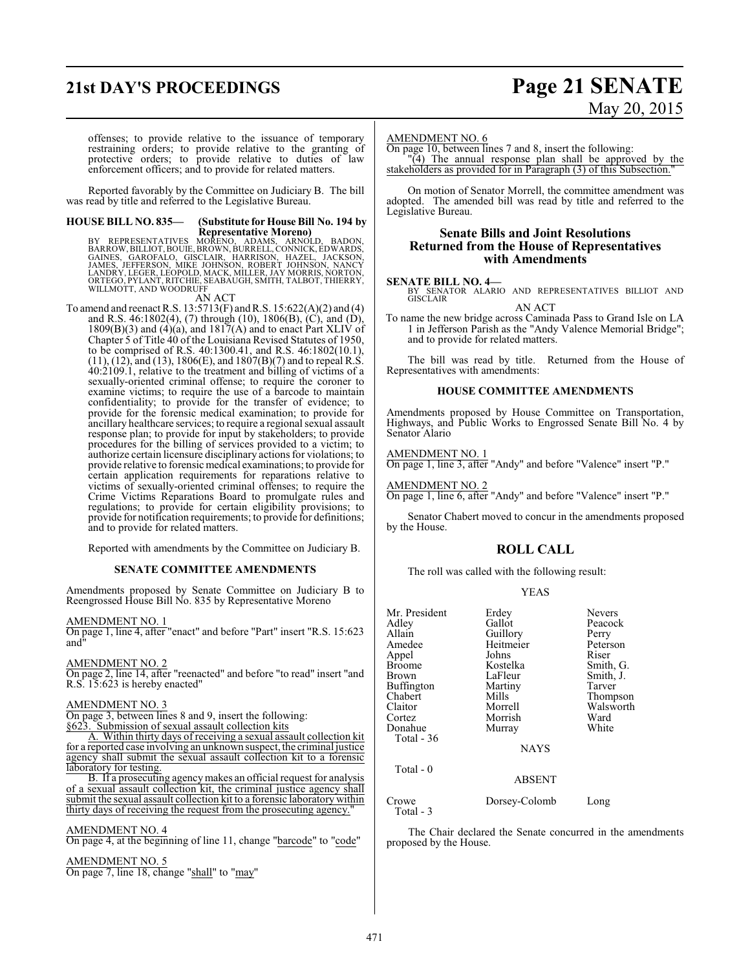# **21st DAY'S PROCEEDINGS Page 21 SENATE**

# May 20, 2015

offenses; to provide relative to the issuance of temporary restraining orders; to provide relative to the granting of protective orders; to provide relative to duties of law enforcement officers; and to provide for related matters.

Reported favorably by the Committee on Judiciary B. The bill was read by title and referred to the Legislative Bureau.

#### **HOUSE BILL NO. 835— (Substitute for House Bill No. 194 by Representative Moreno)**

BY REPRESENTATIVES MORENO, ADAMS, ARNOLD, BADON,<br>BARROW,BILLIOT,BOUIE,BROWN,BURRELL,CONNICK,EDWARDS,<br>GAINES, GAROFALO, GISCLAIR, HARRISON, HAZEL, JACKSON,<br>JAMES, JEFFERSON, MIKE JOHNSON, ROBERT JOHNSON, NANCY<br>LANDRY,LEGER,

AN ACT

To amend and reenact R.S. 13:5713(F) andR.S. 15:622(A)(2) and (4) and R.S. 46:1802(4), (7) through (10), 1806(B), (C), and (D),  $1809(B)(3)$  and  $(4)(a)$ , and  $1817(A)$  and to enact Part XLIV of Chapter 5 of Title 40 of the Louisiana Revised Statutes of 1950, to be comprised of R.S. 40:1300.41, and R.S. 46:1802(10.1),  $(11)$ ,  $(12)$ , and  $(13)$ ,  $1806(E)$ , and  $1807(B)(7)$  and to repeal R.S. 40:2109.1, relative to the treatment and billing of victims of a sexually-oriented criminal offense; to require the coroner to examine victims; to require the use of a barcode to maintain confidentiality; to provide for the transfer of evidence; to provide for the forensic medical examination; to provide for ancillary healthcare services; to require a regional sexual assault response plan; to provide for input by stakeholders; to provide procedures for the billing of services provided to a victim; to authorize certain licensure disciplinary actions for violations; to provide relative to forensic medical examinations; to provide for certain application requirements for reparations relative to victims of sexually-oriented criminal offenses; to require the Crime Victims Reparations Board to promulgate rules and regulations; to provide for certain eligibility provisions; to provide for notification requirements; to provide for definitions; and to provide for related matters.

Reported with amendments by the Committee on Judiciary B.

#### **SENATE COMMITTEE AMENDMENTS**

Amendments proposed by Senate Committee on Judiciary B to Reengrossed House Bill No. 835 by Representative Moreno

AMENDMENT NO. 1

On page 1, line 4, after "enact" and before "Part" insert "R.S. 15:623 and"

AMENDMENT NO. 2

On page 2, line 14, after "reenacted" and before "to read" insert "and R.S. 15:623 is hereby enacted"

#### AMENDMENT NO. 3

On page 3, between lines 8 and 9, insert the following: §623. Submission of sexual assault collection kits

A. Within thirty days of receiving a sexual assault collection kit for a reported case involving an unknown suspect, the criminal justice agency shall submit the sexual assault collection kit to a forensic laboratory for testing.

B. If a prosecuting agencymakes an official request for analysis of a sexual assault collection kit, the criminal justice agency shall submit the sexual assault collection kit to a forensic laboratory within thirty days of receiving the request from the prosecuting agency."

#### AMENDMENT NO. 4

On page 4, at the beginning of line 11, change "barcode" to "code"

#### AMENDMENT NO. 5

On page 7, line 18, change "shall" to "may"

#### AMENDMENT NO. 6

On page 10, between lines 7 and 8, insert the following: "(4) The annual response plan shall be approved by the stakeholders as provided for in Paragraph (3) of this Subsection.

On motion of Senator Morrell, the committee amendment was adopted. The amended bill was read by title and referred to the Legislative Bureau.

#### **Senate Bills and Joint Resolutions Returned from the House of Representatives with Amendments**

#### **SENATE BILL NO. 4—**

BY SENATOR ALARIO AND REPRESENTATIVES BILLIOT AND GISCLAIR AN ACT

To name the new bridge across Caminada Pass to Grand Isle on LA 1 in Jefferson Parish as the "Andy Valence Memorial Bridge"; and to provide for related matters.

The bill was read by title. Returned from the House of Representatives with amendments:

#### **HOUSE COMMITTEE AMENDMENTS**

Amendments proposed by House Committee on Transportation, Highways, and Public Works to Engrossed Senate Bill No. 4 by Senator Alario

AMENDMENT NO. 1

On page 1, line 3, after "Andy" and before "Valence" insert "P."

AMENDMENT NO. 2

On page 1, line 6, after "Andy" and before "Valence" insert "P."

Senator Chabert moved to concur in the amendments proposed by the House.

#### **ROLL CALL**

The roll was called with the following result:

| Mr. President<br>Adley<br>Allain<br>Amedee<br>Appel<br><b>Broome</b><br>Brown<br><b>Buffington</b><br>Chabert<br>Claitor<br>Cortez<br>Donahue<br>Total - 36 | Erdey<br>Gallot<br>Guillory<br>Heitmeier<br>Johns<br>Kostelka<br>LaFleur<br>Martiny<br>Mills<br>Morrell<br>Morrish<br>Murray | <b>Nevers</b><br>Peacock<br>Perry<br>Peterson<br>Riser<br>Smith, G.<br>Smith, J.<br>Tarver<br>Thompson<br>Walsworth<br>Ward<br>White |
|-------------------------------------------------------------------------------------------------------------------------------------------------------------|------------------------------------------------------------------------------------------------------------------------------|--------------------------------------------------------------------------------------------------------------------------------------|
|                                                                                                                                                             | <b>NAYS</b>                                                                                                                  |                                                                                                                                      |
| Total $-0$                                                                                                                                                  | ABSENT                                                                                                                       |                                                                                                                                      |
| Crowe                                                                                                                                                       | Dorsey-Colomb                                                                                                                | Long                                                                                                                                 |

Total - 3

The Chair declared the Senate concurred in the amendments proposed by the House.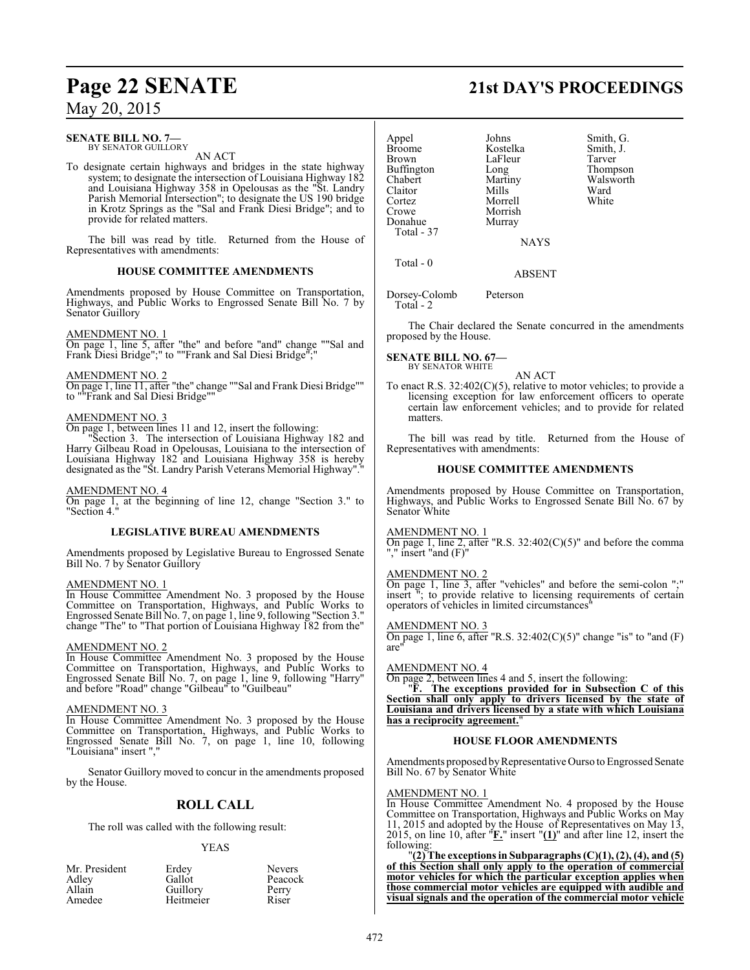## **SENATE BILL NO. 7—**

BY SENATOR GUILLORY AN ACT

To designate certain highways and bridges in the state highway system; to designate the intersection of Louisiana Highway 182 and Louisiana Highway 358 in Opelousas as the "St. Landry Parish Memorial Intersection"; to designate the US 190 bridge in Krotz Springs as the "Sal and Frank Diesi Bridge"; and to provide for related matters.

The bill was read by title. Returned from the House of Representatives with amendments:

#### **HOUSE COMMITTEE AMENDMENTS**

Amendments proposed by House Committee on Transportation, Highways, and Public Works to Engrossed Senate Bill No. 7 by Senator Guillory

#### AMENDMENT NO. 1

On page 1, line 5, after "the" and before "and" change ""Sal and Frank Diesi Bridge";" to ""Frank and Sal Diesi Bridge";"

#### AMENDMENT NO. 2

On page 1, line 11, after "the" change ""Sal and Frank Diesi Bridge"" to ""Frank and Sal Diesi Bridge""

#### AMENDMENT NO. 3

On page 1, between lines 11 and 12, insert the following:

"Section 3. The intersection of Louisiana Highway 182 and Harry Gilbeau Road in Opelousas, Louisiana to the intersection of Louisiana Highway 182 and Louisiana Highway 358 is hereby designated as the "St. Landry Parish Veterans Memorial Highway"."

AMENDMENT NO. 4

On page 1, at the beginning of line 12, change "Section 3." to "Section 4.

## **LEGISLATIVE BUREAU AMENDMENTS**

Amendments proposed by Legislative Bureau to Engrossed Senate Bill No. 7 by Senator Guillory

#### AMENDMENT NO. 1

In House Committee Amendment No. 3 proposed by the House Committee on Transportation, Highways, and Public Works to Engrossed Senate Bill No. 7, on page 1, line 9, following "Section 3." change "The" to "That portion of Louisiana Highway 182 from the"

#### AMENDMENT NO. 2

In House Committee Amendment No. 3 proposed by the House Committee on Transportation, Highways, and Public Works to Engrossed Senate Bill No. 7, on page 1, line 9, following "Harry" and before "Road" change "Gilbeau" to "Guilbeau"

#### AMENDMENT NO. 3

In House Committee Amendment No. 3 proposed by the House Committee on Transportation, Highways, and Public Works to Engrossed Senate Bill No. 7, on page 1, line 10, following "Louisiana" insert "

Senator Guillory moved to concur in the amendments proposed by the House.

## **ROLL CALL**

The roll was called with the following result:

#### YEAS

| Mr. President | Erdey     | <b>Neve</b> |
|---------------|-----------|-------------|
| Adley         | Gallot    | Peaco       |
| Allain        | Guillory  | Perry       |
| Amedee        | Heitmeier | Riser       |

Nevers Peacock<br>Perry

**Page 22 SENATE 21st DAY'S PROCEEDINGS**

Appel Johns Smith, G.<br>Broome Kostelka Smith, J. Broome Kostelka Smith,<br>Brown LaFleur Tarver LaFleur Tarver<br>
Long Thompson Buffington Long<br>Chabert Martiny Martiny Walsworth<br>
Mills Ward Claitor Mills Ward<br>Cortez Morrell White Morrell Crowe Morrish<br>
Donahue Murray Donahue Total - 37 **NAYS** Total - 0

Dorsey-Colomb Peterson Total - 2

The Chair declared the Senate concurred in the amendments proposed by the House.

ABSENT

# **SENATE BILL NO. 67—**<br>BY SENATOR WHITE

AN ACT

To enact R.S. 32:402(C)(5), relative to motor vehicles; to provide a licensing exception for law enforcement officers to operate certain law enforcement vehicles; and to provide for related matters.

The bill was read by title. Returned from the House of Representatives with amendments:

#### **HOUSE COMMITTEE AMENDMENTS**

Amendments proposed by House Committee on Transportation, Highways, and Public Works to Engrossed Senate Bill No. 67 by Senator White

#### AMENDMENT NO. 1

On page 1, line 2, after "R.S. 32:402(C)(5)" and before the comma "," insert "and (F)"

#### AMENDMENT NO. 2

On page 1, line 3, after "vehicles" and before the semi-colon ";" insert "; to provide relative to licensing requirements of certain operators of vehicles in limited circumstances"

#### AMENDMENT NO. 3

On page 1, line 6, after "R.S.  $32:402(C)(5)$ " change "is" to "and (F) are"

#### AMENDMENT NO. 4

On page 2, between lines 4 and 5, insert the following:

"**F. The exceptions provided for in Subsection C of this Section shall only apply to drivers licensed by the state of Louisiana and drivers licensed by a state with which Louisiana has a reciprocity agreement.**"

#### **HOUSE FLOOR AMENDMENTS**

Amendments proposed by Representative Ourso to Engrossed Senate Bill No. 67 by Senator White

#### AMENDMENT NO. 1

In House Committee Amendment No. 4 proposed by the House Committee on Transportation, Highways and Public Works on May 11, 2015 and adopted by the House of Representatives on May 13, 2015, on line 10, after "**F.**" insert "**(1)**" and after line 12, insert the following:

"**(2) The exceptions in Subparagraphs (C)(1), (2), (4), and (5) of this Section shall only apply to the operation of commercial motor vehicles for which the particular exception applies when those commercial motor vehicles are equipped with audible and visual signals and the operation of the commercial motor vehicle**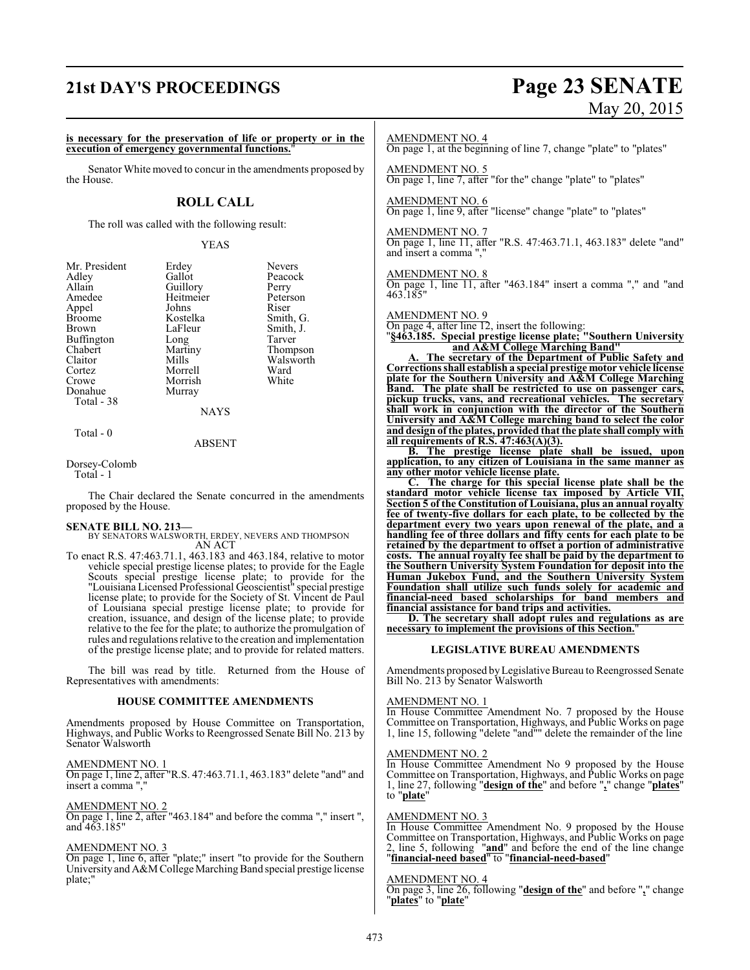# **21st DAY'S PROCEEDINGS Page 23 SENATE**

# May 20, 2015

**is necessary for the preservation of life or property or in the execution of emergency governmental functions.**"

Senator White moved to concur in the amendments proposed by the House.

## **ROLL CALL**

The roll was called with the following result:

YEAS

| Mr. President | Erdey       | <b>Nevers</b> |
|---------------|-------------|---------------|
| Adley         | Gallot      | Peacock       |
| Allain        | Guillory    | Perry         |
| Amedee        | Heitmeier   | Peterson      |
| Appel         | Johns       | Riser         |
| <b>Broome</b> | Kostelka    | Smith, G.     |
| Brown         | LaFleur     | Smith, J.     |
| Buffington    | Long        | Tarver        |
| Chabert       | Martiny     | Thompson      |
| Claitor       | Mills       | Walsworth     |
| Cortez        | Morrell     | Ward          |
| Crowe         | Morrish     | White         |
| Donahue       | Murray      |               |
| Total - 38    |             |               |
|               | <b>NAYS</b> |               |
|               |             |               |

Total - 0

#### ABSENT

Dorsey-Colomb

Total - 1

The Chair declared the Senate concurred in the amendments proposed by the House.

#### **SENATE BILL NO. 213—**

BY SENATORS WALSWORTH, ERDEY, NEVERS AND THOMPSON AN ACT

To enact R.S. 47:463.71.1, 463.183 and 463.184, relative to motor vehicle special prestige license plates; to provide for the Eagle Scouts special prestige license plate; to provide for the "Louisiana Licensed Professional Geoscientist" special prestige license plate; to provide for the Society of St. Vincent de Paul of Louisiana special prestige license plate; to provide for creation, issuance, and design of the license plate; to provide relative to the fee for the plate; to authorize the promulgation of rules and regulations relative to the creation and implementation of the prestige license plate; and to provide for related matters.

The bill was read by title. Returned from the House of Representatives with amendments:

#### **HOUSE COMMITTEE AMENDMENTS**

Amendments proposed by House Committee on Transportation, Highways, and Public Works to Reengrossed Senate Bill No. 213 by Senator Walsworth

#### AMENDMENT NO. 1

On page 1, line 2, after "R.S. 47:463.71.1, 463.183" delete "and" and insert a comma ","

#### AMENDMENT NO. 2

On page 1, line 2, after "463.184" and before the comma "," insert ", and 463.185"

#### AMENDMENT NO. 3

On page 1, line 6, after "plate;" insert "to provide for the Southern University and A&M College Marching Band special prestige license plate;"

#### AMENDMENT NO. 4

On page 1, at the beginning of line 7, change "plate" to "plates"

#### AMENDMENT NO. 5

On page 1, line 7, after "for the" change "plate" to "plates"

## AMENDMENT NO. 6

On page 1, line 9, after "license" change "plate" to "plates"

#### AMENDMENT NO. 7

On page 1, line 11, after "R.S. 47:463.71.1, 463.183" delete "and" and insert a comma ","

#### AMENDMENT NO. 8

On page 1, line 11, after "463.184" insert a comma "," and "and 463.185"

#### AMENDMENT NO. 9

On page 4, after line 12, insert the following:

"**§463.185. Special prestige license plate; "Southern University and A&M College Marching Band"**

**A. The secretary of the Department of Public Safety and Correctionsshall establish a special prestige motor vehicle license plate for the Southern University and A&M College Marching Band. The plate shall be restricted to use on passenger cars, pickup trucks, vans, and recreational vehicles. The secretary shall work in conjunction with the director of the Southern University and A&M College marching band to select the color and design of the plates, provided that the plate shall comply with all requirements of R.S. 47:463(A)(3).**

**B. The prestige license plate shall be issued, upon application, to any citizen of Louisiana in the same manner as any other motor vehicle license plate.**

**C. The charge for this special license plate shall be the standard motor vehicle license tax imposed by Article VII, Section 5 of the Constitution of Louisiana, plus an annual royalty fee of twenty-five dollars for each plate, to be collected by the department every two years upon renewal of the plate, and a handling fee of three dollars and fifty cents for each plate to be retained by the department to offset a portion of administrative costs. The annual royalty fee shall be paid by the department to the Southern University System Foundation for deposit into the Human Jukebox Fund, and the Southern University System Foundation shall utilize such funds solely for academic and financial-need based scholarships for band members and financial assistance for band trips and activities.**

**D. The secretary shall adopt rules and regulations as are necessary to implement the provisions of this Section.**"

#### **LEGISLATIVE BUREAU AMENDMENTS**

Amendments proposed byLegislative Bureau to Reengrossed Senate Bill No. 213 by Senator Walsworth

#### AMENDMENT NO. 1

In House Committee Amendment No. 7 proposed by the House Committee on Transportation, Highways, and Public Works on page 1, line 15, following "delete "and"" delete the remainder of the line

#### AMENDMENT NO. 2

In House Committee Amendment No 9 proposed by the House Committee on Transportation, Highways, and Public Works on page 1, line 27, following "**design of the**" and before "**,**" change "**plates**" to "**plate**"

#### AMENDMENT NO. 3

In House Committee Amendment No. 9 proposed by the House Committee on Transportation, Highways, and Public Works on page 2, line 5, following "**and**" and before the end of the line change "**financial-need based**" to "**financial-need-based**"

#### AMENDMENT NO. 4

On page 3, line 26, following "**design of the**" and before "**,**" change "**plates**" to "**plate**"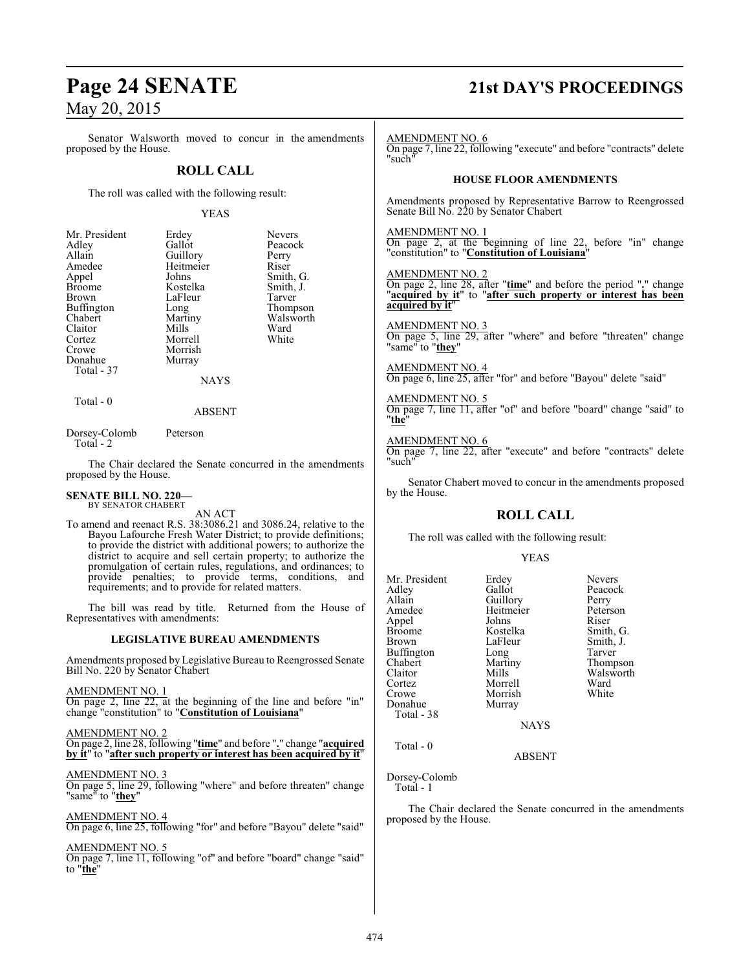Senator Walsworth moved to concur in the amendments proposed by the House.

#### **ROLL CALL**

The roll was called with the following result:

#### YEAS

Nevers Peacock<br>Perry

Smith, G. Smith, J. Tarver Thompson Walsworth<br>Ward

White

| Erdey     | Never                                         |
|-----------|-----------------------------------------------|
| Gallot    | Peaco                                         |
| Guillory  | Perry                                         |
| Heitmeier | Riser                                         |
| Johns     | Smith                                         |
| Kostelka  | Smith                                         |
| LaFleur   | Tarve                                         |
|           | Thom                                          |
|           | Walsy                                         |
|           | Ward                                          |
|           | White                                         |
| Morrish   |                                               |
|           |                                               |
|           |                                               |
| NAYS      |                                               |
|           | Long<br>Martiny<br>Mills<br>Morrell<br>Murray |

Total - 0

#### ABSENT

Dorsey-Colomb Peterson Total - 2

The Chair declared the Senate concurred in the amendments proposed by the House.

#### **SENATE BILL NO. 220—** BY SENATOR CHABERT

AN ACT

To amend and reenact R.S. 38:3086.21 and 3086.24, relative to the Bayou Lafourche Fresh Water District; to provide definitions; to provide the district with additional powers; to authorize the district to acquire and sell certain property; to authorize the promulgation of certain rules, regulations, and ordinances; to provide penalties; to provide terms, conditions, and requirements; and to provide for related matters.

The bill was read by title. Returned from the House of Representatives with amendments:

#### **LEGISLATIVE BUREAU AMENDMENTS**

Amendments proposed by Legislative Bureau to Reengrossed Senate Bill No. 220 by Senator Chabert

AMENDMENT NO. 1

On page 2, line 22, at the beginning of the line and before "in" change "constitution" to "**Constitution of Louisiana**"

AMENDMENT NO. 2

On page 2, line 28, following "**time**" and before "**.**" change "**acquired by it**" to "**after such property or interest has been acquired by it**"

#### AMENDMENT NO. 3

On page 5, line 29, following "where" and before threaten" change "same" to "**they**"

#### AMENDMENT NO. 4

On page 6, line 25, following "for" and before "Bayou" delete "said"

#### AMENDMENT NO. 5

On page 7, line 11, following "of" and before "board" change "said" to "**the**"

# **Page 24 SENATE 21st DAY'S PROCEEDINGS**

AMENDMENT NO. 6

On page 7, line 22, following "execute" and before "contracts" delete "such"

#### **HOUSE FLOOR AMENDMENTS**

Amendments proposed by Representative Barrow to Reengrossed Senate Bill No. 220 by Senator Chabert

#### AMENDMENT NO. 1

On page 2, at the beginning of line 22, before "in" change "constitution" to "**Constitution of Louisiana**"

#### AMENDMENT NO. 2

On page 2, line 28, after "**time**" and before the period "**.**" change "**acquired by it**" to "**after such property or interest has been acquired by it**"

#### AMENDMENT NO. 3

On page 5, line 29, after "where" and before "threaten" change "same" to "**they**"

#### AMENDMENT NO. 4

On page 6, line 25, after "for" and before "Bayou" delete "said"

#### AMENDMENT NO. 5 On page 7, line 11, after "of" and before "board" change "said" to "**the**"

AMENDMENT NO. 6

On page 7, line 22, after "execute" and before "contracts" delete "such"

Senator Chabert moved to concur in the amendments proposed by the House.

## **ROLL CALL**

The roll was called with the following result:

#### YEAS

| Mr. President | Erdey       | <b>Nevers</b> |
|---------------|-------------|---------------|
| Adley         | Gallot      | Peacock       |
| Allain        | Guillory    | Perry         |
| Amedee        | Heitmeier   | Peterson      |
| Appel         | Johns       | Riser         |
| <b>Broome</b> | Kostelka    | Smith, G.     |
| Brown         | LaFleur     | Smith, J.     |
| Buffington    | Long        | Tarver        |
| Chabert       | Martiny     | Thompson      |
| Claitor       | Mills       | Walsworth     |
| Cortez        | Morrell     | Ward          |
| Crowe         | Morrish     | White         |
| Donahue       | Murray      |               |
| Total - 38    |             |               |
|               | <b>NAYS</b> |               |
| Total - 0     |             |               |

#### ABSENT

Dorsey-Colomb Total - 1

The Chair declared the Senate concurred in the amendments proposed by the House.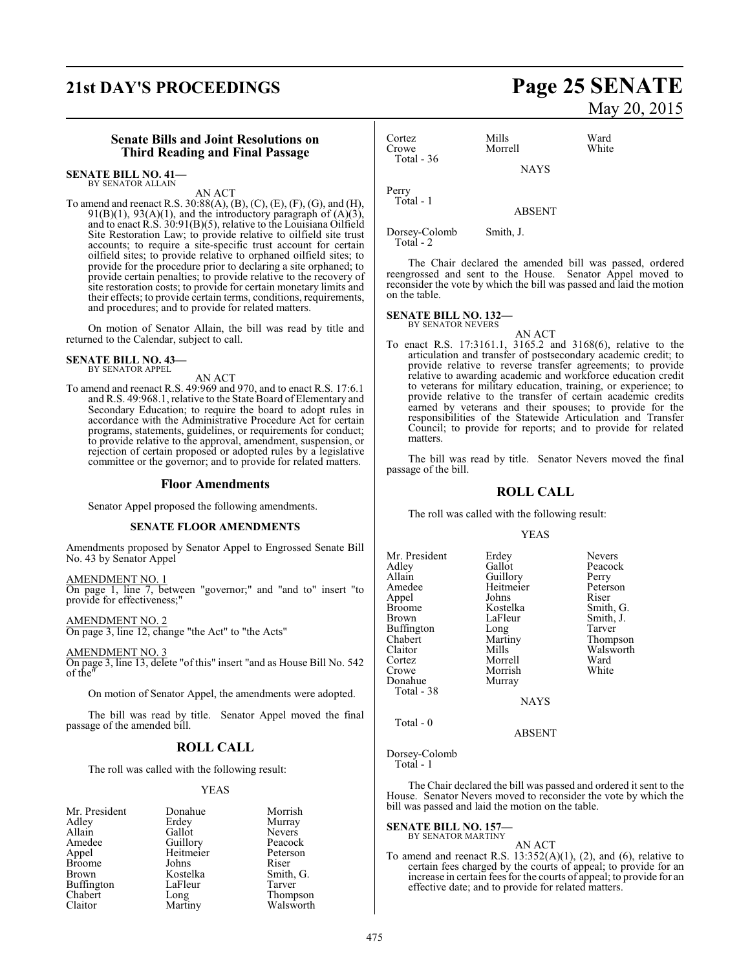# **21st DAY'S PROCEEDINGS Page 25 SENATE**

# May 20, 2015

#### **Senate Bills and Joint Resolutions on Third Reading and Final Passage**

#### **SENATE BILL NO. 41—** BY SENATOR ALLAIN

AN ACT

To amend and reenact R.S. 30:88(A), (B), (C), (E), (F), (G), and (H),  $91(B)(1)$ ,  $93(A)(1)$ , and the introductory paragraph of  $(A)(3)$ , and to enact R.S. 30:91(B)(5), relative to the Louisiana Oilfield Site Restoration Law; to provide relative to oilfield site trust accounts; to require a site-specific trust account for certain oilfield sites; to provide relative to orphaned oilfield sites; to provide for the procedure prior to declaring a site orphaned; to provide certain penalties; to provide relative to the recovery of site restoration costs; to provide for certain monetary limits and their effects; to provide certain terms, conditions, requirements, and procedures; and to provide for related matters.

On motion of Senator Allain, the bill was read by title and returned to the Calendar, subject to call.

#### **SENATE BILL NO. 43—** BY SENATOR APPEL

AN ACT

To amend and reenact R.S. 49:969 and 970, and to enact R.S. 17:6.1 and R.S. 49:968.1, relative to the State Board of Elementary and Secondary Education; to require the board to adopt rules in accordance with the Administrative Procedure Act for certain programs, statements, guidelines, or requirements for conduct; to provide relative to the approval, amendment, suspension, or rejection of certain proposed or adopted rules by a legislative committee or the governor; and to provide for related matters.

#### **Floor Amendments**

Senator Appel proposed the following amendments.

#### **SENATE FLOOR AMENDMENTS**

Amendments proposed by Senator Appel to Engrossed Senate Bill No. 43 by Senator Appel

AMENDMENT NO. 1 On page 1, line 7, between "governor;" and "and to" insert "to provide for effectiveness;

AMENDMENT NO. 2 On page 3, line 12, change "the Act" to "the Acts"

AMENDMENT NO. 3 On page 3, line 13, delete "of this" insert "and as House Bill No. 542 of the"

On motion of Senator Appel, the amendments were adopted.

The bill was read by title. Senator Appel moved the final passage of the amended bill.

## **ROLL CALL**

The roll was called with the following result:

#### YEAS

| Mr. President | Donahue   | Morrish       |
|---------------|-----------|---------------|
| Adley         | Erdey     | Murray        |
| Allain        | Gallot    | <b>Nevers</b> |
| Amedee        | Guillory  | Peacock       |
| Appel         | Heitmeier | Peterson      |
| Broome        | Johns     | Riser         |
| Brown         | Kostelka  | Smith, G.     |
| Buffington    | LaFleur   | Tarver        |
| Chabert       | Long      | Thompson      |
| Claitor       | Martiny   | Walsworth     |

| Cortez<br>Crowe    | Mills<br>Morrell | Ward<br>White |
|--------------------|------------------|---------------|
| Total - $36$       | <b>NAYS</b>      |               |
| Perry<br>Total - 1 |                  |               |

Dorsey-Colomb Smith, J. Total - 2

P<sub>p</sub>

The Chair declared the amended bill was passed, ordered reengrossed and sent to the House. Senator Appel moved to reconsider the vote by which the bill was passed and laid the motion on the table.

ABSENT

#### **SENATE BILL NO. 132—**

BY SENATOR NEVERS

AN ACT To enact R.S. 17:3161.1, 3165.2 and 3168(6), relative to the articulation and transfer of postsecondary academic credit; to provide relative to reverse transfer agreements; to provide relative to awarding academic and workforce education credit to veterans for military education, training, or experience; to provide relative to the transfer of certain academic credits earned by veterans and their spouses; to provide for the responsibilities of the Statewide Articulation and Transfer Council; to provide for reports; and to provide for related matters.

The bill was read by title. Senator Nevers moved the final passage of the bill.

## **ROLL CALL**

The roll was called with the following result:

#### YEAS

|           | <b>Nevers</b>               |
|-----------|-----------------------------|
|           | Peacock                     |
|           | Perry                       |
| Heitmeier | Peterson                    |
| Johns     | Riser                       |
| Kostelka  | Smith, G.                   |
| LaFleur   | Smith, J.                   |
| Long      | Tarver                      |
| Martiny   | Thompson                    |
| Mills     | Walswort                    |
| Morrell   | Ward                        |
| Morrish   | White                       |
| Murray    |                             |
|           |                             |
| NAYS      |                             |
|           | Erdey<br>Gallot<br>Guillory |

Perry Smith, J. Thompson Walsworth<br>Ward

**AYS** 

Total - 0

Dorsey-Colomb

Total - 1

The Chair declared the bill was passed and ordered it sent to the House. Senator Nevers moved to reconsider the vote by which the bill was passed and laid the motion on the table.

ABSENT

**SENATE BILL NO. 157** BY SENATOR MARTINY

## AN ACT

To amend and reenact R.S.  $13:352(A)(1)$ ,  $(2)$ , and  $(6)$ , relative to certain fees charged by the courts of appeal; to provide for an increase in certain fees for the courts of appeal; to provide for an effective date; and to provide for related matters.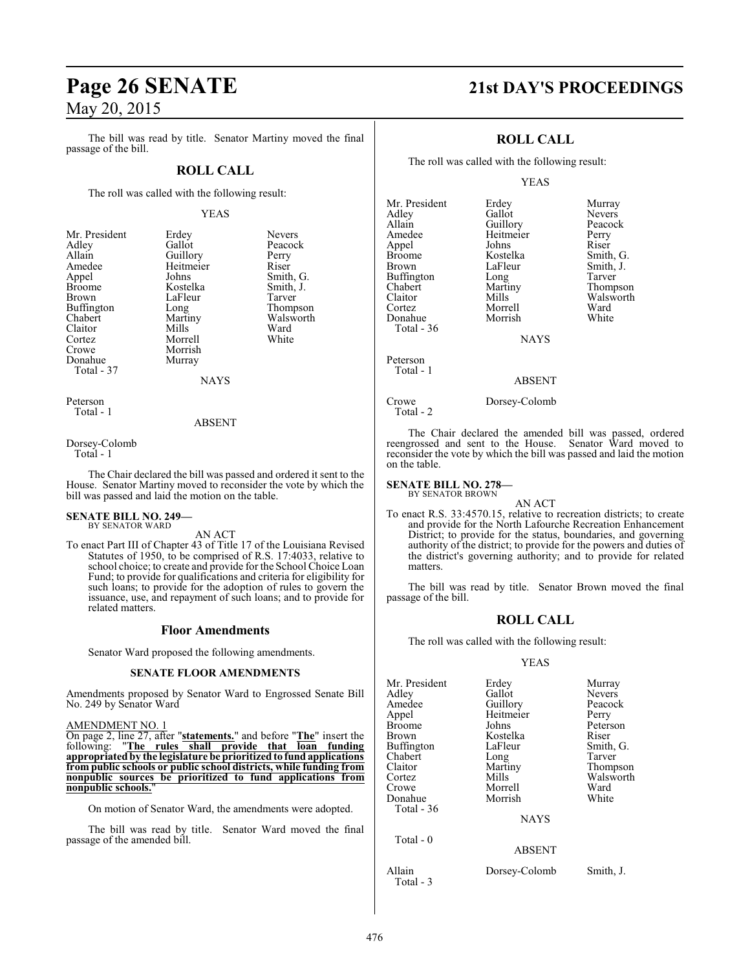# **Page 26 SENATE 21st DAY'S PROCEEDINGS** May 20, 2015

The bill was read by title. Senator Martiny moved the final passage of the bill.

### **ROLL CALL**

The roll was called with the following result:

#### YEAS

Peacock<br>Perry

Smith, G.<br>Smith, J.

Walsworth<br>Ward

| Mr. Presidei    |
|-----------------|
| Adley<br>Allain |
|                 |
| Amedee          |
| Appel           |
| <b>Broome</b>   |
| <b>Brown</b>    |
| Buffington      |
| Chabert         |
| Claitor         |
| Cortez          |
| Crowe           |
| Donahue         |
| Total - 37      |

external Erdey<br>
Mexical Erdey<br>
Gallot Peacoc Guillory Perry<br>Heitmeier Riser Heitmeier<br>Johns Kostelka Smith,<br>LaFleur Tarver LaFleur<br>Long Long Thompson<br>Martiny Walsworth Mills Ward<br>
Morrell White Morrell Morrish Murray

Peterson Total - 1

#### ABSENT

NAYS

Dorsey-Colomb Total - 1

The Chair declared the bill was passed and ordered it sent to the House. Senator Martiny moved to reconsider the vote by which the bill was passed and laid the motion on the table.

#### **SENATE BILL NO. 249—** BY SENATOR WARD

AN ACT

To enact Part III of Chapter 43 of Title 17 of the Louisiana Revised Statutes of 1950, to be comprised of R.S. 17:4033, relative to school choice; to create and provide for the School Choice Loan Fund; to provide for qualifications and criteria for eligibility for such loans; to provide for the adoption of rules to govern the issuance, use, and repayment of such loans; and to provide for related matters.

#### **Floor Amendments**

Senator Ward proposed the following amendments.

#### **SENATE FLOOR AMENDMENTS**

Amendments proposed by Senator Ward to Engrossed Senate Bill No. 249 by Senator Ward

#### AMENDMENT NO. 1

On page 2, line 27, after "**statements.**" and before "**The**" insert the following: "**The rules shall provide that loan funding appropriated by the legislature be prioritized to fundapplications from public schools or public school districts, while funding from nonpublic sources be prioritized to fund applications from nonpublic schools.**"

On motion of Senator Ward, the amendments were adopted.

The bill was read by title. Senator Ward moved the final passage of the amended bill.

## **ROLL CALL**

The roll was called with the following result:

#### YEAS

Mr. President Erdey Murray<br>Adley Gallot Nevers Adley Gallot Nevers<br>
Allain Guillory Peacocl Allain Guillory Peacock<br>Amedee Heitmeier Perry Appel Johns<br>Broome Kostelka Broome Kostelka Smith, G.<br>Brown LaFleur Smith, J. Buffington Long<br>Chabert Martiny Chabert Martiny Thompson<br>Claitor Mills Walsworth Claitor Mills Walsworth<br>
Cortez Morrell Ward Donahue Total - 36

Heitmeier Perry<br>Johns Riser Morrell Ward<br>
Morrish White

LaFleur Smith, J.<br>Long Tarver

NAYS

## ABSENT

#### Crowe Dorsey-Colomb Total - 2

Peterson Total - 1

The Chair declared the amended bill was passed, ordered reengrossed and sent to the House. Senator Ward moved to reconsider the vote by which the bill was passed and laid the motion on the table.

#### **SENATE BILL NO. 278—** BY SENATOR BROWN

AN ACT

To enact R.S. 33:4570.15, relative to recreation districts; to create and provide for the North Lafourche Recreation Enhancement District; to provide for the status, boundaries, and governing authority of the district; to provide for the powers and duties of the district's governing authority; and to provide for related matters.

The bill was read by title. Senator Brown moved the final passage of the bill.

#### **ROLL CALL**

The roll was called with the following result:

#### YEAS

| Mr. President | Erdey         | Murray        |
|---------------|---------------|---------------|
| Adley         | Gallot        | <b>Nevers</b> |
| Amedee        | Guillory      | Peacock       |
| Appel         | Heitmeier     | Perry         |
| <b>Broome</b> | Johns         | Peterson      |
| Brown         | Kostelka      | Riser         |
| Buffington    | LaFleur       | Smith, G.     |
| Chabert       | Long          | Tarver        |
| Claitor       | Martiny       | Thompson      |
| Cortez        | Mills         | Walsworth     |
| Crowe         | Morrell       | Ward          |
| Donahue       | Morrish       | White         |
| Total - 36    |               |               |
|               | <b>NAYS</b>   |               |
| Total $-0$    |               |               |
|               | <b>ABSENT</b> |               |
| Allain        | Dorsey-Colomb | Smith, J.     |

Total - 3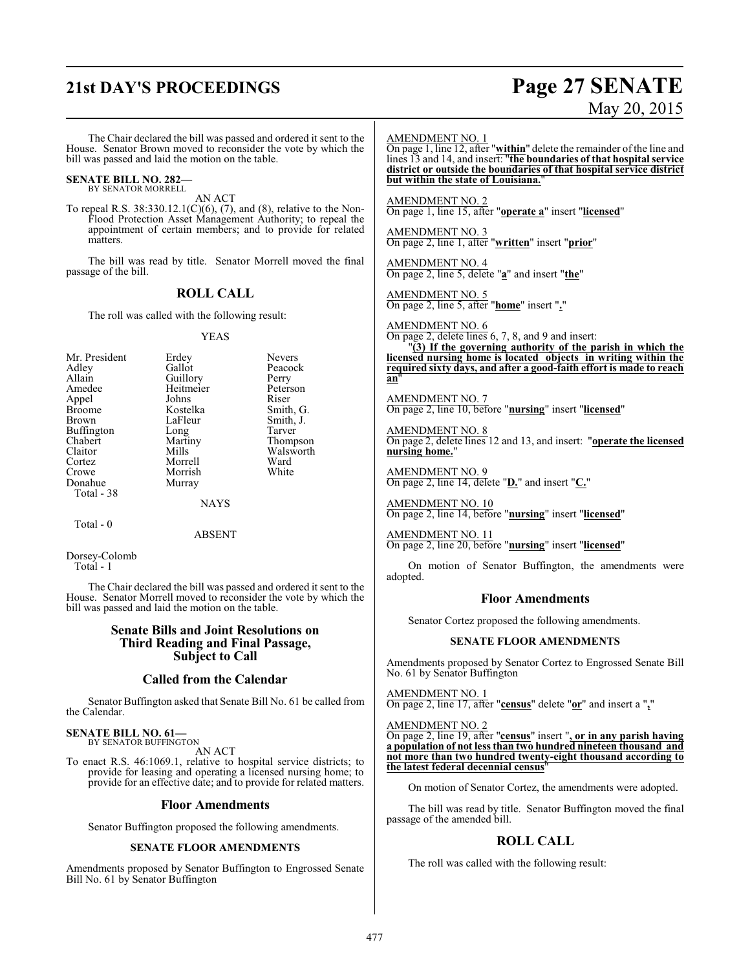# **21st DAY'S PROCEEDINGS Page 27 SENATE**

# May 20, 2015

The Chair declared the bill was passed and ordered it sent to the House. Senator Brown moved to reconsider the vote by which the bill was passed and laid the motion on the table.

#### **SENATE BILL NO. 282—** BY SENATOR MORRELL

AN ACT

To repeal R.S. 38:330.12.1(C)(6), (7), and (8), relative to the Non-Flood Protection Asset Management Authority; to repeal the appointment of certain members; and to provide for related matters.

The bill was read by title. Senator Morrell moved the final passage of the bill.

## **ROLL CALL**

The roll was called with the following result:

#### YEAS

| Mr. President     | Erdey       | <b>Nevers</b> |
|-------------------|-------------|---------------|
| Adley             | Gallot      | Peacock       |
| Allain            | Guillory    | Perry         |
| Amedee            | Heitmeier   | Peterson      |
| Appel             | Johns       | Riser         |
| <b>Broome</b>     | Kostelka    | Smith, G.     |
| Brown             | LaFleur     | Smith, J.     |
| <b>Buffington</b> | Long        | Tarver        |
| Chabert           | Martiny     | Thompson      |
| Claitor           | Mills       | Walsworth     |
| Cortez            | Morrell     | Ward          |
| Crowe             | Morrish     | White         |
| Donahue           | Murray      |               |
| Total - 38        |             |               |
|                   | <b>NAYS</b> |               |

Total - 0

ABSENT

Dorsey-Colomb Total - 1

The Chair declared the bill was passed and ordered it sent to the House. Senator Morrell moved to reconsider the vote by which the bill was passed and laid the motion on the table.

#### **Senate Bills and Joint Resolutions on Third Reading and Final Passage, Subject to Call**

#### **Called from the Calendar**

Senator Buffington asked that Senate Bill No. 61 be called from the Calendar.

**SENATE BILL NO. 61—** BY SENATOR BUFFINGTON

AN ACT

To enact R.S. 46:1069.1, relative to hospital service districts; to provide for leasing and operating a licensed nursing home; to provide for an effective date; and to provide for related matters.

#### **Floor Amendments**

Senator Buffington proposed the following amendments.

#### **SENATE FLOOR AMENDMENTS**

Amendments proposed by Senator Buffington to Engrossed Senate Bill No. 61 by Senator Buffington

#### AMENDMENT NO. 1

On page 1, line 12, after "**within**" delete the remainder of the line and lines 13 and 14, and insert: "**the boundaries of that hospital service district or outside the boundaries of that hospital service district but within the state of Louisiana.**"

AMENDMENT NO. 2 On page 1, line 15, after "**operate a**" insert "**licensed**"

AMENDMENT NO. 3 On page 2, line 1, after "**written**" insert "**prior**"

AMENDMENT NO. 4 On page 2, line 5, delete "**a**" and insert "**the**"

AMENDMENT NO. 5 On page 2, line 5, after "**home**" insert "**.**"

#### AMENDMENT NO. 6

On page 2, delete lines 6, 7, 8, and 9 and insert:

"**(3) If the governing authority of the parish in which the licensed nursing home is located objects in writing within the required sixty days, and after a good-faith effort is made to reach an**"

AMENDMENT NO. 7 On page 2, line 10, before "**nursing**" insert "**licensed**"

AMENDMENT NO. 8 On page 2, delete lines 12 and 13, and insert: "**operate the licensed nursing home.**"

AMENDMENT NO. 9 On page 2, line 14, delete "**D.**" and insert "**C.**"

AMENDMENT NO. 10 On page 2, line 14, before "**nursing**" insert "**licensed**"

AMENDMENT NO. 11 On page 2, line 20, before "**nursing**" insert "**licensed**"

On motion of Senator Buffington, the amendments were adopted.

#### **Floor Amendments**

Senator Cortez proposed the following amendments.

#### **SENATE FLOOR AMENDMENTS**

Amendments proposed by Senator Cortez to Engrossed Senate Bill No. 61 by Senator Buffington

#### AMENDMENT NO. 1

On page 2, line 17, after "**census**" delete "**or**" and insert a "**,**"

AMENDMENT NO. 2

On page 2, line 19, after "**census**" insert "**, or in any parish having a population of not less than two hundred nineteen thousand and not more than two hundred twenty-eight thousand according to the latest federal decennial census**"

On motion of Senator Cortez, the amendments were adopted.

The bill was read by title. Senator Buffington moved the final passage of the amended bill.

## **ROLL CALL**

The roll was called with the following result: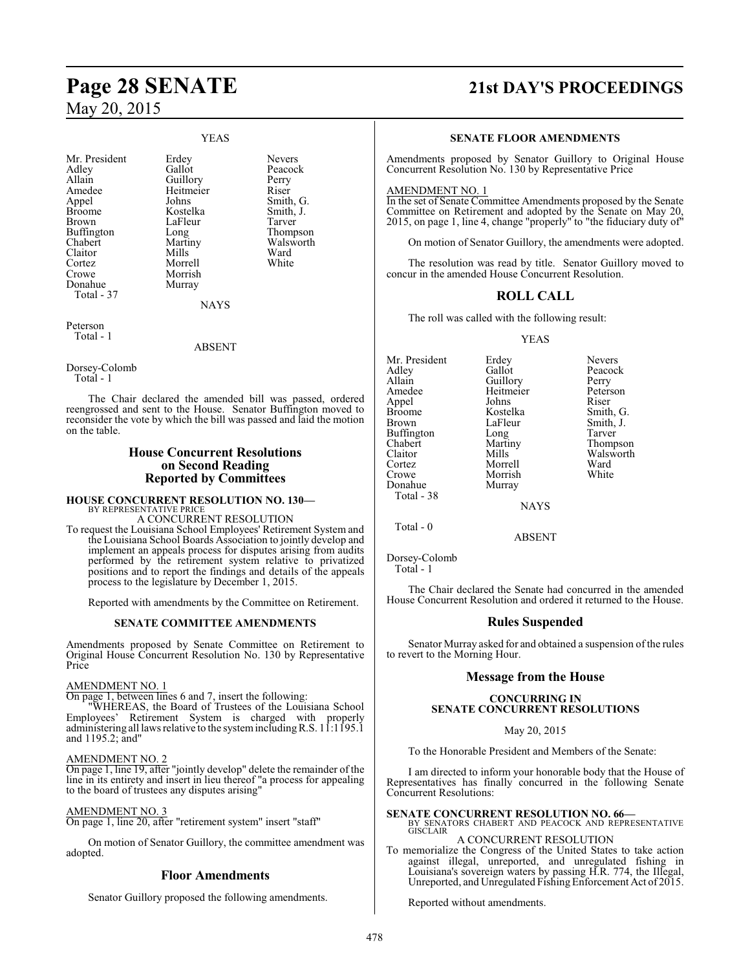# **Page 28 SENATE 21st DAY'S PROCEEDINGS** May 20, 2015

#### YEAS

Mr. President Erdey Nevers<br>Adley Gallot Peacock Adley Gallot Peacc<br>
Allain Guillory Perry Allain Guillory Perry<br>
Amedee Heitmeier Riser Amedee Heitmeier<br>Appel Johns Broome Kostelka Smith, J.<br>Brown LaFleur Tarver Buffington Long<br>Chabert Martiny Chabert Martiny Walsworth<br>Claitor Mills Ward Claitor Mills Ward Cortez Morrell White<br>
Crowe Morrish Crowe Morrish<br>
Donahue Murray Total - 37

Johns Smith, G.<br>Kostelka Smith, J. LaFleur Tarver<br>
Long Thompson

**NAYS** 

Murray

Peterson Total - 1

#### ABSENT

Dorsey-Colomb Total - 1

The Chair declared the amended bill was passed, ordered reengrossed and sent to the House. Senator Buffington moved to reconsider the vote by which the bill was passed and laid the motion on the table.

## **House Concurrent Resolutions on Second Reading Reported by Committees**

#### **HOUSE CONCURRENT RESOLUTION NO. 130—** BY REPRESENTATIVE PRICE

A CONCURRENT RESOLUTION

To request the Louisiana School Employees' Retirement System and the Louisiana School Boards Association to jointly develop and implement an appeals process for disputes arising from audits performed by the retirement system relative to privatized positions and to report the findings and details of the appeals process to the legislature by December 1, 2015.

Reported with amendments by the Committee on Retirement.

#### **SENATE COMMITTEE AMENDMENTS**

Amendments proposed by Senate Committee on Retirement to Original House Concurrent Resolution No. 130 by Representative Price

#### AMENDMENT NO. 1

On page 1, between lines 6 and 7, insert the following:

"WHEREAS, the Board of Trustees of the Louisiana School Employees' Retirement System is charged with properly administering all laws relative to the systemincludingR.S. 11:1195.1 and 1195.2; and"

#### AMENDMENT NO. 2

On page 1, line 19, after "jointly develop" delete the remainder of the line in its entirety and insert in lieu thereof "a process for appealing to the board of trustees any disputes arising"

#### AMENDMENT NO. 3

On page 1, line 20, after "retirement system" insert "staff"

On motion of Senator Guillory, the committee amendment was adopted.

#### **Floor Amendments**

Senator Guillory proposed the following amendments.

#### **SENATE FLOOR AMENDMENTS**

Amendments proposed by Senator Guillory to Original House Concurrent Resolution No. 130 by Representative Price

#### AMENDMENT NO. 1

In the set of Senate Committee Amendments proposed by the Senate Committee on Retirement and adopted by the Senate on May 20, 2015, on page 1, line 4, change "properly" to "the fiduciary duty of"

On motion of Senator Guillory, the amendments were adopted.

The resolution was read by title. Senator Guillory moved to concur in the amended House Concurrent Resolution.

#### **ROLL CALL**

The roll was called with the following result:

#### YEAS

| Mr. President | Erdey       | <b>Nevers</b> |
|---------------|-------------|---------------|
| Adley         | Gallot      | Peacock       |
| Allain        | Guillory    | Perry         |
| Amedee        | Heitmeier   | Peterson      |
| Appel         | Johns       | Riser         |
| Broome        | Kostelka    | Smith, G.     |
| Brown         | LaFleur     | Smith, J.     |
| Buffington    | Long        | Tarver        |
| Chabert       | Martiny     | Thompson      |
| Claitor       | Mills       | Walsworth     |
| Cortez        | Morrell     | Ward          |
| Crowe         | Morrish     | White         |
| Donahue       | Murray      |               |
| Total - 38    |             |               |
|               | <b>NAYS</b> |               |
|               |             |               |

ABSENT

Dorsey-Colomb

Total - 0

Total - 1

The Chair declared the Senate had concurred in the amended House Concurrent Resolution and ordered it returned to the House.

#### **Rules Suspended**

Senator Murray asked for and obtained a suspension of the rules to revert to the Morning Hour.

#### **Message from the House**

#### **CONCURRING IN SENATE CONCURRENT RESOLUTIONS**

May 20, 2015

To the Honorable President and Members of the Senate:

I am directed to inform your honorable body that the House of Representatives has finally concurred in the following Senate Concurrent Resolutions:

**SENATE CONCURRENT RESOLUTION NO. 66—BY SENATORS CHABERT AND PEACOCK AND REPRESENTATIVE GISCLAIR** A CONCURRENT RESOLUTION

To memorialize the Congress of the United States to take action against illegal, unreported, and unregulated fishing in Louisiana's sovereign waters by passing H.R. 774, the Illegal, Unreported, and Unregulated Fishing Enforcement Act of 2015.

Reported without amendments.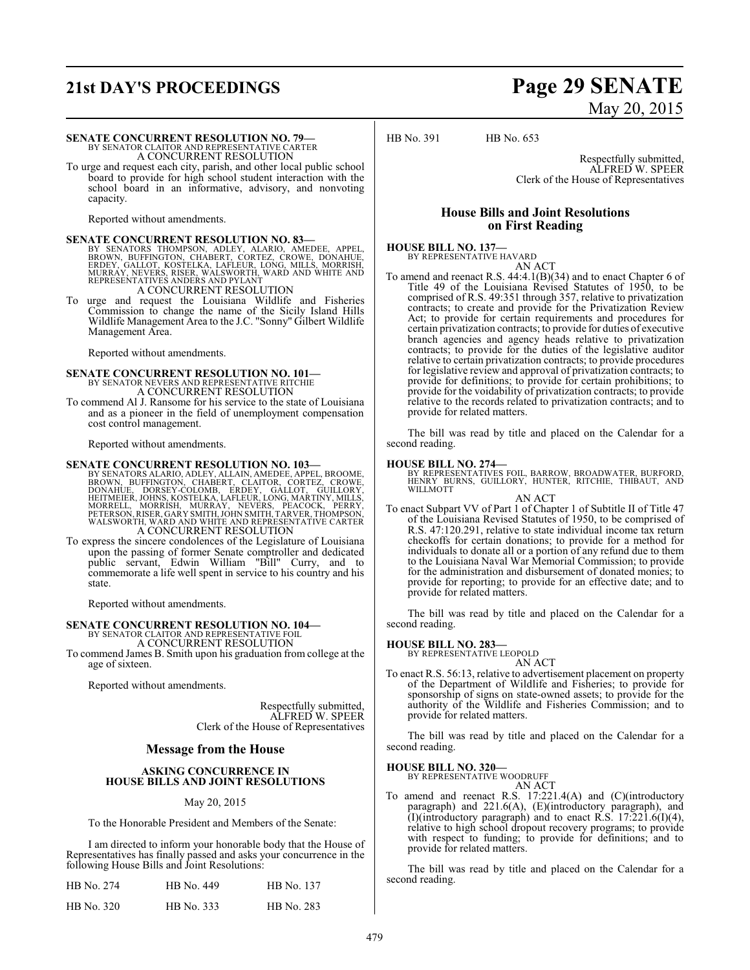# **21st DAY'S PROCEEDINGS Page 29 SENATE**

#### **SENATE CONCURRENT RESOLUTION NO. 79—**

BY SENATOR CLAITOR AND REPRESENTATIVE CARTER A CONCURRENT RESOLUTION

To urge and request each city, parish, and other local public school board to provide for high school student interaction with the school board in an informative, advisory, and nonvoting capacity.

Reported without amendments.

**SENATE CONCURRENT RESOLUTION NO. 83**<br>BY SENATORS THOMPSON, ADLEY, ALARIO, AMEDEE, APPEL,<br>BROWN, BUFFINGTON, CHABERT, CORTEZ, CROWE, DONAHUE,<br>ERDEY, GALLOT, KOSTELKA, LAFLEUR, LONG, MILLS, MORRISH,<br>MURRAY, NEVERS, RISER, W A CONCURRENT RESOLUTION

To urge and request the Louisiana Wildlife and Fisheries Commission to change the name of the Sicily Island Hills Wildlife Management Area to the J.C. "Sonny" Gilbert Wildlife Management Area.

Reported without amendments.

# **SENATE CONCURRENT RESOLUTION NO. 101—**<br>BY SENATOR NEVERS AND REPRESENTATIVE RITCHIE<br>A CONCURRENT RESOLUTION

To commend Al J. Ransome for his service to the state of Louisiana and as a pioneer in the field of unemployment compensation cost control management.

Reported without amendments.

#### **SENATE CONCURRENT RESOLUTION NO. 103—**

BY SENATORS ALARIO, ADLEY, ALLAIN, AMEDEE, APPEL, BROOME,<br>BROWN, BUFFINGTON, CHABERT, CLAITOR, CORTEZ, CROWE,<br>DONAHUE, DORSEY-COLOMB, ERDEY, GALLOT, GUILLORY,<br>HEITMEIER, JOHNS, KOSTELKA, LAFLEUR, LONG, MARTINY, MILLS,<br>MORR A CONCURRENT RESOLUTION

To express the sincere condolences of the Legislature of Louisiana upon the passing of former Senate comptroller and dedicated public servant, Edwin William "Bill" Curry, and to commemorate a life well spent in service to his country and his state.

Reported without amendments.

## **SENATE CONCURRENT RESOLUTION NO. 104—** BY SENATOR CLAITOR AND REPRESENTATIVE FOIL A CONCURRENT RESOLUTION

To commend James B. Smith upon his graduation from college at the age of sixteen.

Reported without amendments.

Respectfully submitted, ALFRED W. SPEER Clerk of the House of Representatives

#### **Message from the House**

#### **ASKING CONCURRENCE IN HOUSE BILLS AND JOINT RESOLUTIONS**

#### May 20, 2015

To the Honorable President and Members of the Senate:

I am directed to inform your honorable body that the House of Representatives has finally passed and asks your concurrence in the following House Bills and Joint Resolutions:

| HB No. 274 | HB No. 449 | <b>HB</b> No. 137 |
|------------|------------|-------------------|
| HB No. 320 | HB No. 333 | HB No. 283        |

# May 20, 2015

HB No. 391 HB No. 653

Respectfully submitted, ALFRED W. SPEER Clerk of the House of Representatives

#### **House Bills and Joint Resolutions on First Reading**

**HOUSE BILL NO. 137—** BY REPRESENTATIVE HAVARD

AN ACT To amend and reenact R.S. 44:4.1(B)(34) and to enact Chapter 6 of Title 49 of the Louisiana Revised Statutes of 1950, to be comprised of R.S. 49:351 through 357, relative to privatization contracts; to create and provide for the Privatization Review Act; to provide for certain requirements and procedures for certain privatization contracts; to provide for duties of executive branch agencies and agency heads relative to privatization contracts; to provide for the duties of the legislative auditor relative to certain privatization contracts; to provide procedures for legislative review and approval of privatization contracts; to provide for definitions; to provide for certain prohibitions; to provide for the voidability of privatization contracts; to provide relative to the records related to privatization contracts; and to provide for related matters.

The bill was read by title and placed on the Calendar for a second reading.

#### **HOUSE BILL NO. 274—**

BY REPRESENTATIVES FOIL, BARROW, BROADWATER, BURFORD, HENRY BURNS, GUILLORY, HUNTER, RITCHIE, THIBAUT, AND WILLMOTT

#### AN ACT

To enact Subpart VV of Part 1 of Chapter 1 of Subtitle II of Title 47 of the Louisiana Revised Statutes of 1950, to be comprised of R.S. 47:120.291, relative to state individual income tax return checkoffs for certain donations; to provide for a method for individuals to donate all or a portion of any refund due to them to the Louisiana Naval War Memorial Commission; to provide for the administration and disbursement of donated monies; to provide for reporting; to provide for an effective date; and to provide for related matters.

The bill was read by title and placed on the Calendar for a second reading.

# **HOUSE BILL NO. 283—** BY REPRESENTATIVE LEOPOLD

AN ACT

To enact R.S. 56:13, relative to advertisement placement on property of the Department of Wildlife and Fisheries; to provide for sponsorship of signs on state-owned assets; to provide for the authority of the Wildlife and Fisheries Commission; and to provide for related matters.

The bill was read by title and placed on the Calendar for a second reading.

#### **HOUSE BILL NO. 320—**

BY REPRESENTATIVE WOODRUFF AN ACT

To amend and reenact R.S. 17:221.4(A) and (C)(introductory paragraph) and 221.6(A), (E)(introductory paragraph), and (I)(introductory paragraph) and to enact R.S.  $17:221.6(1)(4)$ , relative to high school dropout recovery programs; to provide with respect to funding; to provide for definitions; and to provide for related matters.

The bill was read by title and placed on the Calendar for a second reading.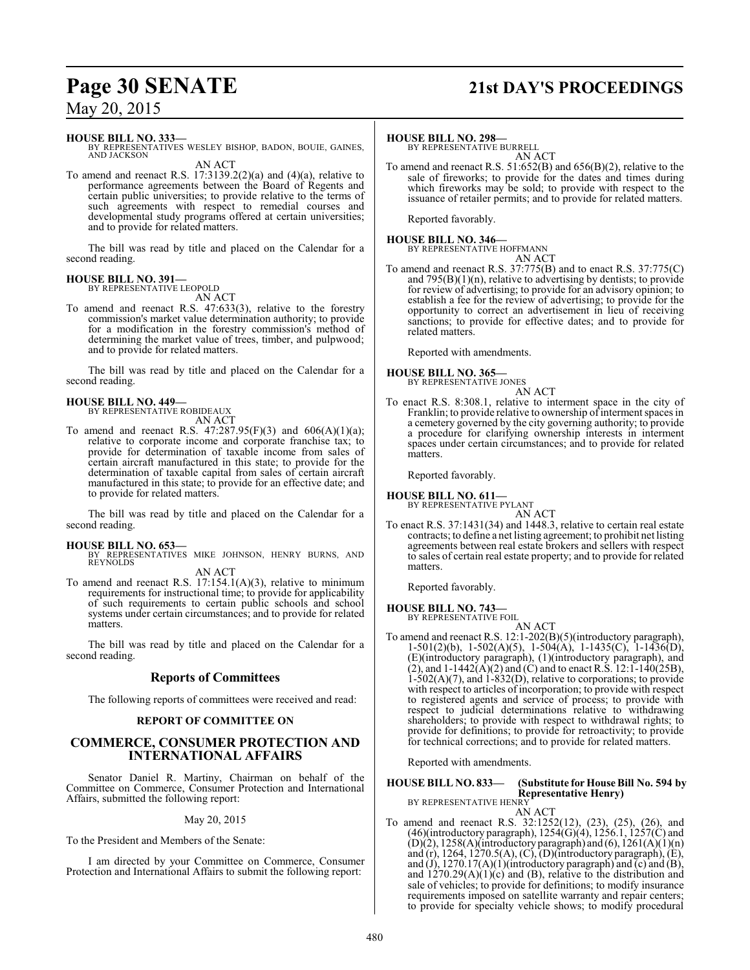#### **HOUSE BILL NO. 333—**

BY REPRESENTATIVES WESLEY BISHOP, BADON, BOUIE, GAINES, AND JACKSON AN ACT

To amend and reenact R.S.  $17:3139.2(2)(a)$  and  $(4)(a)$ , relative to performance agreements between the Board of Regents and certain public universities; to provide relative to the terms of such agreements with respect to remedial courses and developmental study programs offered at certain universities; and to provide for related matters.

The bill was read by title and placed on the Calendar for a second reading.

# **HOUSE BILL NO. 391—** BY REPRESENTATIVE LEOPOLD

AN ACT

To amend and reenact R.S. 47:633(3), relative to the forestry commission's market value determination authority; to provide for a modification in the forestry commission's method of determining the market value of trees, timber, and pulpwood; and to provide for related matters.

The bill was read by title and placed on the Calendar for a second reading.

# **HOUSE BILL NO. 449—** BY REPRESENTATIVE ROBIDEAUX

AN ACT

To amend and reenact R.S.  $47:287.95(F)(3)$  and  $606(A)(1)(a);$ relative to corporate income and corporate franchise tax; to provide for determination of taxable income from sales of certain aircraft manufactured in this state; to provide for the determination of taxable capital from sales of certain aircraft manufactured in this state; to provide for an effective date; and to provide for related matters.

The bill was read by title and placed on the Calendar for a second reading.

#### **HOUSE BILL NO. 653—**

- BY REPRESENTATIVES MIKE JOHNSON, HENRY BURNS, AND REYNOLDS
	- AN ACT
- To amend and reenact R.S. 17:154.1(A)(3), relative to minimum requirements for instructional time; to provide for applicability of such requirements to certain public schools and school systems under certain circumstances; and to provide for related matters.

The bill was read by title and placed on the Calendar for a second reading.

## **Reports of Committees**

The following reports of committees were received and read:

#### **REPORT OF COMMITTEE ON**

## **COMMERCE, CONSUMER PROTECTION AND INTERNATIONAL AFFAIRS**

Senator Daniel R. Martiny, Chairman on behalf of the Committee on Commerce, Consumer Protection and International Affairs, submitted the following report:

May 20, 2015

To the President and Members of the Senate:

I am directed by your Committee on Commerce, Consumer Protection and International Affairs to submit the following report:

# **Page 30 SENATE 21st DAY'S PROCEEDINGS**

#### **HOUSE BILL NO. 298—**

BY REPRESENTATIVE BURRELL AN ACT

To amend and reenact R.S. 51:652(B) and 656(B)(2), relative to the sale of fireworks; to provide for the dates and times during which fireworks may be sold; to provide with respect to the issuance of retailer permits; and to provide for related matters.

Reported favorably.

#### **HOUSE BILL NO. 346—** BY REPRESENTATIVE HOFFMANN AN ACT

To amend and reenact R.S. 37:775(B) and to enact R.S. 37:775(C) and  $795(B)(1)(n)$ , relative to advertising by dentists; to provide for review of advertising; to provide for an advisory opinion; to establish a fee for the review of advertising; to provide for the opportunity to correct an advertisement in lieu of receiving sanctions; to provide for effective dates; and to provide for related matters.

Reported with amendments.

# **HOUSE BILL NO. 365—** BY REPRESENTATIVE JONES

AN ACT

To enact R.S. 8:308.1, relative to interment space in the city of Franklin; to provide relative to ownership of interment spaces in a cemetery governed by the city governing authority; to provide a procedure for clarifying ownership interests in interment spaces under certain circumstances; and to provide for related matters.

Reported favorably.

# **HOUSE BILL NO. 611—** BY REPRESENTATIVE PYLANT

AN ACT

To enact R.S. 37:1431(34) and 1448.3, relative to certain real estate contracts; to define a net listing agreement; to prohibit net listing agreements between real estate brokers and sellers with respect to sales of certain real estate property; and to provide for related matters.

Reported favorably.

**HOUSE BILL NO. 743—**

BY REPRESENTATIVE FOIL AN ACT

To amend and reenact R.S. 12:1-202(B)(5)(introductory paragraph), 1-501(2)(b), 1-502(A)(5), 1-504(A), 1-1435(C), 1-1436(D), (E)(introductory paragraph), (1)(introductory paragraph), and (2), and  $1-1442(A)(2)$  and (C) and to enact R.S.  $12:1-140(25B)$ , 1-502(A)(7), and 1-832(D), relative to corporations; to provide with respect to articles of incorporation; to provide with respect to registered agents and service of process; to provide with respect to judicial determinations relative to withdrawing shareholders; to provide with respect to withdrawal rights; to provide for definitions; to provide for retroactivity; to provide for technical corrections; and to provide for related matters.

Reported with amendments.

#### **HOUSE BILL NO. 833— (Substitute for House Bill No. 594 by Representative Henry)** BY REPRESENTATIVE HENRY

AN ACT

To amend and reenact R.S. 32:1252(12), (23), (25), (26), and (46)(introductory paragraph),  $1254(G)(4)$ ,  $1256.1$ ,  $1257(C)$  and  $(D)(2)$ , 1258(A)(introductory paragraph) and  $(6)$ , 1261(A)(1)(n) and (r), 1264, 1270.5(A), (C), (D)(introductory paragraph), (E), and (J), 1270.17(A)(1)(introductory paragraph) and (c) and (B), and  $1270.29(A)(1)(c)$  and (B), relative to the distribution and sale of vehicles; to provide for definitions; to modify insurance requirements imposed on satellite warranty and repair centers; to provide for specialty vehicle shows; to modify procedural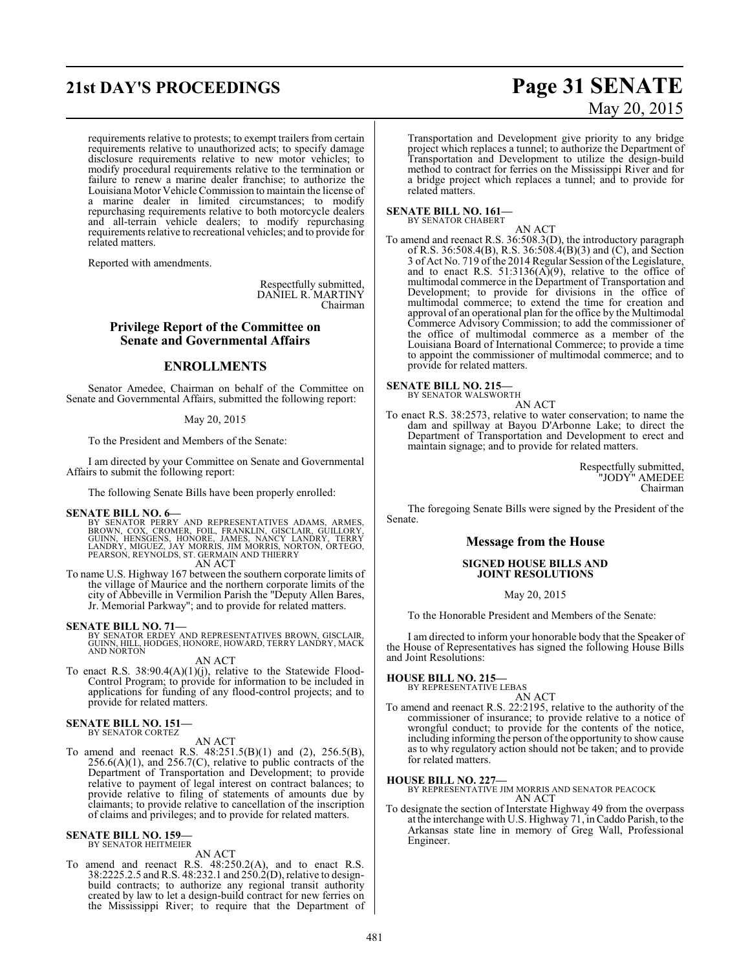requirements relative to protests; to exempt trailers from certain requirements relative to unauthorized acts; to specify damage disclosure requirements relative to new motor vehicles; to modify procedural requirements relative to the termination or failure to renew a marine dealer franchise; to authorize the Louisiana Motor Vehicle Commission to maintain the license of a marine dealer in limited circumstances; to modify repurchasing requirements relative to both motorcycle dealers and all-terrain vehicle dealers; to modify repurchasing requirements relative to recreational vehicles; and to provide for related matters.

Reported with amendments.

Respectfully submitted, DANIEL R. MARTINY Chairman

#### **Privilege Report of the Committee on Senate and Governmental Affairs**

#### **ENROLLMENTS**

Senator Amedee, Chairman on behalf of the Committee on Senate and Governmental Affairs, submitted the following report:

#### May 20, 2015

To the President and Members of the Senate:

I am directed by your Committee on Senate and Governmental Affairs to submit the following report:

The following Senate Bills have been properly enrolled:

#### **SENATE BILL NO. 6—**

BY SENATOR PERRY AND REPRESENTATIVES ADAMS, ARMES,<br>BROWN, COX, CROMER, FOIL, FRANKLIN, GISCLAIR, GUILLORY,<br>GUINN, HENSGENS, HONORE, JAMES, NANCY LANDRY, TERRY<br>LANDRY, MIGUEZ, JAY MORRIS, JIM MORRIS, NORTON, ORTEGO,<br>PEARSON

AN ACT To name U.S. Highway 167 between the southern corporate limits of the village of Maurice and the northern corporate limits of the city of Abbeville in Vermilion Parish the "Deputy Allen Bares, Jr. Memorial Parkway"; and to provide for related matters.

**SENATE BILL NO. 71—**<br>BY SENATOR ERDEY AND REPRESENTATIVES BROWN, GISCLAIR,<br>GUINN, HILL, HODGES, HONORE, HOWARD, TERRY LANDRY, MACK<br>AND NORTON

AN ACT

To enact R.S. 38:90.4(A)(1)(j), relative to the Statewide Flood-Control Program; to provide for information to be included in applications for funding of any flood-control projects; and to provide for related matters.

#### **SENATE BILL NO. 151—** BY SENATOR CORTEZ

AN ACT

To amend and reenact R.S. 48:251.5(B)(1) and (2), 256.5(B),  $256.6(A)(1)$ , and  $256.7(C)$ , relative to public contracts of the Department of Transportation and Development; to provide relative to payment of legal interest on contract balances; to provide relative to filing of statements of amounts due by claimants; to provide relative to cancellation of the inscription of claims and privileges; and to provide for related matters.

## **SENATE BILL NO. 159—** BY SENATOR HEITMEIER

#### AN ACT

To amend and reenact R.S. 48:250.2(A), and to enact R.S. 38:2225.2.5 and R.S. 48:232.1 and 250.2(D), relative to designbuild contracts; to authorize any regional transit authority created by law to let a design-build contract for new ferries on the Mississippi River; to require that the Department of

# **21st DAY'S PROCEEDINGS Page 31 SENATE** May 20, 2015

Transportation and Development give priority to any bridge project which replaces a tunnel; to authorize the Department of Transportation and Development to utilize the design-build method to contract for ferries on the Mississippi River and for a bridge project which replaces a tunnel; and to provide for related matters.

#### **SENATE BILL NO. 161—** BY SENATOR CHABERT

AN ACT To amend and reenact R.S. 36:508.3(D), the introductory paragraph of R.S. 36:508.4(B), R.S. 36:508.4(B)(3) and (C), and Section 3 of Act No. 719 of the 2014 Regular Session of the Legislature, and to enact R.S.  $51:3136(A)(9)$ , relative to the office of multimodal commerce in the Department of Transportation and Development; to provide for divisions in the office of multimodal commerce; to extend the time for creation and approval of an operational plan for the office by the Multimodal Commerce Advisory Commission; to add the commissioner of the office of multimodal commerce as a member of the Louisiana Board of International Commerce; to provide a time to appoint the commissioner of multimodal commerce; and to provide for related matters.

**SENATE BILL NO. 215—** BY SENATOR WALSWORTH

#### AN ACT

To enact R.S. 38:2573, relative to water conservation; to name the dam and spillway at Bayou D'Arbonne Lake; to direct the Department of Transportation and Development to erect and maintain signage; and to provide for related matters.

> Respectfully submitted, "JODY" AMEDEE Chairman

The foregoing Senate Bills were signed by the President of the Senate.

#### **Message from the House**

#### **SIGNED HOUSE BILLS AND JOINT RESOLUTIONS**

May 20, 2015

To the Honorable President and Members of the Senate:

I am directed to inform your honorable body that the Speaker of the House of Representatives has signed the following House Bills and Joint Resolutions:

#### **HOUSE BILL NO. 215—** BY REPRESENTATIVE LEBAS

AN ACT

To amend and reenact R.S. 22:2195, relative to the authority of the commissioner of insurance; to provide relative to a notice of wrongful conduct; to provide for the contents of the notice, including informing the person of the opportunity to show cause as to why regulatory action should not be taken; and to provide for related matters.

#### **HOUSE BILL NO. 227—**

BY REPRESENTATIVE JIM MORRIS AND SENATOR PEACOCK AN ACT

To designate the section of Interstate Highway 49 from the overpass at the interchange with U.S. Highway 71, inCaddo Parish, to the Arkansas state line in memory of Greg Wall, Professional Engineer.